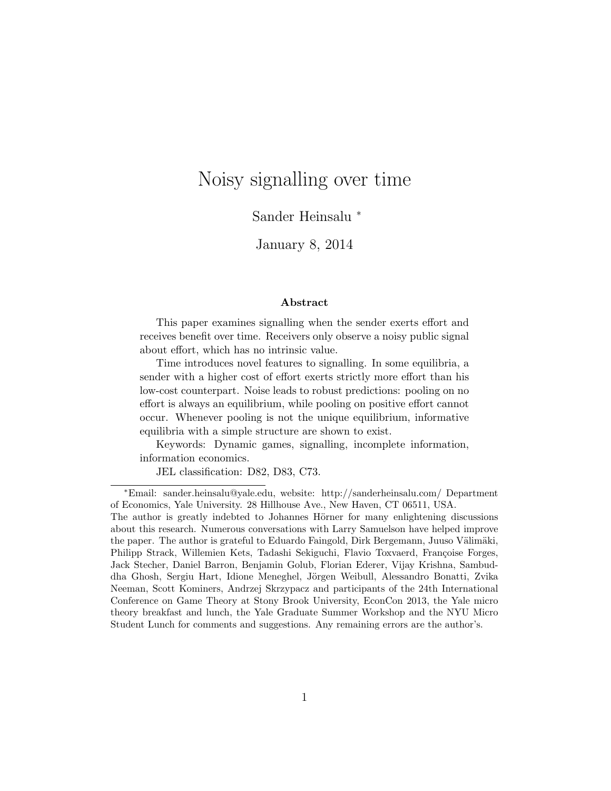# Noisy signalling over time

Sander Heinsalu <sup>∗</sup>

January 8, 2014

#### Abstract

This paper examines signalling when the sender exerts effort and receives benefit over time. Receivers only observe a noisy public signal about effort, which has no intrinsic value.

Time introduces novel features to signalling. In some equilibria, a sender with a higher cost of effort exerts strictly more effort than his low-cost counterpart. Noise leads to robust predictions: pooling on no effort is always an equilibrium, while pooling on positive effort cannot occur. Whenever pooling is not the unique equilibrium, informative equilibria with a simple structure are shown to exist.

Keywords: Dynamic games, signalling, incomplete information, information economics.

JEL classification: D82, D83, C73.

<sup>∗</sup>Email: sander.heinsalu@yale.edu, website: http://sanderheinsalu.com/ Department of Economics, Yale University. 28 Hillhouse Ave., New Haven, CT 06511, USA.

The author is greatly indebted to Johannes Hörner for many enlightening discussions about this research. Numerous conversations with Larry Samuelson have helped improve the paper. The author is grateful to Eduardo Faingold, Dirk Bergemann, Juuso Välimäki, Philipp Strack, Willemien Kets, Tadashi Sekiguchi, Flavio Toxvaerd, Françoise Forges, Jack Stecher, Daniel Barron, Benjamin Golub, Florian Ederer, Vijay Krishna, Sambuddha Ghosh, Sergiu Hart, Idione Meneghel, Jörgen Weibull, Alessandro Bonatti, Zvika Neeman, Scott Kominers, Andrzej Skrzypacz and participants of the 24th International Conference on Game Theory at Stony Brook University, EconCon 2013, the Yale micro theory breakfast and lunch, the Yale Graduate Summer Workshop and the NYU Micro Student Lunch for comments and suggestions. Any remaining errors are the author's.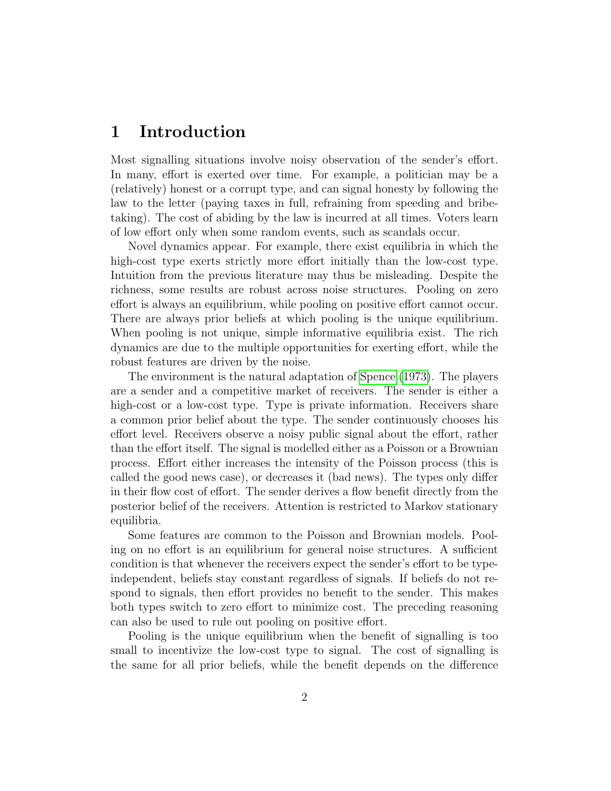## 1 Introduction

Most signalling situations involve noisy observation of the sender's effort. In many, effort is exerted over time. For example, a politician may be a (relatively) honest or a corrupt type, and can signal honesty by following the law to the letter (paying taxes in full, refraining from speeding and bribetaking). The cost of abiding by the law is incurred at all times. Voters learn of low effort only when some random events, such as scandals occur.

Novel dynamics appear. For example, there exist equilibria in which the high-cost type exerts strictly more effort initially than the low-cost type. Intuition from the previous literature may thus be misleading. Despite the richness, some results are robust across noise structures. Pooling on zero effort is always an equilibrium, while pooling on positive effort cannot occur. There are always prior beliefs at which pooling is the unique equilibrium. When pooling is not unique, simple informative equilibria exist. The rich dynamics are due to the multiple opportunities for exerting effort, while the robust features are driven by the noise.

The environment is the natural adaptation of [Spence](#page-49-0) [\(1973\)](#page-49-0). The players are a sender and a competitive market of receivers. The sender is either a high-cost or a low-cost type. Type is private information. Receivers share a common prior belief about the type. The sender continuously chooses his effort level. Receivers observe a noisy public signal about the effort, rather than the effort itself. The signal is modelled either as a Poisson or a Brownian process. Effort either increases the intensity of the Poisson process (this is called the good news case), or decreases it (bad news). The types only differ in their flow cost of effort. The sender derives a flow benefit directly from the posterior belief of the receivers. Attention is restricted to Markov stationary equilibria.

Some features are common to the Poisson and Brownian models. Pooling on no effort is an equilibrium for general noise structures. A sufficient condition is that whenever the receivers expect the sender's effort to be typeindependent, beliefs stay constant regardless of signals. If beliefs do not respond to signals, then effort provides no benefit to the sender. This makes both types switch to zero effort to minimize cost. The preceding reasoning can also be used to rule out pooling on positive effort.

Pooling is the unique equilibrium when the benefit of signalling is too small to incentivize the low-cost type to signal. The cost of signalling is the same for all prior beliefs, while the benefit depends on the difference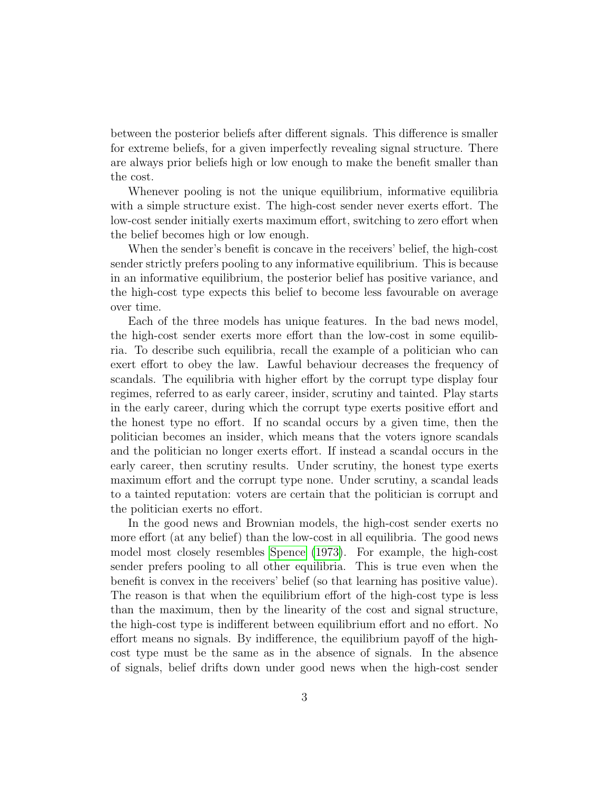between the posterior beliefs after different signals. This difference is smaller for extreme beliefs, for a given imperfectly revealing signal structure. There are always prior beliefs high or low enough to make the benefit smaller than the cost.

Whenever pooling is not the unique equilibrium, informative equilibria with a simple structure exist. The high-cost sender never exerts effort. The low-cost sender initially exerts maximum effort, switching to zero effort when the belief becomes high or low enough.

When the sender's benefit is concave in the receivers' belief, the high-cost sender strictly prefers pooling to any informative equilibrium. This is because in an informative equilibrium, the posterior belief has positive variance, and the high-cost type expects this belief to become less favourable on average over time.

Each of the three models has unique features. In the bad news model, the high-cost sender exerts more effort than the low-cost in some equilibria. To describe such equilibria, recall the example of a politician who can exert effort to obey the law. Lawful behaviour decreases the frequency of scandals. The equilibria with higher effort by the corrupt type display four regimes, referred to as early career, insider, scrutiny and tainted. Play starts in the early career, during which the corrupt type exerts positive effort and the honest type no effort. If no scandal occurs by a given time, then the politician becomes an insider, which means that the voters ignore scandals and the politician no longer exerts effort. If instead a scandal occurs in the early career, then scrutiny results. Under scrutiny, the honest type exerts maximum effort and the corrupt type none. Under scrutiny, a scandal leads to a tainted reputation: voters are certain that the politician is corrupt and the politician exerts no effort.

In the good news and Brownian models, the high-cost sender exerts no more effort (at any belief) than the low-cost in all equilibria. The good news model most closely resembles [Spence](#page-49-0) [\(1973\)](#page-49-0). For example, the high-cost sender prefers pooling to all other equilibria. This is true even when the benefit is convex in the receivers' belief (so that learning has positive value). The reason is that when the equilibrium effort of the high-cost type is less than the maximum, then by the linearity of the cost and signal structure, the high-cost type is indifferent between equilibrium effort and no effort. No effort means no signals. By indifference, the equilibrium payoff of the highcost type must be the same as in the absence of signals. In the absence of signals, belief drifts down under good news when the high-cost sender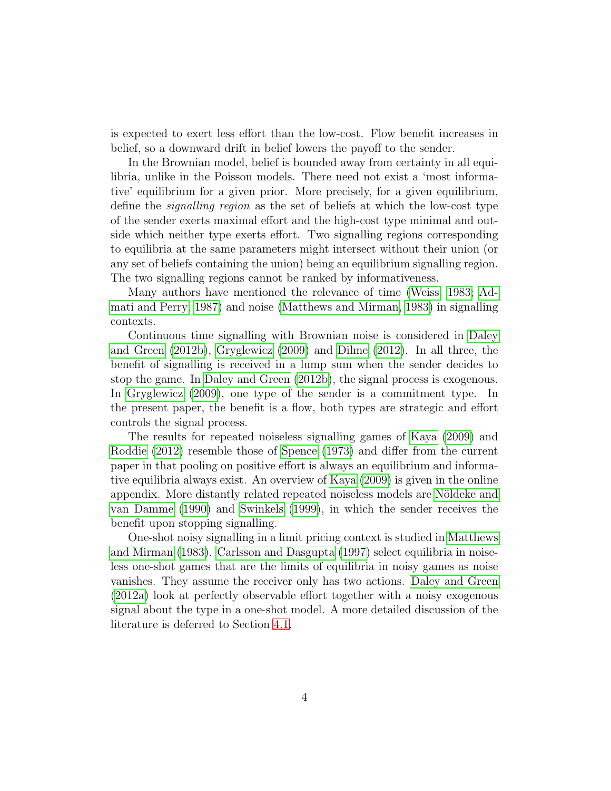is expected to exert less effort than the low-cost. Flow benefit increases in belief, so a downward drift in belief lowers the payoff to the sender.

In the Brownian model, belief is bounded away from certainty in all equilibria, unlike in the Poisson models. There need not exist a 'most informative' equilibrium for a given prior. More precisely, for a given equilibrium, define the signalling region as the set of beliefs at which the low-cost type of the sender exerts maximal effort and the high-cost type minimal and outside which neither type exerts effort. Two signalling regions corresponding to equilibria at the same parameters might intersect without their union (or any set of beliefs containing the union) being an equilibrium signalling region. The two signalling regions cannot be ranked by informativeness.

Many authors have mentioned the relevance of time [\(Weiss, 1983;](#page-49-1) [Ad](#page-47-0)[mati and Perry, 1987\)](#page-47-0) and noise [\(Matthews and Mirman, 1983\)](#page-48-0) in signalling contexts.

Continuous time signalling with Brownian noise is considered in [Daley](#page-47-1) [and Green](#page-47-1) [\(2012b\)](#page-47-1), [Gryglewicz](#page-48-1) [\(2009\)](#page-48-1) and [Dilme](#page-47-2) [\(2012\)](#page-47-2). In all three, the benefit of signalling is received in a lump sum when the sender decides to stop the game. In [Daley and Green](#page-47-1) [\(2012b\)](#page-47-1), the signal process is exogenous. In [Gryglewicz](#page-48-1) [\(2009\)](#page-48-1), one type of the sender is a commitment type. In the present paper, the benefit is a flow, both types are strategic and effort controls the signal process.

The results for repeated noiseless signalling games of [Kaya](#page-48-2) [\(2009\)](#page-48-2) and [Roddie](#page-49-2) [\(2012\)](#page-49-2) resemble those of [Spence](#page-49-0) [\(1973\)](#page-49-0) and differ from the current paper in that pooling on positive effort is always an equilibrium and informative equilibria always exist. An overview of [Kaya](#page-48-2) [\(2009\)](#page-48-2) is given in the online appendix. More distantly related repeated noiseless models are Nöldeke and [van Damme](#page-48-3) [\(1990\)](#page-48-3) and [Swinkels](#page-49-3) [\(1999\)](#page-49-3), in which the sender receives the benefit upon stopping signalling.

One-shot noisy signalling in a limit pricing context is studied in [Matthews](#page-48-0) [and Mirman](#page-48-0) [\(1983\)](#page-48-0). [Carlsson and Dasgupta](#page-47-3) [\(1997\)](#page-47-3) select equilibria in noiseless one-shot games that are the limits of equilibria in noisy games as noise vanishes. They assume the receiver only has two actions. [Daley and Green](#page-47-4) [\(2012a\)](#page-47-4) look at perfectly observable effort together with a noisy exogenous signal about the type in a one-shot model. A more detailed discussion of the literature is deferred to Section [4.1.](#page-32-0)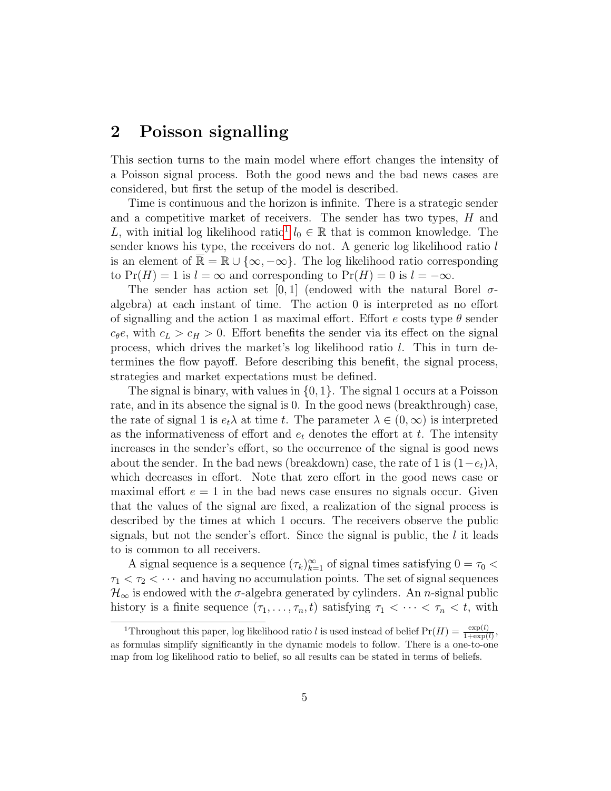## 2 Poisson signalling

This section turns to the main model where effort changes the intensity of a Poisson signal process. Both the good news and the bad news cases are considered, but first the setup of the model is described.

Time is continuous and the horizon is infinite. There is a strategic sender and a competitive market of receivers. The sender has two types,  $H$  and L, with initial log likelihood ratio<sup>[1](#page-4-0)</sup>  $l_0 \in \mathbb{R}$  that is common knowledge. The sender knows his type, the receivers do not. A generic log likelihood ratio l is an element of  $\overline{\mathbb{R}} = \mathbb{R} \cup \{\infty, -\infty\}.$  The log likelihood ratio corresponding to  $Pr(H) = 1$  is  $l = \infty$  and corresponding to  $Pr(H) = 0$  is  $l = -\infty$ .

The sender has action set [0,1] (endowed with the natural Borel  $\sigma$ algebra) at each instant of time. The action 0 is interpreted as no effort of signalling and the action 1 as maximal effort. Effort e costs type  $\theta$  sender  $c_{\theta}e$ , with  $c_L > c_H > 0$ . Effort benefits the sender via its effect on the signal process, which drives the market's log likelihood ratio l. This in turn determines the flow payoff. Before describing this benefit, the signal process, strategies and market expectations must be defined.

The signal is binary, with values in  $\{0, 1\}$ . The signal 1 occurs at a Poisson rate, and in its absence the signal is 0. In the good news (breakthrough) case, the rate of signal 1 is  $e_t\lambda$  at time t. The parameter  $\lambda \in (0,\infty)$  is interpreted as the informativeness of effort and  $e_t$  denotes the effort at t. The intensity increases in the sender's effort, so the occurrence of the signal is good news about the sender. In the bad news (breakdown) case, the rate of 1 is  $(1-e_t)\lambda$ , which decreases in effort. Note that zero effort in the good news case or maximal effort  $e = 1$  in the bad news case ensures no signals occur. Given that the values of the signal are fixed, a realization of the signal process is described by the times at which 1 occurs. The receivers observe the public signals, but not the sender's effort. Since the signal is public, the  $l$  it leads to is common to all receivers.

A signal sequence is a sequence  $(\tau_k)_{k=1}^{\infty}$  of signal times satisfying  $0 = \tau_0 <$  $\tau_1 < \tau_2 < \cdots$  and having no accumulation points. The set of signal sequences  $\mathcal{H}_{\infty}$  is endowed with the  $\sigma$ -algebra generated by cylinders. An *n*-signal public history is a finite sequence  $(\tau_1, \ldots, \tau_n, t)$  satisfying  $\tau_1 < \cdots < \tau_n < t$ , with

<span id="page-4-0"></span><sup>&</sup>lt;sup>1</sup>Throughout this paper, log likelihood ratio l is used instead of belief  $Pr(H) = \frac{exp(l)}{1+exp(l)}$ , as formulas simplify significantly in the dynamic models to follow. There is a one-to-one map from log likelihood ratio to belief, so all results can be stated in terms of beliefs.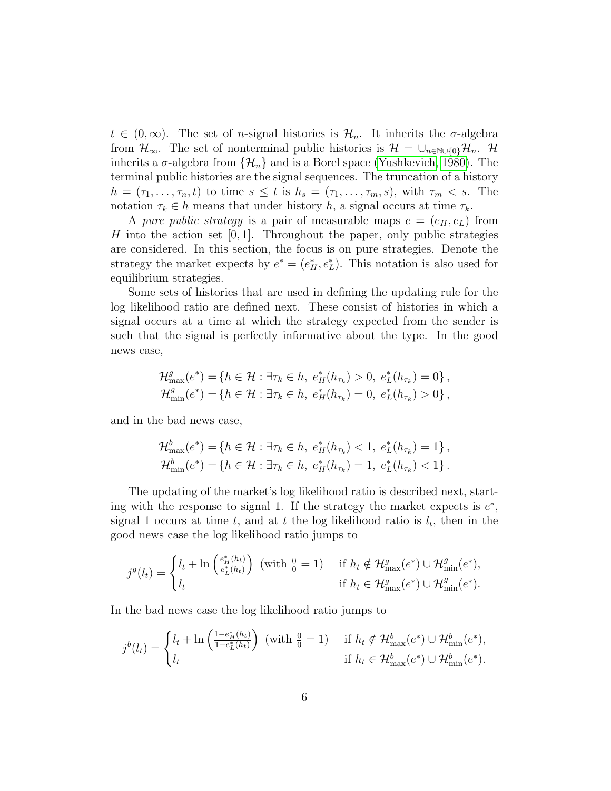$t \in (0,\infty)$ . The set of *n*-signal histories is  $\mathcal{H}_n$ . It inherits the  $\sigma$ -algebra from  $\mathcal{H}_{\infty}$ . The set of nonterminal public histories is  $\mathcal{H} = \cup_{n \in \mathbb{N} \cup \{0\}} \mathcal{H}_n$ . H inherits a  $\sigma$ -algebra from  $\{\mathcal{H}_n\}$  and is a Borel space [\(Yushkevich, 1980\)](#page-49-4). The terminal public histories are the signal sequences. The truncation of a history  $h = (\tau_1, \ldots, \tau_n, t)$  to time  $s \leq t$  is  $h_s = (\tau_1, \ldots, \tau_m, s)$ , with  $\tau_m < s$ . The notation  $\tau_k \in h$  means that under history h, a signal occurs at time  $\tau_k$ .

A pure public strategy is a pair of measurable maps  $e = (e_H, e_L)$  from H into the action set  $[0, 1]$ . Throughout the paper, only public strategies are considered. In this section, the focus is on pure strategies. Denote the strategy the market expects by  $e^* = (e_H^*, e_L^*)$ . This notation is also used for equilibrium strategies.

Some sets of histories that are used in defining the updating rule for the log likelihood ratio are defined next. These consist of histories in which a signal occurs at a time at which the strategy expected from the sender is such that the signal is perfectly informative about the type. In the good news case,

$$
\mathcal{H}_{\max}^g(e^*) = \{ h \in \mathcal{H} : \exists \tau_k \in h, e_H^*(h_{\tau_k}) > 0, e_L^*(h_{\tau_k}) = 0 \}, \mathcal{H}_{\min}^g(e^*) = \{ h \in \mathcal{H} : \exists \tau_k \in h, e_H^*(h_{\tau_k}) = 0, e_L^*(h_{\tau_k}) > 0 \},
$$

and in the bad news case,

$$
\mathcal{H}_{\max}^b(e^*) = \{ h \in \mathcal{H} : \exists \tau_k \in h, \ e_H^*(h_{\tau_k}) < 1, \ e_L^*(h_{\tau_k}) = 1 \},
$$
\n
$$
\mathcal{H}_{\min}^b(e^*) = \{ h \in \mathcal{H} : \exists \tau_k \in h, \ e_H^*(h_{\tau_k}) = 1, \ e_L^*(h_{\tau_k}) < 1 \} \,.
$$

The updating of the market's log likelihood ratio is described next, starting with the response to signal 1. If the strategy the market expects is  $e^*$ , signal 1 occurs at time t, and at t the log likelihood ratio is  $l_t$ , then in the good news case the log likelihood ratio jumps to

$$
j^{g}(l_{t}) = \begin{cases} l_{t} + \ln\left(\frac{e_{L}^{*}(h_{t})}{e_{L}^{*}(h_{t})}\right) & (\text{with } \frac{0}{0} = 1) & \text{if } h_{t} \notin \mathcal{H}_{\max}^{g}(e^{*}) \cup \mathcal{H}_{\min}^{g}(e^{*}),\\ l_{t} & \text{if } h_{t} \in \mathcal{H}_{\max}^{g}(e^{*}) \cup \mathcal{H}_{\min}^{g}(e^{*}). \end{cases}
$$

In the bad news case the log likelihood ratio jumps to

$$
j^{b}(l_{t}) = \begin{cases} l_{t} + \ln\left(\frac{1-e_{H}^{*}(h_{t})}{1-e_{L}^{*}(h_{t})}\right) & (\text{with } \frac{0}{0} = 1) & \text{if } h_{t} \notin \mathcal{H}^{b}_{\max}(e^{*}) \cup \mathcal{H}^{b}_{\min}(e^{*}), \\ l_{t} & \text{if } h_{t} \in \mathcal{H}^{b}_{\max}(e^{*}) \cup \mathcal{H}^{b}_{\min}(e^{*}). \end{cases}
$$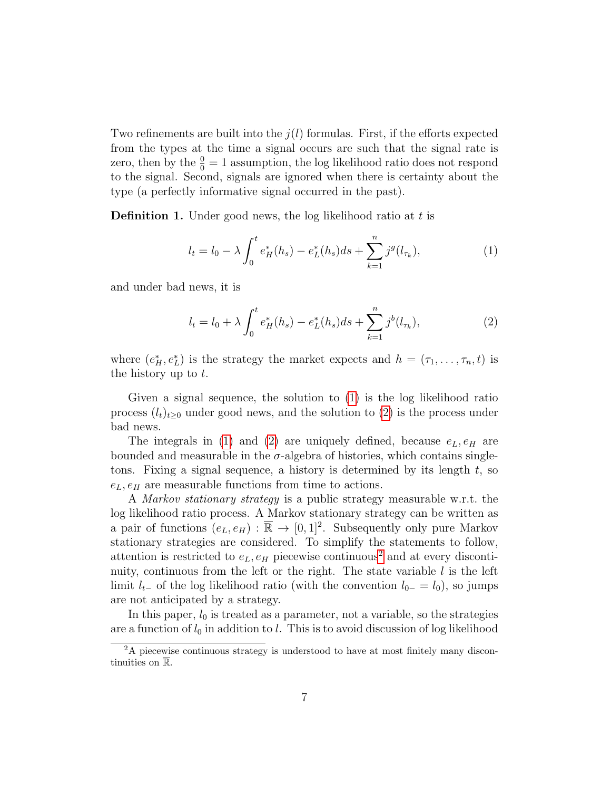Two refinements are built into the  $j(l)$  formulas. First, if the efforts expected from the types at the time a signal occurs are such that the signal rate is zero, then by the  $\frac{0}{0} = 1$  assumption, the log likelihood ratio does not respond to the signal. Second, signals are ignored when there is certainty about the type (a perfectly informative signal occurred in the past).

<span id="page-6-3"></span>**Definition 1.** Under good news, the log likelihood ratio at  $t$  is

<span id="page-6-0"></span>
$$
l_t = l_0 - \lambda \int_0^t e_H^*(h_s) - e_L^*(h_s)ds + \sum_{k=1}^n j^g(l_{\tau_k}), \tag{1}
$$

and under bad news, it is

<span id="page-6-1"></span>
$$
l_t = l_0 + \lambda \int_0^t e_H^*(h_s) - e_L^*(h_s)ds + \sum_{k=1}^n j^b(l_{\tau_k}), \tag{2}
$$

where  $(e_H^*, e_L^*)$  is the strategy the market expects and  $h = (\tau_1, \ldots, \tau_n, t)$  is the history up to t.

Given a signal sequence, the solution to [\(1\)](#page-6-0) is the log likelihood ratio process  $(l_t)_{t>0}$  under good news, and the solution to [\(2\)](#page-6-1) is the process under bad news.

The integrals in [\(1\)](#page-6-0) and [\(2\)](#page-6-1) are uniquely defined, because  $e<sub>L</sub>, e<sub>H</sub>$  are bounded and measurable in the  $\sigma$ -algebra of histories, which contains singletons. Fixing a signal sequence, a history is determined by its length t, so  $e<sub>L</sub>, e<sub>H</sub>$  are measurable functions from time to actions.

A Markov stationary strategy is a public strategy measurable w.r.t. the log likelihood ratio process. A Markov stationary strategy can be written as a pair of functions  $(e_L, e_H) : \overline{\mathbb{R}} \to [0, 1]^2$ . Subsequently only pure Markov stationary strategies are considered. To simplify the statements to follow, attention is restricted to  $e<sub>L</sub>, e<sub>H</sub>$  piecewise continuous<sup>[2](#page-6-2)</sup> and at every discontinuity, continuous from the left or the right. The state variable  $l$  is the left limit  $l_{t-}$  of the log likelihood ratio (with the convention  $l_{0-} = l_0$ ), so jumps are not anticipated by a strategy.

In this paper,  $l_0$  is treated as a parameter, not a variable, so the strategies are a function of  $l_0$  in addition to l. This is to avoid discussion of log likelihood

<span id="page-6-2"></span><sup>&</sup>lt;sup>2</sup>A piecewise continuous strategy is understood to have at most finitely many discontinuities on  $\overline{\mathbb{R}}$ .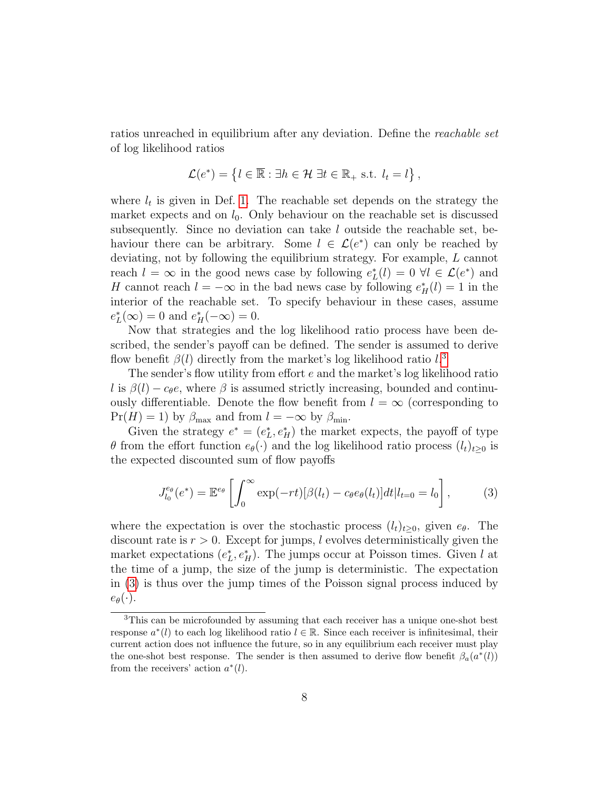ratios unreached in equilibrium after any deviation. Define the reachable set of log likelihood ratios

$$
\mathcal{L}(e^*) = \{l \in \overline{\mathbb{R}} : \exists h \in \mathcal{H} \; \exists t \in \mathbb{R}_+ \text{ s.t. } l_t = l\},
$$

where  $l_t$  is given in Def. [1.](#page-6-3) The reachable set depends on the strategy the market expects and on  $l_0$ . Only behaviour on the reachable set is discussed subsequently. Since no deviation can take l outside the reachable set, behaviour there can be arbitrary. Some  $l \in \mathcal{L}(e^*)$  can only be reached by deviating, not by following the equilibrium strategy. For example, L cannot reach  $l = \infty$  in the good news case by following  $e_L^*(l) = 0 \ \forall l \in \mathcal{L}(e^*)$  and H cannot reach  $l = -\infty$  in the bad news case by following  $e_H^*(l) = 1$  in the interior of the reachable set. To specify behaviour in these cases, assume  $e_L^*(\infty) = 0$  and  $e_H^*(-\infty) = 0$ .

Now that strategies and the log likelihood ratio process have been described, the sender's payoff can be defined. The sender is assumed to derive flow benefit  $\beta(l)$  directly from the market's log likelihood ratio  $l$ <sup>[3](#page-7-0)</sup>

The sender's flow utility from effort e and the market's log likelihood ratio l is  $\beta(l) - c_{\theta}e$ , where  $\beta$  is assumed strictly increasing, bounded and continuously differentiable. Denote the flow benefit from  $l = \infty$  (corresponding to  $Pr(H) = 1$ ) by  $\beta_{\text{max}}$  and from  $l = -\infty$  by  $\beta_{\text{min}}$ .

Given the strategy  $e^* = (e_L^*, e_H^*)$  the market expects, the payoff of type θ from the effort function  $e_{θ}(\cdot)$  and the log likelihood ratio process  $(l_t)_{t>0}$  is the expected discounted sum of flow payoffs

<span id="page-7-1"></span>
$$
J_{l_0}^{e_{\theta}}(e^*) = \mathbb{E}^{e_{\theta}} \left[ \int_0^{\infty} \exp(-rt) [\beta(l_t) - c_{\theta} e_{\theta}(l_t)] dt | l_{t=0} = l_0 \right],
$$
 (3)

where the expectation is over the stochastic process  $(l_t)_{t\geq 0}$ , given  $e_{\theta}$ . The discount rate is  $r > 0$ . Except for jumps, l evolves deterministically given the market expectations  $(e_L^*, e_H^*)$ . The jumps occur at Poisson times. Given l at the time of a jump, the size of the jump is deterministic. The expectation in [\(3\)](#page-7-1) is thus over the jump times of the Poisson signal process induced by  $e_{\theta}(\cdot).$ 

<span id="page-7-0"></span><sup>3</sup>This can be microfounded by assuming that each receiver has a unique one-shot best response  $a^*(l)$  to each log likelihood ratio  $l \in \mathbb{R}$ . Since each receiver is infinitesimal, their current action does not influence the future, so in any equilibrium each receiver must play the one-shot best response. The sender is then assumed to derive flow benefit  $\beta_a(a^*(l))$ from the receivers' action  $a^*(l)$ .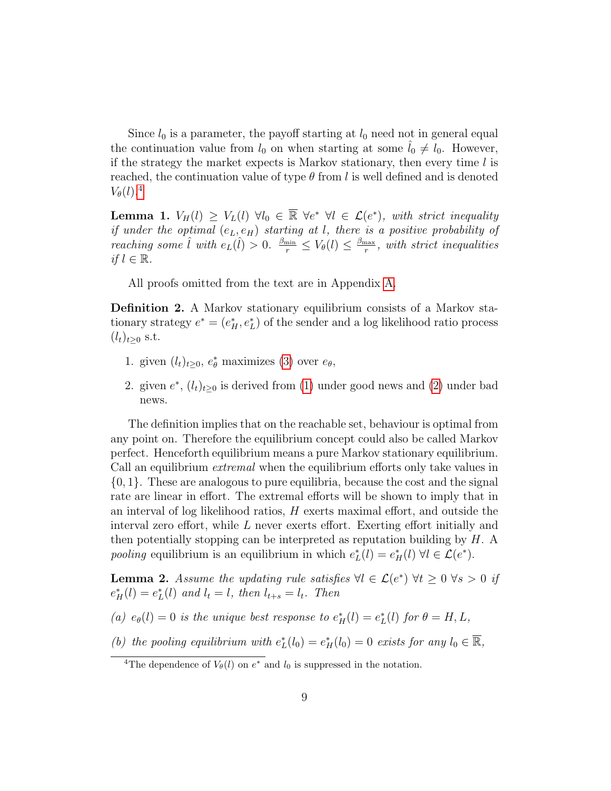Since  $l_0$  is a parameter, the payoff starting at  $l_0$  need not in general equal the continuation value from  $l_0$  on when starting at some  $l_0 \neq l_0$ . However, if the strategy the market expects is Markov stationary, then every time  $l$  is reached, the continuation value of type  $\theta$  from l is well defined and is denoted  $V_{\theta}(l)$ .<sup>[4](#page-8-0)</sup>

<span id="page-8-2"></span>**Lemma 1.**  $V_H(l) \geq V_L(l) \ \forall l_0 \in \overline{\mathbb{R}} \ \forall e^* \ \forall l \in \mathcal{L}(e^*)$ , with strict inequality if under the optimal  $(e_L, e_H)$  starting at l, there is a positive probability of reaching some  $\hat{l}$  with  $e_L(\hat{l}) > 0$ .  $\frac{\beta_{\min}}{r} \leq V_\theta(l) \leq \frac{\beta_{\max}}{r}$  $\frac{\text{max}}{r}$ , with strict inequalities if  $l \in \mathbb{R}$ .

All proofs omitted from the text are in Appendix [A.](#page-36-0)

Definition 2. A Markov stationary equilibrium consists of a Markov stationary strategy  $e^* = (e_H^*, e_L^*)$  of the sender and a log likelihood ratio process  $(l_t)_{t>0}$  s.t.

- 1. given  $(l_t)_{t\geq0}$ ,  $e^*_{\theta}$  maximizes [\(3\)](#page-7-1) over  $e_{\theta}$ ,
- 2. given  $e^*$ ,  $(l_t)_{t\geq 0}$  is derived from [\(1\)](#page-6-0) under good news and [\(2\)](#page-6-1) under bad news.

The definition implies that on the reachable set, behaviour is optimal from any point on. Therefore the equilibrium concept could also be called Markov perfect. Henceforth equilibrium means a pure Markov stationary equilibrium. Call an equilibrium extremal when the equilibrium efforts only take values in {0, 1}. These are analogous to pure equilibria, because the cost and the signal rate are linear in effort. The extremal efforts will be shown to imply that in an interval of log likelihood ratios,  $H$  exerts maximal effort, and outside the interval zero effort, while L never exerts effort. Exerting effort initially and then potentially stopping can be interpreted as reputation building by H. A pooling equilibrium is an equilibrium in which  $e_L^*(l) = e_H^*(l) \ \forall l \in \mathcal{L}(e^*).$ 

<span id="page-8-1"></span>**Lemma 2.** Assume the updating rule satisfies  $\forall l \in \mathcal{L}(e^*) \ \forall t \geq 0 \ \forall s > 0$  if  $e_H^*(l) = e_L^*(l)$  and  $l_t = l$ , then  $l_{t+s} = l_t$ . Then

(a)  $e_{\theta}(l) = 0$  is the unique best response to  $e_H^*(l) = e_L^*(l)$  for  $\theta = H, L$ ,

(b) the pooling equilibrium with  $e_L^*(l_0) = e_H^*(l_0) = 0$  exists for any  $l_0 \in \overline{\mathbb{R}}$ ,

<span id="page-8-0"></span><sup>&</sup>lt;sup>4</sup>The dependence of  $V_{\theta}(l)$  on  $e^*$  and  $l_0$  is suppressed in the notation.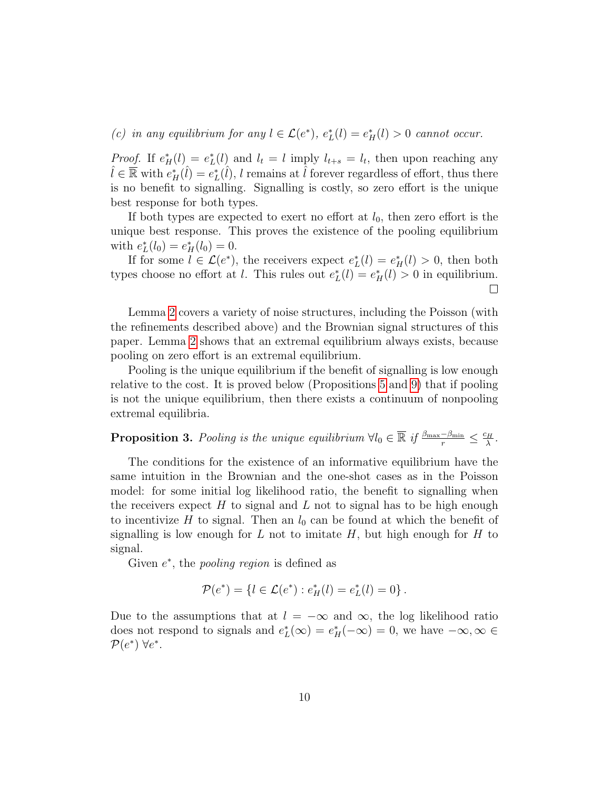(c) in any equilibrium for any  $l \in \mathcal{L}(e^*), e^*_{\mathcal{L}}(l) = e^*_{\mathcal{H}}(l) > 0$  cannot occur.

*Proof.* If  $e_H^*(l) = e_L^*(l)$  and  $l_t = l$  imply  $l_{t+s} = l_t$ , then upon reaching any  $\hat{l} \in \mathbb{R}$  with  $e_H^*(\hat{l}) = e_L^*(\hat{l}), l$  remains at  $\hat{l}$  forever regardless of effort, thus there is no benefit to signalling. Signalling is costly, so zero effort is the unique best response for both types.

If both types are expected to exert no effort at  $l_0$ , then zero effort is the unique best response. This proves the existence of the pooling equilibrium with  $e_L^*(l_0) = e_H^*(l_0) = 0.$ 

If for some  $l \in \mathcal{L}(e^*)$ , the receivers expect  $e^*_{L}(l) = e^*_{H}(l) > 0$ , then both types choose no effort at *l*. This rules out  $e_L^*(l) = e_H^*(l) > 0$  in equilibrium.  $\Box$ 

Lemma [2](#page-8-1) covers a variety of noise structures, including the Poisson (with the refinements described above) and the Brownian signal structures of this paper. Lemma [2](#page-8-1) shows that an extremal equilibrium always exists, because pooling on zero effort is an extremal equilibrium.

Pooling is the unique equilibrium if the benefit of signalling is low enough relative to the cost. It is proved below (Propositions [5](#page-14-0) and [9\)](#page-19-0) that if pooling is not the unique equilibrium, then there exists a continuum of nonpooling extremal equilibria.

<span id="page-9-0"></span>**Proposition 3.** Pooling is the unique equilibrium  $\forall l_0 \in \overline{\mathbb{R}}$  if  $\frac{\beta_{\max}-\beta_{\min}}{r} \leq \frac{c_H}{\lambda}$  $\frac{H}{\lambda}$  .

The conditions for the existence of an informative equilibrium have the same intuition in the Brownian and the one-shot cases as in the Poisson model: for some initial log likelihood ratio, the benefit to signalling when the receivers expect  $H$  to signal and  $L$  not to signal has to be high enough to incentivize H to signal. Then an  $l_0$  can be found at which the benefit of signalling is low enough for L not to imitate  $H$ , but high enough for H to signal.

Given  $e^*$ , the *pooling region* is defined as

$$
\mathcal{P}(e^*) = \{l \in \mathcal{L}(e^*) : e^*_H(l) = e^*_L(l) = 0\}.
$$

Due to the assumptions that at  $l = -\infty$  and  $\infty$ , the log likelihood ratio does not respond to signals and  $e_L^*(\infty) = e_H^*(-\infty) = 0$ , we have  $-\infty, \infty \in$  $\mathcal{P}(e^*)$   $\forall e^*$ .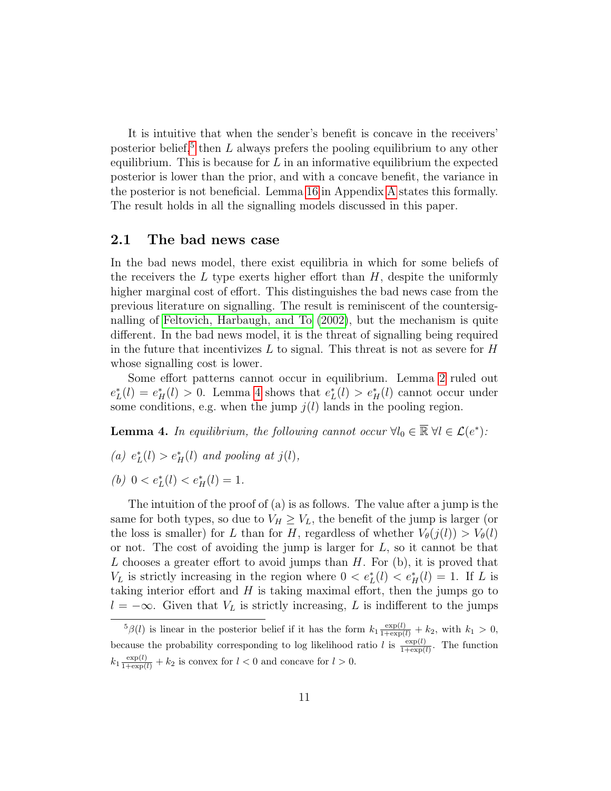It is intuitive that when the sender's benefit is concave in the receivers' posterior belief,<sup>[5](#page-10-0)</sup> then  $L$  always prefers the pooling equilibrium to any other equilibrium. This is because for  $L$  in an informative equilibrium the expected posterior is lower than the prior, and with a concave benefit, the variance in the posterior is not beneficial. Lemma [16](#page-36-1) in Appendix [A](#page-36-0) states this formally. The result holds in all the signalling models discussed in this paper.

#### 2.1 The bad news case

In the bad news model, there exist equilibria in which for some beliefs of the receivers the  $L$  type exerts higher effort than  $H$ , despite the uniformly higher marginal cost of effort. This distinguishes the bad news case from the previous literature on signalling. The result is reminiscent of the countersignalling of [Feltovich, Harbaugh, and To](#page-48-4) [\(2002\)](#page-48-4), but the mechanism is quite different. In the bad news model, it is the threat of signalling being required in the future that incentivizes  $L$  to signal. This threat is not as severe for  $H$ whose signalling cost is lower.

Some effort patterns cannot occur in equilibrium. Lemma [2](#page-8-1) ruled out  $e_L^*(l) = e_H^*(l) > 0$ . Lemma [4](#page-10-1) shows that  $e_L^*(l) > e_H^*(l)$  cannot occur under some conditions, e.g. when the jump  $j(l)$  lands in the pooling region.

<span id="page-10-1"></span>**Lemma 4.** In equilibrium, the following cannot occur  $\forall l_0 \in \mathbb{R} \ \forall l \in \mathcal{L}(e^*)$ :

(a)  $e^*_{L}(l) > e^*_{H}(l)$  and pooling at  $j(l)$ ,

(b)  $0 < e^*_{L}(l) < e^*_{H}(l) = 1$ .

The intuition of the proof of (a) is as follows. The value after a jump is the same for both types, so due to  $V_H \geq V_L$ , the benefit of the jump is larger (or the loss is smaller) for L than for H, regardless of whether  $V_{\theta}(j(l)) > V_{\theta}(l)$ or not. The cost of avoiding the jump is larger for  $L$ , so it cannot be that L chooses a greater effort to avoid jumps than  $H$ . For  $(b)$ , it is proved that  $V_L$  is strictly increasing in the region where  $0 < e^*_L(l) < e^*_H(l) = 1$ . If L is taking interior effort and  $H$  is taking maximal effort, then the jumps go to  $l = -\infty$ . Given that  $V_L$  is strictly increasing, L is indifferent to the jumps

<span id="page-10-0"></span> ${}^5\beta(l)$  is linear in the posterior belief if it has the form  $k_1 \frac{\exp(l)}{1+\exp(l)} + k_2$ , with  $k_1 > 0$ , because the probability corresponding to log likelihood ratio l is  $\frac{\exp(l)}{1+\exp(l)}$ . The function  $k_1 \frac{\exp(l)}{1+\exp(l)} + k_2$  is convex for  $l < 0$  and concave for  $l > 0$ .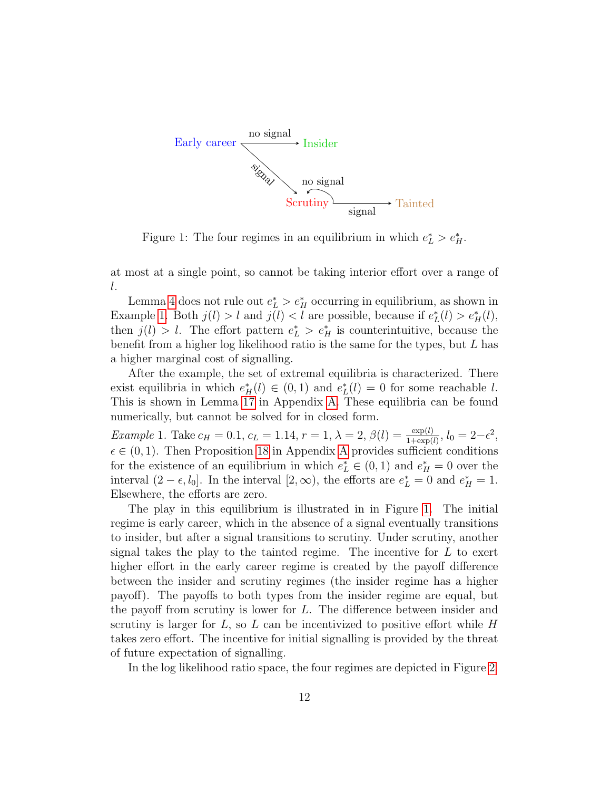<span id="page-11-1"></span>

Figure 1: The four regimes in an equilibrium in which  $e^*_{\mathcal{L}} > e^*_{\mathcal{H}}$ .

at most at a single point, so cannot be taking interior effort over a range of l.

Lemma [4](#page-10-1) does not rule out  $e^*_{\mathcal{L}} > e^*_{\mathcal{H}}$  occurring in equilibrium, as shown in Example [1.](#page-11-0) Both  $j(l) > l$  and  $j(l) < l$  are possible, because if  $e^*_{L}(l) > e^*_{H}(l)$ , then  $j(l) > l$ . The effort pattern  $e^*_{L} > e^*_{H}$  is counterintuitive, because the benefit from a higher log likelihood ratio is the same for the types, but L has a higher marginal cost of signalling.

After the example, the set of extremal equilibria is characterized. There exist equilibria in which  $e^*_H(l) \in (0,1)$  and  $e^*_L(l) = 0$  for some reachable l. This is shown in Lemma [17](#page-38-0) in Appendix [A.](#page-36-0) These equilibria can be found numerically, but cannot be solved for in closed form.

<span id="page-11-0"></span>Example 1. Take  $c_H = 0.1$ ,  $c_L = 1.14$ ,  $r = 1$ ,  $\lambda = 2$ ,  $\beta(l) = \frac{\exp(l)}{1 + \exp(l)}$ ,  $l_0 = 2 - \epsilon^2$ ,  $\epsilon \in (0, 1)$ . Then Proposition [18](#page-38-1) in [A](#page-36-0)ppendix A provides sufficient conditions for the existence of an equilibrium in which  $e^*_{\mathcal{L}} \in (0,1)$  and  $e^*_{\mathcal{H}} = 0$  over the interval  $(2 - \epsilon, l_0]$ . In the interval  $[2, \infty)$ , the efforts are  $e_L^* = 0$  and  $e_H^* = 1$ . Elsewhere, the efforts are zero.

The play in this equilibrium is illustrated in in Figure [1.](#page-11-1) The initial regime is early career, which in the absence of a signal eventually transitions to insider, but after a signal transitions to scrutiny. Under scrutiny, another signal takes the play to the tainted regime. The incentive for  $L$  to exert higher effort in the early career regime is created by the payoff difference between the insider and scrutiny regimes (the insider regime has a higher payoff). The payoffs to both types from the insider regime are equal, but the payoff from scrutiny is lower for L. The difference between insider and scrutiny is larger for  $L$ , so  $L$  can be incentivized to positive effort while  $H$ takes zero effort. The incentive for initial signalling is provided by the threat of future expectation of signalling.

In the log likelihood ratio space, the four regimes are depicted in Figure [2.](#page-12-0)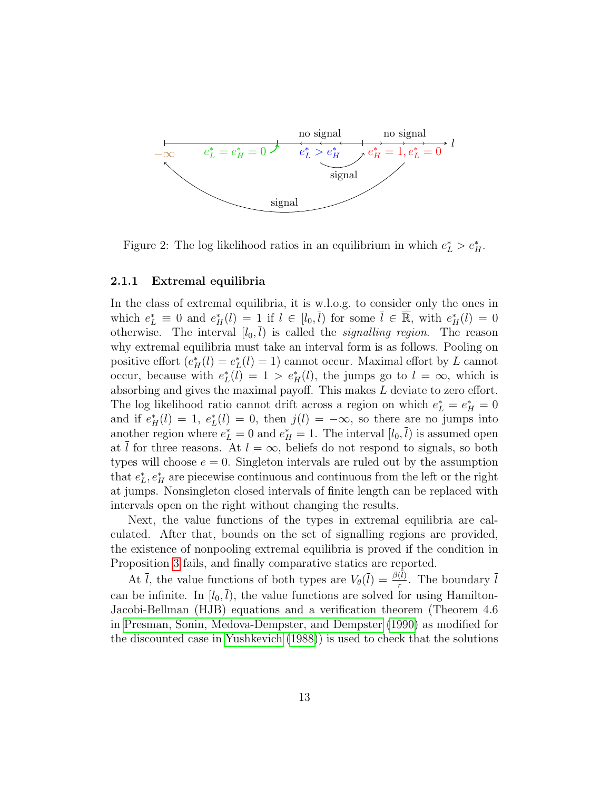<span id="page-12-0"></span>

Figure 2: The log likelihood ratios in an equilibrium in which  $e^*_{\mathcal{L}} > e^*_{\mathcal{H}}$ .

#### 2.1.1 Extremal equilibria

In the class of extremal equilibria, it is w.l.o.g. to consider only the ones in which  $e_L^* \equiv 0$  and  $e_H^*(l) = 1$  if  $l \in [l_0, \bar{l})$  for some  $\bar{l} \in \overline{\mathbb{R}}$ , with  $e_H^*(l) = 0$ otherwise. The interval  $[l_0, \bar{l})$  is called the *signalling region*. The reason why extremal equilibria must take an interval form is as follows. Pooling on positive effort  $(e^*_H(l) = e^*_L(l) = 1)$  cannot occur. Maximal effort by L cannot occur, because with  $e_L^*(l) = 1 > e_H^*(l)$ , the jumps go to  $l = \infty$ , which is absorbing and gives the maximal payoff. This makes L deviate to zero effort. The log likelihood ratio cannot drift across a region on which  $e_L^* = e_H^* = 0$ and if  $e_H^*(l) = 1$ ,  $e_L^*(l) = 0$ , then  $j(l) = -\infty$ , so there are no jumps into another region where  $e_L^* = 0$  and  $e_H^* = 1$ . The interval  $[l_0, \bar{l})$  is assumed open at l for three reasons. At  $l = \infty$ , beliefs do not respond to signals, so both types will choose  $e = 0$ . Singleton intervals are ruled out by the assumption that  $e_L^*, e_H^*$  are piecewise continuous and continuous from the left or the right at jumps. Nonsingleton closed intervals of finite length can be replaced with intervals open on the right without changing the results.

Next, the value functions of the types in extremal equilibria are calculated. After that, bounds on the set of signalling regions are provided, the existence of nonpooling extremal equilibria is proved if the condition in Proposition [3](#page-9-0) fails, and finally comparative statics are reported.

At  $\bar{l}$ , the value functions of both types are  $V_{\theta}(\bar{l}) = \frac{\beta(l)}{r}$ . The boundary  $\bar{l}$ can be infinite. In  $[l_0, \bar{l})$ , the value functions are solved for using Hamilton-Jacobi-Bellman (HJB) equations and a verification theorem (Theorem 4.6 in [Presman, Sonin, Medova-Dempster, and Dempster](#page-49-5) [\(1990\)](#page-49-5) as modified for the discounted case in [Yushkevich](#page-49-6) [\(1988\)](#page-49-6)) is used to check that the solutions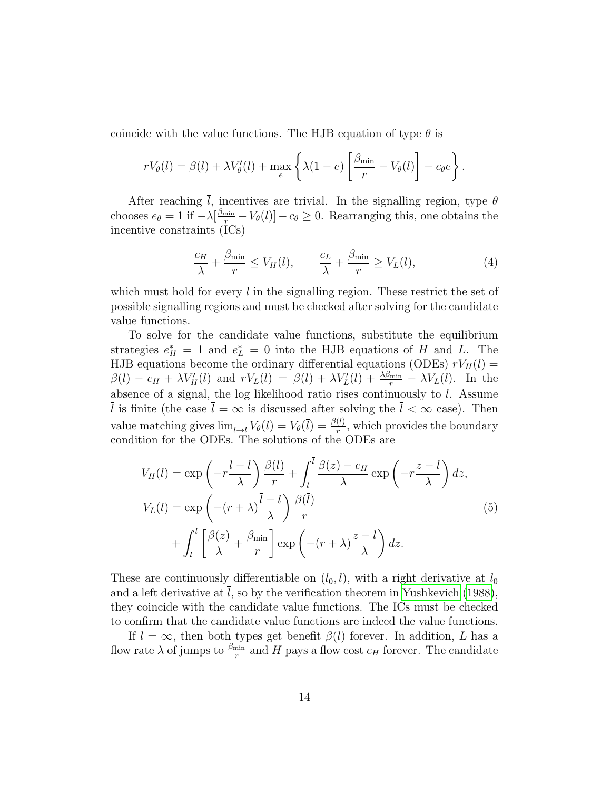coincide with the value functions. The HJB equation of type  $\theta$  is

$$
rV_{\theta}(l) = \beta(l) + \lambda V_{\theta}'(l) + \max_{e} \left\{ \lambda(1-e) \left[ \frac{\beta_{\min}}{r} - V_{\theta}(l) \right] - c_{\theta}e \right\}.
$$

After reaching  $\overline{l}$ , incentives are trivial. In the signalling region, type  $\theta$ chooses  $e_{\theta} = 1$  if  $-\lambda \left[\frac{\beta_{\min}}{r} - V_{\theta}(l)\right] - c_{\theta} \geq 0$ . Rearranging this, one obtains the incentive constraints (ICs)

<span id="page-13-0"></span>
$$
\frac{c_H}{\lambda} + \frac{\beta_{\min}}{r} \le V_H(l), \qquad \frac{c_L}{\lambda} + \frac{\beta_{\min}}{r} \ge V_L(l), \tag{4}
$$

which must hold for every  $l$  in the signalling region. These restrict the set of possible signalling regions and must be checked after solving for the candidate value functions.

To solve for the candidate value functions, substitute the equilibrium strategies  $e_H^* = 1$  and  $e_L^* = 0$  into the HJB equations of H and L. The HJB equations become the ordinary differential equations (ODEs)  $rV_H(l)$  =  $\beta(l) - c_H + \lambda V_H'(l)$  and  $rV_L(l) = \beta(l) + \lambda V_L'(l) + \frac{\lambda \beta_{\min}}{r} - \lambda V_L(l)$ . In the absence of a signal, the log likelihood ratio rises continuously to  $l$ . Assume  $\overline{l}$  is finite (the case  $\overline{l} = \infty$  is discussed after solving the  $\overline{l} < \infty$  case). Then value matching gives  $\lim_{l\to l} V_{\theta}(l) = V_{\theta}(\bar{l}) = \frac{\beta(l)}{r}$ , which provides the boundary condition for the ODEs. The solutions of the ODEs are

<span id="page-13-1"></span>
$$
V_H(l) = \exp\left(-r\frac{\bar{l}-l}{\lambda}\right)\frac{\beta(\bar{l})}{r} + \int_l^{\bar{l}} \frac{\beta(z) - c_H}{\lambda} \exp\left(-r\frac{z-l}{\lambda}\right) dz,
$$
  
\n
$$
V_L(l) = \exp\left(-(r+\lambda)\frac{\bar{l}-l}{\lambda}\right)\frac{\beta(\bar{l})}{r} + \int_l^{\bar{l}} \left[\frac{\beta(z)}{\lambda} + \frac{\beta_{\min}}{r}\right] \exp\left(-(r+\lambda)\frac{z-l}{\lambda}\right) dz.
$$
\n(5)

These are continuously differentiable on  $(l_0, \bar{l})$ , with a right derivative at  $l_0$ and a left derivative at  $l$ , so by the verification theorem in [Yushkevich](#page-49-6) [\(1988\)](#page-49-6), they coincide with the candidate value functions. The ICs must be checked to confirm that the candidate value functions are indeed the value functions.

If  $\overline{l} = \infty$ , then both types get benefit  $\beta(l)$  forever. In addition, L has a flow rate  $\lambda$  of jumps to  $\frac{\beta_{\min}}{r}$  and H pays a flow cost  $c_H$  forever. The candidate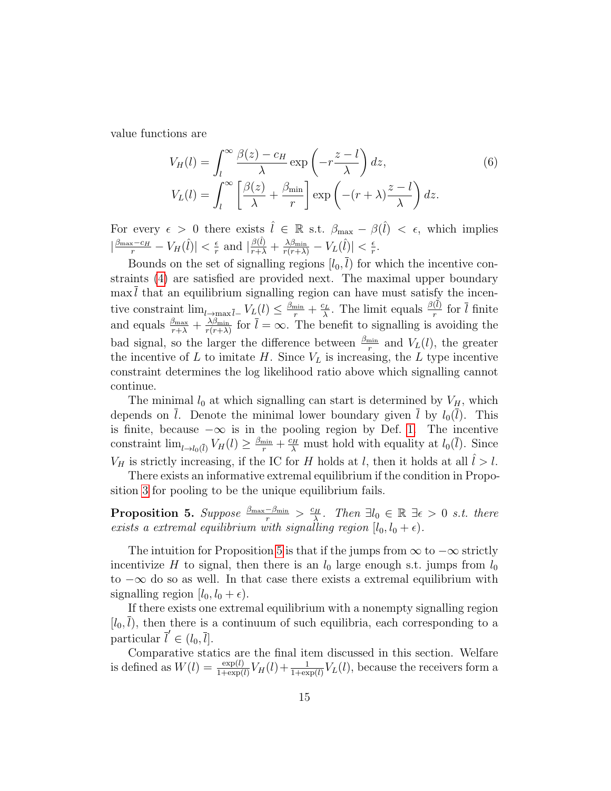value functions are

<span id="page-14-1"></span>
$$
V_H(l) = \int_l^{\infty} \frac{\beta(z) - c_H}{\lambda} \exp\left(-r\frac{z - l}{\lambda}\right) dz,
$$
\n
$$
V_L(l) = \int_l^{\infty} \left[\frac{\beta(z)}{\lambda} + \frac{\beta_{\min}}{r}\right] \exp\left(-(r + \lambda)\frac{z - l}{\lambda}\right) dz.
$$
\n(6)

For every  $\epsilon > 0$  there exists  $\hat{l} \in \mathbb{R}$  s.t.  $\beta_{\text{max}} - \beta(\hat{l}) < \epsilon$ , which implies  $\left|\frac{\beta_{\max}-c_H}{r}-V_H(\widehat{l})\right|<\frac{\epsilon}{r}$  $\frac{\epsilon}{r}$  and  $\left|\frac{\beta(\hat{l})}{r+\lambda} + \frac{\lambda\beta_{\min}}{r(r+\lambda)} - V_L(\hat{l})\right| < \frac{\epsilon}{r}$  $\frac{\epsilon}{r}$ .

Bounds on the set of signalling regions  $[l_0, \bar{l})$  for which the incentive constraints [\(4\)](#page-13-0) are satisfied are provided next. The maximal upper boundary  $\max l$  that an equilibrium signalling region can have must satisfy the incentive constraint  $\lim_{l \to \max \bar{l}^-} V_L(l) \leq \frac{\beta_{\min}}{r} + \frac{c_L}{\lambda}$  $\frac{\partial^2 L}{\partial \lambda}$ . The limit equals  $\frac{\beta(l)}{r}$  for  $\overline{l}$  finite and equals  $\frac{\beta_{\text{max}}}{r+\lambda} + \frac{\lambda \beta_{\text{min}}}{r(r+\lambda)}$  $\frac{\lambda\beta_{\min}}{r(r+\lambda)}$  for  $l=\infty$ . The benefit to signalling is avoiding the bad signal, so the larger the difference between  $\frac{\beta_{\min}}{r}$  and  $V_L(l)$ , the greater the incentive of  $L$  to imitate  $H$ . Since  $V_L$  is increasing, the  $L$  type incentive constraint determines the log likelihood ratio above which signalling cannot continue.

The minimal  $l_0$  at which signalling can start is determined by  $V_H$ , which depends on  $\overline{l}$ . Denote the minimal lower boundary given  $\overline{l}$  by  $l_0(\overline{l})$ . This is finite, because  $-\infty$  is in the pooling region by Def. [1.](#page-6-3) The incentive constraint  $\lim_{l\to l_0(\bar{l})} V_H(l) \geq \frac{\beta_{\min}}{r} + \frac{c_H}{\lambda}$  must hold with equality at  $l_0(\bar{l})$ . Since  $V_H$  is strictly increasing, if the IC for H holds at l, then it holds at all  $l > l$ .

There exists an informative extremal equilibrium if the condition in Proposition [3](#page-9-0) for pooling to be the unique equilibrium fails.

<span id="page-14-0"></span> $\textbf{Proposition 5.} \ \textit{Suppose} \ \frac{\beta_{\max}-\beta_{\min}}{r} > \frac{c_H}{\lambda}$  $\frac{\partial^2 H}{\partial \lambda}$ . Then  $\exists l_0 \in \mathbb{R} \exists \epsilon > 0$  s.t. there exists a extremal equilibrium with signalling region  $[l_0, l_0 + \epsilon)$ .

The intuition for Proposition [5](#page-14-0) is that if the jumps from  $\infty$  to  $-\infty$  strictly incentivize H to signal, then there is an  $l_0$  large enough s.t. jumps from  $l_0$ to  $-\infty$  do so as well. In that case there exists a extremal equilibrium with signalling region  $[l_0, l_0 + \epsilon]$ .

If there exists one extremal equilibrium with a nonempty signalling region  $[l_0, l)$ , then there is a continuum of such equilibria, each corresponding to a particular  $\overline{l}' \in (l_0, \overline{l}].$ 

Comparative statics are the final item discussed in this section. Welfare is defined as  $W(l) = \frac{\exp(l)}{1 + \exp(l)} V_H(l) + \frac{1}{1 + \exp(l)} V_L(l)$ , because the receivers form a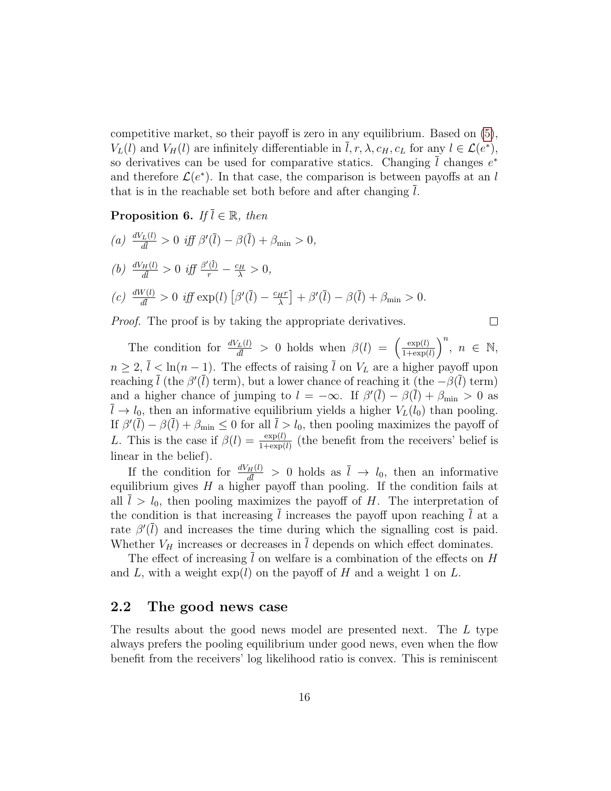competitive market, so their payoff is zero in any equilibrium. Based on [\(5\)](#page-13-1),  $V_L(l)$  and  $V_H(l)$  are infinitely differentiable in  $\overline{l}, r, \lambda, c_H, c_L$  for any  $l \in \mathcal{L}(e^*),$ so derivatives can be used for comparative statics. Changing  $\overline{l}$  changes  $e^*$ and therefore  $\mathcal{L}(e^*)$ . In that case, the comparison is between payoffs at an l that is in the reachable set both before and after changing l.

#### **Proposition 6.** If  $\overline{l} \in \mathbb{R}$ , then

(a) 
$$
\frac{dV_L(l)}{d\overline{l}} > 0 \quad \text{iff} \quad \beta'(\overline{l}) - \beta(\overline{l}) + \beta_{\min} > 0,
$$
  
(b) 
$$
\frac{dV_H(l)}{d\overline{l}} > 0 \quad \text{iff} \quad \frac{\beta'(\overline{l})}{r} - \frac{c_H}{\lambda} > 0,
$$
  
(c) 
$$
\frac{dW(l)}{d\overline{l}} > 0 \quad \text{iff} \quad \exp(l) \left[ \beta'(\overline{l}) - \frac{c_H r}{\lambda} \right] + \beta'(\overline{l}) - \beta(\overline{l}) + \beta_{\min} > 0.
$$

*Proof.* The proof is by taking the appropriate derivatives.

$$
\Box
$$

The condition for  $\frac{dV_L(l)}{d\bar{l}} > 0$  holds when  $\beta(l) = \begin{pmatrix} \frac{\exp(l)}{1+\exp(l)} & \frac{1}{2} \\ 0 & \frac{1}{2} \end{pmatrix}$  $\frac{\exp(l)}{1+\exp(l)}\right)^n$ ,  $n \in \mathbb{N}$ ,  $n \geq 2$ ,  $\overline{l} < \ln(n-1)$ . The effects of raising  $\overline{l}$  on  $V_L$  are a higher payoff upon reaching  $\bar{l}$  (the  $\beta'(\bar{l})$  term), but a lower chance of reaching it (the  $-\beta(\bar{l})$  term) and a higher chance of jumping to  $l = -\infty$ . If  $\beta'(\bar{l}) - \beta(\bar{l}) + \beta_{\min} > 0$  as  $\overline{l} \to l_0$ , then an informative equilibrium yields a higher  $V_L(l_0)$  than pooling. If  $\beta'(\bar{l}) - \beta(\bar{l}) + \beta_{\min} \leq 0$  for all  $\bar{l} > l_0$ , then pooling maximizes the payoff of L. This is the case if  $\beta(l) = \frac{\exp(l)}{1+\exp(l)}$  (the benefit from the receivers' belief is linear in the belief).

If the condition for  $\frac{dV_H(l)}{d\bar{l}} > 0$  holds as  $\bar{l} \to l_0$ , then an informative equilibrium gives  $H$  a higher payoff than pooling. If the condition fails at all  $\overline{l} > l_0$ , then pooling maximizes the payoff of H. The interpretation of the condition is that increasing  $\overline{l}$  increases the payoff upon reaching  $\overline{l}$  at a rate  $\beta(\bar{l})$  and increases the time during which the signalling cost is paid. Whether  $V_H$  increases or decreases in  $\overline{l}$  depends on which effect dominates.

The effect of increasing  $\overline{l}$  on welfare is a combination of the effects on H and L, with a weight  $\exp(l)$  on the payoff of H and a weight 1 on L.

#### 2.2 The good news case

The results about the good news model are presented next. The L type always prefers the pooling equilibrium under good news, even when the flow benefit from the receivers' log likelihood ratio is convex. This is reminiscent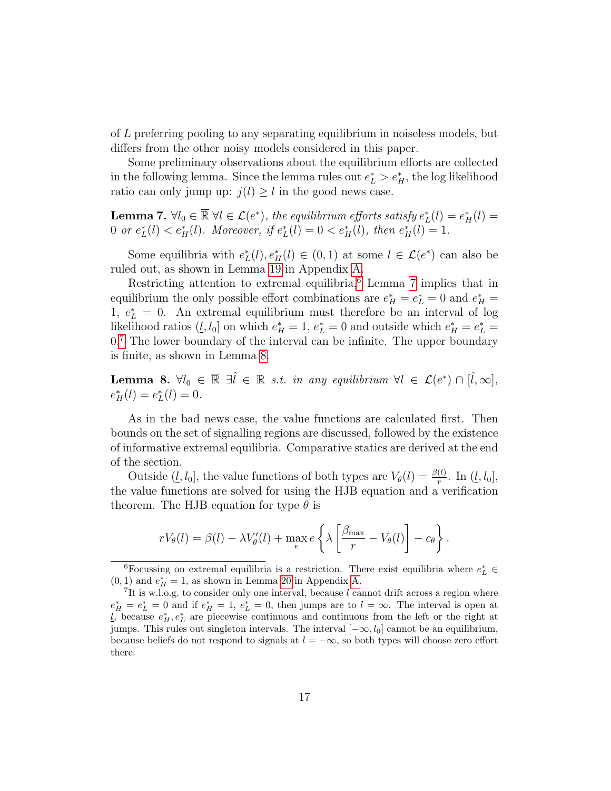of L preferring pooling to any separating equilibrium in noiseless models, but differs from the other noisy models considered in this paper.

Some preliminary observations about the equilibrium efforts are collected in the following lemma. Since the lemma rules out  $e_L^* > e_H^*$ , the log likelihood ratio can only jump up:  $j(l) \geq l$  in the good news case.

<span id="page-16-1"></span>**Lemma 7.**  $\forall l_0 \in \overline{\mathbb{R}} \ \forall l \in \mathcal{L}(e^*),\$  the equilibrium efforts satisfy  $e^*_L(l) = e^*_H(l)$ 0 or  $e_L^*(l) < e_H^*(l)$ . Moreover, if  $e_L^*(l) = 0 < e_H^*(l)$ , then  $e_H^*(l) = 1$ .

Some equilibria with  $e_L^*(l), e_H^*(l) \in (0,1)$  at some  $l \in \mathcal{L}(e^*)$  can also be ruled out, as shown in Lemma [19](#page-41-0) in Appendix [A.](#page-36-0)

Restricting attention to extremal equilibria,<sup>[6](#page-16-0)</sup> Lemma [7](#page-16-1) implies that in equilibrium the only possible effort combinations are  $e_H^* = e_L^* = 0$  and  $e_H^* =$ 1,  $e_L^* = 0$ . An extremal equilibrium must therefore be an interval of log likelihood ratios  $(l, l_0]$  on which  $e_H^* = 1, e_L^* = 0$  and outside which  $e_H^* = e_L^* =$  $0.7$  $0.7$  The lower boundary of the interval can be infinite. The upper boundary is finite, as shown in Lemma [8.](#page-16-3)

<span id="page-16-3"></span>Lemma 8.  $\forall l_0 \in \overline{\mathbb{R}} \exists \hat{l} \in \mathbb{R} \text{ s.t. in any equilibrium } \forall l \in \mathcal{L}(e^*) \cap [\hat{l}, \infty],$  $e^*_{H}(l) = e^*_{L}(l) = 0.$ 

As in the bad news case, the value functions are calculated first. Then bounds on the set of signalling regions are discussed, followed by the existence of informative extremal equilibria. Comparative statics are derived at the end of the section.

Outside  $(\underline{l}, l_0]$ , the value functions of both types are  $V_\theta(l) = \frac{\beta(l)}{r}$ . In  $(\underline{l}, l_0]$ , the value functions are solved for using the HJB equation and a verification theorem. The HJB equation for type  $\theta$  is

$$
rV_{\theta}(l) = \beta(l) - \lambda V_{\theta}'(l) + \max_{e} e \left\{ \lambda \left[ \frac{\beta_{\max}}{r} - V_{\theta}(l) \right] - c_{\theta} \right\}.
$$

<span id="page-16-0"></span><sup>&</sup>lt;sup>6</sup>Focussing on extremal equilibria is a restriction. There exist equilibria where  $e_L^* \in$  $(0, 1)$  and  $e_H^* = 1$ , as shown in Lemma [20](#page-42-0) in Appendix [A.](#page-36-0)

<span id="page-16-2"></span><sup>&</sup>lt;sup>7</sup>It is w.l.o.g. to consider only one interval, because  $l$  cannot drift across a region where  $e_H^* = e_L^* = 0$  and if  $e_H^* = 1$ ,  $e_L^* = 0$ , then jumps are to  $l = \infty$ . The interval is open at l, because  $e_H^*, e_L^*$  are piecewise continuous and continuous from the left or the right at jumps. This rules out singleton intervals. The interval  $[-\infty, l_0]$  cannot be an equilibrium, because beliefs do not respond to signals at  $l = -\infty$ , so both types will choose zero effort there.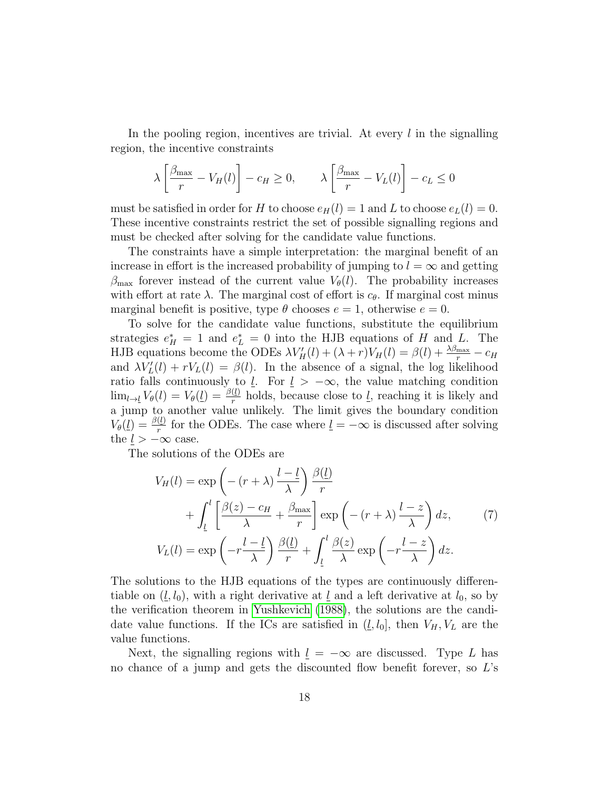In the pooling region, incentives are trivial. At every  $l$  in the signalling region, the incentive constraints

$$
\lambda \left[ \frac{\beta_{\max}}{r} - V_H(l) \right] - c_H \ge 0, \qquad \lambda \left[ \frac{\beta_{\max}}{r} - V_L(l) \right] - c_L \le 0
$$

must be satisfied in order for H to choose  $e_H(l) = 1$  and L to choose  $e_L(l) = 0$ . These incentive constraints restrict the set of possible signalling regions and must be checked after solving for the candidate value functions.

The constraints have a simple interpretation: the marginal benefit of an increase in effort is the increased probability of jumping to  $l = \infty$  and getting  $\beta_{\text{max}}$  forever instead of the current value  $V_{\theta}(l)$ . The probability increases with effort at rate  $\lambda$ . The marginal cost of effort is  $c_{\theta}$ . If marginal cost minus marginal benefit is positive, type  $\theta$  chooses  $e = 1$ , otherwise  $e = 0$ .

To solve for the candidate value functions, substitute the equilibrium strategies  $e_H^* = 1$  and  $e_L^* = 0$  into the HJB equations of H and L. The HJB equations become the ODEs  $\lambda V_H'(l) + (\lambda + r)V_H(l) = \beta(l) + \frac{\lambda \beta_{\text{max}}}{r} - c_H$ and  $\lambda V_L'(l) + rV_L(l) = \beta(l)$ . In the absence of a signal, the log likelihood ratio falls continuously to  $\underline{l}$ . For  $\underline{l} > -\infty$ , the value matching condition  $\lim_{l\to l}V_{\theta}(l)=V_{\theta}(l)=\frac{\beta(l)}{r}$  holds, because close to <u>l</u>, reaching it is likely and a jump to another value unlikely. The limit gives the boundary condition  $V_{\theta}(\underline{l}) = \frac{\beta(\underline{l})}{r}$  for the ODEs. The case where  $\underline{l} = -\infty$  is discussed after solving the  $l > -\infty$  case.

The solutions of the ODEs are

<span id="page-17-0"></span>
$$
V_H(l) = \exp\left(-(r+\lambda)\frac{l-\underline{l}}{\lambda}\right)\frac{\beta(\underline{l})}{r} + \int_{\underline{l}}^{l} \left[\frac{\beta(z) - c_H}{\lambda} + \frac{\beta_{\text{max}}}{r}\right] \exp\left(-(r+\lambda)\frac{l-z}{\lambda}\right) dz, \qquad (7)
$$

$$
V_L(l) = \exp\left(-r\frac{l-\underline{l}}{\lambda}\right)\frac{\beta(\underline{l})}{r} + \int_{\underline{l}}^{l} \frac{\beta(z)}{\lambda} \exp\left(-r\frac{l-z}{\lambda}\right) dz.
$$

The solutions to the HJB equations of the types are continuously differentiable on  $(l, l_0)$ , with a right derivative at  $l_1$  and a left derivative at  $l_0$ , so by the verification theorem in [Yushkevich](#page-49-6) [\(1988\)](#page-49-6), the solutions are the candidate value functions. If the ICs are satisfied in  $(l, l_0]$ , then  $V_H, V_L$  are the value functions.

Next, the signalling regions with  $l = -\infty$  are discussed. Type L has no chance of a jump and gets the discounted flow benefit forever, so L's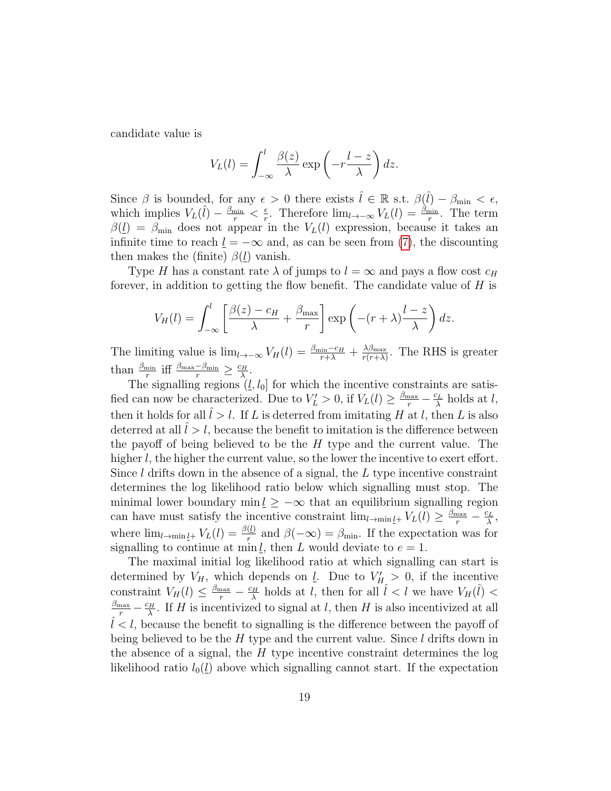candidate value is

$$
V_L(l) = \int_{-\infty}^l \frac{\beta(z)}{\lambda} \exp\left(-r\frac{l-z}{\lambda}\right) dz.
$$

Since  $\beta$  is bounded, for any  $\epsilon > 0$  there exists  $\hat{l} \in \mathbb{R}$  s.t.  $\beta(\hat{l}) - \beta_{\min} < \epsilon$ , which implies  $V_L(\hat{l}) - \frac{\beta_{\min}}{r} < \frac{\epsilon}{r}$  $\frac{\epsilon}{r}$ . Therefore  $\lim_{l\to\infty} V_L(l) = \frac{\beta_{\min}}{r}$ . The term  $\beta(\underline{l}) = \beta_{\text{min}}$  does not appear in the  $V_L(l)$  expression, because it takes an infinite time to reach  $\underline{l} = -\infty$  and, as can be seen from [\(7\)](#page-17-0), the discounting then makes the (finite)  $\beta(\underline{l})$  vanish.

Type H has a constant rate  $\lambda$  of jumps to  $l = \infty$  and pays a flow cost  $c_H$ forever, in addition to getting the flow benefit. The candidate value of  $H$  is

$$
V_H(l) = \int_{-\infty}^{l} \left[ \frac{\beta(z) - c_H}{\lambda} + \frac{\beta_{\text{max}}}{r} \right] \exp\left( -(r + \lambda) \frac{l - z}{\lambda} \right) dz.
$$

The limiting value is  $\lim_{l\to\infty} V_H(l) = \frac{\beta_{\min} - c_H}{r+\lambda} + \frac{\lambda \beta_{\max}}{r(r+\lambda)}$  $\frac{\lambda\beta_{\max}}{r(r+\lambda)}$ . The RHS is greater than  $\frac{\beta_{\min}}{r}$  iff  $\frac{\beta_{\max}-\beta_{\min}}{r} \geq \frac{c_H}{\lambda}$  $\frac{H}{\lambda}$  .

The signalling regions  $(l, l_0]$  for which the incentive constraints are satisfied can now be characterized. Due to  $V'_L > 0$ , if  $V_L(l) \ge \frac{\beta_{\text{max}}}{r} - \frac{c_L}{\lambda}$  $\frac{dL}{d}$  holds at  $l$ , then it holds for all  $\hat{l} > l$ . If L is deterred from imitating H at l, then L is also deterred at all  $l > l$ , because the benefit to imitation is the difference between the payoff of being believed to be the  $H$  type and the current value. The higher l, the higher the current value, so the lower the incentive to exert effort. Since  $l$  drifts down in the absence of a signal, the  $L$  type incentive constraint determines the log likelihood ratio below which signalling must stop. The minimal lower boundary min  $\underline{l} \geq -\infty$  that an equilibrium signalling region can have must satisfy the incentive constraint  $\lim_{l\to\min_l \leq t} V_L(l) \geq \frac{\beta_{\max}}{r} - \frac{c_L}{\lambda}$  $\frac{c_L}{\lambda},$ where  $\lim_{l\to\min\underline{l}+} V_L(l) = \frac{\beta(l)}{r}$  and  $\beta(-\infty) = \beta_{\min}$ . If the expectation was for signalling to continue at min l, then L would deviate to  $e = 1$ .

The maximal initial log likelihood ratio at which signalling can start is determined by  $V_H$ , which depends on <u>l</u>. Due to  $V_H > 0$ , if the incentive constraint  $V_H(l) \leq \frac{\beta_{\text{max}}}{r} - \frac{c_H}{\lambda}$  $\frac{\partial^2 H}{\partial \lambda}$  holds at l, then for all  $\hat{l}$  < l we have  $V_H(\hat{l})$  <  $\frac{\beta_{\max}}{r} - \frac{c_H}{\lambda}$  $\frac{\partial H}{\partial \lambda}$ . If H is incentivized to signal at l, then H is also incentivized at all  $l < l$ , because the benefit to signalling is the difference between the payoff of being believed to be the  $H$  type and the current value. Since  $l$  drifts down in the absence of a signal, the  $H$  type incentive constraint determines the log likelihood ratio  $l_0(\underline{l})$  above which signalling cannot start. If the expectation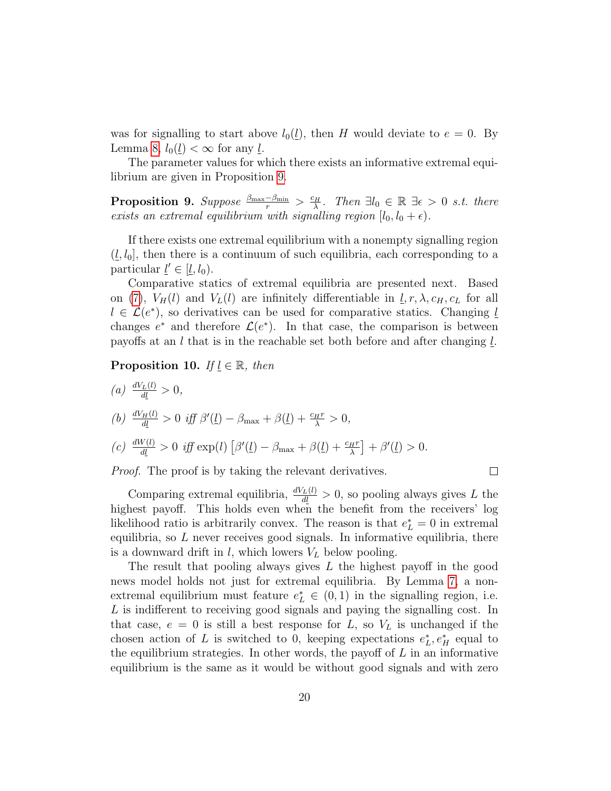was for signalling to start above  $l_0(l)$ , then H would deviate to  $e = 0$ . By Lemma [8,](#page-16-3)  $l_0(l) < \infty$  for any *l*.

The parameter values for which there exists an informative extremal equilibrium are given in Proposition [9.](#page-19-0)

<span id="page-19-0"></span> $\textbf{Proposition 9.} \ \textit{Suppose} \ \frac{\beta_{\max}-\beta_{\min}}{r} > \frac{c_H}{\lambda}$  $\frac{d^2H}{dt^2}$ . Then  $\exists l_0 \in \mathbb{R} \exists \epsilon > 0$  s.t. there exists an extremal equilibrium with signalling region  $[l_0, l_0 + \epsilon)$ .

If there exists one extremal equilibrium with a nonempty signalling region  $(l, l_0)$ , then there is a continuum of such equilibria, each corresponding to a particular  $\underline{l}' \in [\underline{l}, l_0)$ .

Comparative statics of extremal equilibria are presented next. Based on [\(7\)](#page-17-0),  $V_H(l)$  and  $V_L(l)$  are infinitely differentiable in  $l, r, \lambda, c_H, c_L$  for all  $l \in \mathcal{L}(e^*)$ , so derivatives can be used for comparative statics. Changing  $l$ changes  $e^*$  and therefore  $\mathcal{L}(e^*)$ . In that case, the comparison is between payoffs at an  $l$  that is in the reachable set both before and after changing  $l$ .

**Proposition 10.** If  $l \in \mathbb{R}$ , then

(a) 
$$
\frac{dV_L(l)}{dl} > 0,
$$
  
\n(b) 
$$
\frac{dV_H(l)}{dl} > 0 \text{ iff } \beta'(l) - \beta_{\text{max}} + \beta(l) + \frac{c_H r}{\lambda} > 0,
$$
  
\n(c) 
$$
\frac{dW(l)}{dl} > 0 \text{ iff } \exp(l) [\beta'(l) - \beta_{\text{max}} + \beta(l) + \frac{c_H r}{\lambda}] + \beta'(l) > 0.
$$

*Proof.* The proof is by taking the relevant derivatives.

 $\Box$ 

Comparing extremal equilibria,  $\frac{dV_L(l)}{dl} > 0$ , so pooling always gives L the highest payoff. This holds even when the benefit from the receivers' log likelihood ratio is arbitrarily convex. The reason is that  $e_L^* = 0$  in extremal equilibria, so  $L$  never receives good signals. In informative equilibria, there is a downward drift in  $l$ , which lowers  $V_L$  below pooling.

The result that pooling always gives L the highest payoff in the good news model holds not just for extremal equilibria. By Lemma [7,](#page-16-1) a nonextremal equilibrium must feature  $e_L^* \in (0,1)$  in the signalling region, i.e. L is indifferent to receiving good signals and paying the signalling cost. In that case,  $e = 0$  is still a best response for L, so  $V<sub>L</sub>$  is unchanged if the chosen action of L is switched to 0, keeping expectations  $e_L^*, e_H^*$  equal to the equilibrium strategies. In other words, the payoff of  $L$  in an informative equilibrium is the same as it would be without good signals and with zero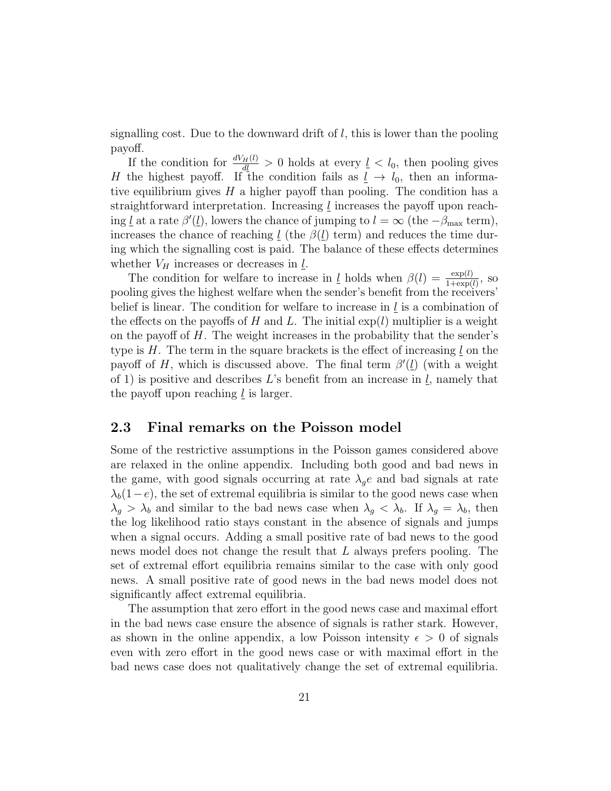signalling cost. Due to the downward drift of  $l$ , this is lower than the pooling payoff.

If the condition for  $\frac{dV_H(l)}{dl} > 0$  holds at every  $l \leq l_0$ , then pooling gives H the highest payoff. If the condition fails as  $l \rightarrow l_0$ , then an informative equilibrium gives  $H$  a higher payoff than pooling. The condition has a straightforward interpretation. Increasing  $\underline{l}$  increases the payoff upon reaching <u>l</u> at a rate  $\beta'(l)$ , lowers the chance of jumping to  $l = \infty$  (the  $-\beta_{\text{max}}$  term), increases the chance of reaching  $\underline{l}$  (the  $\beta(\underline{l})$  term) and reduces the time during which the signalling cost is paid. The balance of these effects determines whether  $V_H$  increases or decreases in  $l$ .

The condition for welfare to increase in <u>l</u> holds when  $\beta(l) = \frac{\exp(l)}{1 + \exp(l)}$ , so pooling gives the highest welfare when the sender's benefit from the receivers' belief is linear. The condition for welfare to increase in  $l$  is a combination of the effects on the payoffs of H and L. The initial  $\exp(l)$  multiplier is a weight on the payoff of H. The weight increases in the probability that the sender's type is  $H$ . The term in the square brackets is the effect of increasing  $l$  on the payoff of H, which is discussed above. The final term  $\beta'(\underline{l})$  (with a weight of 1) is positive and describes  $L$ 's benefit from an increase in  $l$ , namely that the payoff upon reaching  $l$  is larger.

### 2.3 Final remarks on the Poisson model

Some of the restrictive assumptions in the Poisson games considered above are relaxed in the online appendix. Including both good and bad news in the game, with good signals occurring at rate  $\lambda_q e$  and bad signals at rate  $\lambda_b(1-e)$ , the set of extremal equilibria is similar to the good news case when  $\lambda_g > \lambda_b$  and similar to the bad news case when  $\lambda_g < \lambda_b$ . If  $\lambda_g = \lambda_b$ , then the log likelihood ratio stays constant in the absence of signals and jumps when a signal occurs. Adding a small positive rate of bad news to the good news model does not change the result that L always prefers pooling. The set of extremal effort equilibria remains similar to the case with only good news. A small positive rate of good news in the bad news model does not significantly affect extremal equilibria.

The assumption that zero effort in the good news case and maximal effort in the bad news case ensure the absence of signals is rather stark. However, as shown in the online appendix, a low Poisson intensity  $\epsilon > 0$  of signals even with zero effort in the good news case or with maximal effort in the bad news case does not qualitatively change the set of extremal equilibria.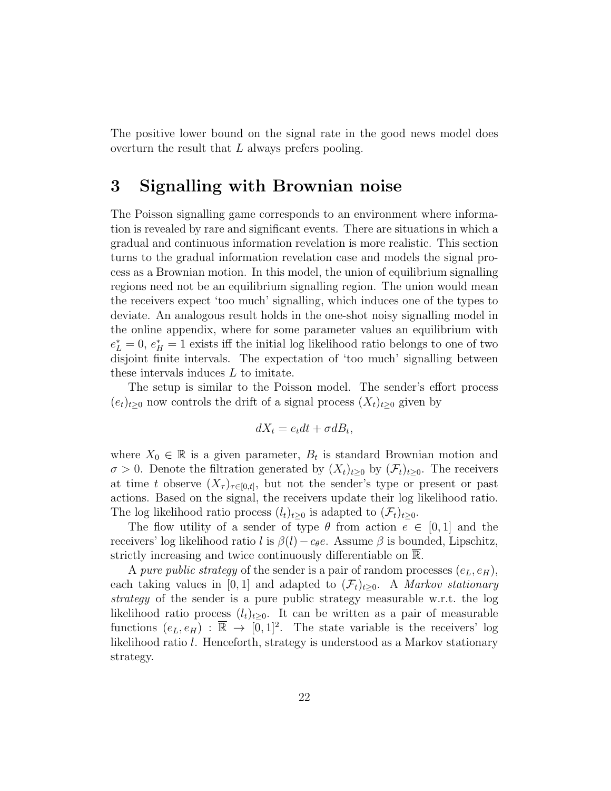The positive lower bound on the signal rate in the good news model does overturn the result that L always prefers pooling.

### 3 Signalling with Brownian noise

The Poisson signalling game corresponds to an environment where information is revealed by rare and significant events. There are situations in which a gradual and continuous information revelation is more realistic. This section turns to the gradual information revelation case and models the signal process as a Brownian motion. In this model, the union of equilibrium signalling regions need not be an equilibrium signalling region. The union would mean the receivers expect 'too much' signalling, which induces one of the types to deviate. An analogous result holds in the one-shot noisy signalling model in the online appendix, where for some parameter values an equilibrium with  $e_L^* = 0, e_H^* = 1$  exists iff the initial log likelihood ratio belongs to one of two disjoint finite intervals. The expectation of 'too much' signalling between these intervals induces L to imitate.

The setup is similar to the Poisson model. The sender's effort process  $(e_t)_{t\geq0}$  now controls the drift of a signal process  $(X_t)_{t\geq0}$  given by

$$
dX_t = e_t dt + \sigma dB_t,
$$

where  $X_0 \in \mathbb{R}$  is a given parameter,  $B_t$  is standard Brownian motion and  $\sigma > 0$ . Denote the filtration generated by  $(X_t)_{t\geq 0}$  by  $(\mathcal{F}_t)_{t\geq 0}$ . The receivers at time t observe  $(X_{\tau})_{\tau \in [0,t]},$  but not the sender's type or present or past actions. Based on the signal, the receivers update their log likelihood ratio. The log likelihood ratio process  $(l_t)_{t>0}$  is adapted to  $(\mathcal{F}_t)_{t>0}$ .

The flow utility of a sender of type  $\theta$  from action  $e \in [0,1]$  and the receivers' log likelihood ratio l is  $\beta(l)-c_{\theta}e$ . Assume  $\beta$  is bounded, Lipschitz, strictly increasing and twice continuously differentiable on R.

A pure public strategy of the sender is a pair of random processes  $(e_L, e_H)$ , each taking values in [0, 1] and adapted to  $(\mathcal{F}_t)_{t>0}$ . A *Markov stationary* strategy of the sender is a pure public strategy measurable w.r.t. the log likelihood ratio process  $(l_t)_{t\geq0}$ . It can be written as a pair of measurable functions  $(e_L, e_H)$ :  $\overline{\mathbb{R}} \to [0, 1]^2$ . The state variable is the receivers' log likelihood ratio l. Henceforth, strategy is understood as a Markov stationary strategy.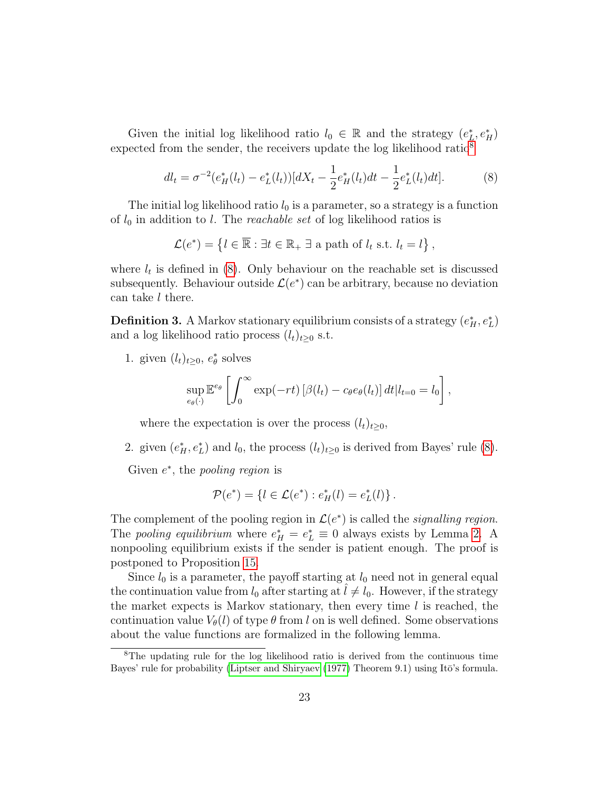Given the initial log likelihood ratio  $l_0 \in \mathbb{R}$  and the strategy  $(e_L^*, e_H^*)$ expected from the sender, the receivers update the log likelihood ratio<sup>[8](#page-22-0)</sup>

<span id="page-22-1"></span>
$$
dl_t = \sigma^{-2} (e_H^*(l_t) - e_L^*(l_t)) [dX_t - \frac{1}{2} e_H^*(l_t) dt - \frac{1}{2} e_L^*(l_t) dt]. \tag{8}
$$

The initial log likelihood ratio  $l_0$  is a parameter, so a strategy is a function of  $l_0$  in addition to l. The *reachable set* of log likelihood ratios is

$$
\mathcal{L}(e^*) = \left\{ l \in \overline{\mathbb{R}} : \exists t \in \mathbb{R}_+ \; \exists \text{ a path of } l_t \text{ s.t. } l_t = l \right\},\
$$

where  $l_t$  is defined in [\(8\)](#page-22-1). Only behaviour on the reachable set is discussed subsequently. Behaviour outside  $\mathcal{L}(e^*)$  can be arbitrary, because no deviation can take l there.

**Definition 3.** A Markov stationary equilibrium consists of a strategy  $(e_H^*, e_L^*)$ and a log likelihood ratio process  $(l_t)_{t\geq0}$  s.t.

1. given  $(l_t)_{t\geq0}$ ,  $e^*_{\theta}$  solves

$$
\sup_{e_{\theta}(\cdot)} \mathbb{E}^{e_{\theta}} \left[ \int_0^{\infty} \exp(-rt) \left[ \beta(l_t) - c_{\theta} e_{\theta}(l_t) \right] dt | l_{t=0} = l_0 \right],
$$

where the expectation is over the process  $(l_t)_{t\geq0}$ ,

2. given  $(e_H^*, e_L^*)$  and  $l_0$ , the process  $(l_t)_{t\geq 0}$  is derived from Bayes' rule [\(8\)](#page-22-1).

Given  $e^*$ , the *pooling region* is

$$
\mathcal{P}(e^*) = \{ l \in \mathcal{L}(e^*) : e^*_{H}(l) = e^*_{L}(l) \}.
$$

The complement of the pooling region in  $\mathcal{L}(e^*)$  is called the *signalling region*. The *pooling equilibrium* where  $e_H^* = e_L^* \equiv 0$  always exists by Lemma [2.](#page-8-1) A nonpooling equilibrium exists if the sender is patient enough. The proof is postponed to Proposition [15.](#page-27-0)

Since  $l_0$  is a parameter, the payoff starting at  $l_0$  need not in general equal the continuation value from  $l_0$  after starting at  $l \neq l_0$ . However, if the strategy the market expects is Markov stationary, then every time  $l$  is reached, the continuation value  $V_{\theta}(l)$  of type  $\theta$  from l on is well defined. Some observations about the value functions are formalized in the following lemma.

<span id="page-22-0"></span><sup>8</sup>The updating rule for the log likelihood ratio is derived from the continuous time Bayes' rule for probability [\(Liptser and Shiryaev](#page-48-5) [\(1977\)](#page-48-5) Theorem 9.1) using Itō's formula.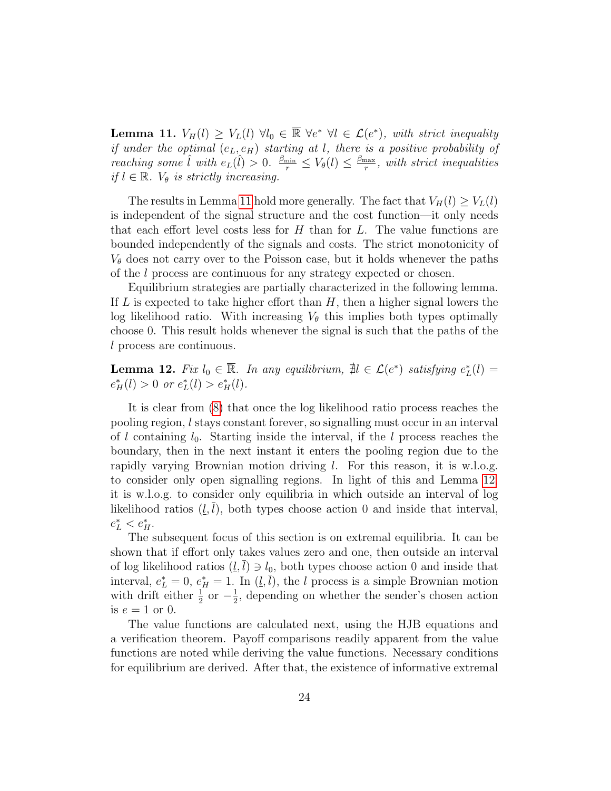<span id="page-23-0"></span>**Lemma 11.**  $V_H(l) \geq V_L(l) \ \forall l_0 \in \overline{\mathbb{R}} \ \forall e^* \ \forall l \in \mathcal{L}(e^*)$ , with strict inequality if under the optimal  $(e_L, e_H)$  starting at l, there is a positive probability of reaching some  $\hat{l}$  with  $e_L(\hat{l}) > 0$ .  $\frac{\beta_{\min}}{r} \leq V_\theta(l) \leq \frac{\beta_{\max}}{r}$  $\frac{\text{max}}{r}$ , with strict inequalities if  $l \in \mathbb{R}$ .  $V_{\theta}$  is strictly increasing.

The results in Lemma [11](#page-23-0) hold more generally. The fact that  $V_H(l) \geq V_L(l)$ is independent of the signal structure and the cost function—it only needs that each effort level costs less for  $H$  than for  $L$ . The value functions are bounded independently of the signals and costs. The strict monotonicity of  $V_{\theta}$  does not carry over to the Poisson case, but it holds whenever the paths of the l process are continuous for any strategy expected or chosen.

Equilibrium strategies are partially characterized in the following lemma. If  $L$  is expected to take higher effort than  $H$ , then a higher signal lowers the log likelihood ratio. With increasing  $V_{\theta}$  this implies both types optimally choose 0. This result holds whenever the signal is such that the paths of the l process are continuous.

<span id="page-23-1"></span>**Lemma 12.** Fix  $l_0 \in \overline{\mathbb{R}}$ . In any equilibrium,  $\sharp l \in \mathcal{L}(e^*)$  satisfying  $e^*_{L}(l)$  =  $e_H^*(l) > 0$  or  $e_L^*(l) > e_H^*(l)$ .

It is clear from [\(8\)](#page-22-1) that once the log likelihood ratio process reaches the pooling region, l stays constant forever, so signalling must occur in an interval of l containing  $l_0$ . Starting inside the interval, if the l process reaches the boundary, then in the next instant it enters the pooling region due to the rapidly varying Brownian motion driving l. For this reason, it is w.l.o.g. to consider only open signalling regions. In light of this and Lemma [12,](#page-23-1) it is w.l.o.g. to consider only equilibria in which outside an interval of log likelihood ratios  $(l, l)$ , both types choose action 0 and inside that interval,  $e_L^* < e_H^*$ .

The subsequent focus of this section is on extremal equilibria. It can be shown that if effort only takes values zero and one, then outside an interval of log likelihood ratios  $(l, l) \ni l_0$ , both types choose action 0 and inside that interval,  $e_L^* = 0$ ,  $e_H^* = 1$ . In  $(\underline{l}, \overline{l})$ , the l process is a simple Brownian motion with drift either  $\frac{1}{2}$  or  $-\frac{1}{2}$  $\frac{1}{2}$ , depending on whether the sender's chosen action is  $e = 1$  or 0.

The value functions are calculated next, using the HJB equations and a verification theorem. Payoff comparisons readily apparent from the value functions are noted while deriving the value functions. Necessary conditions for equilibrium are derived. After that, the existence of informative extremal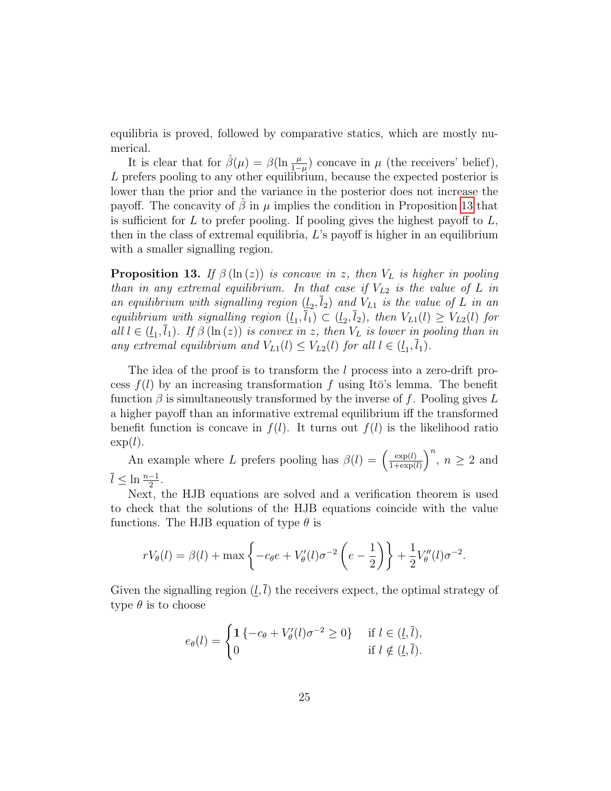equilibria is proved, followed by comparative statics, which are mostly numerical.

It is clear that for  $\hat{\beta}(\mu) = \beta(\ln \frac{\mu}{1-\mu})$  concave in  $\mu$  (the receivers' belief), L prefers pooling to any other equilibrium, because the expected posterior is lower than the prior and the variance in the posterior does not increase the payoff. The concavity of  $\hat{\beta}$  in  $\mu$  implies the condition in Proposition [13](#page-24-0) that is sufficient for  $L$  to prefer pooling. If pooling gives the highest payoff to  $L$ , then in the class of extremal equilibria, L's payoff is higher in an equilibrium with a smaller signalling region.

<span id="page-24-0"></span>**Proposition 13.** If  $\beta(\ln(z))$  is concave in z, then  $V_L$  is higher in pooling than in any extremal equilibrium. In that case if  $V_{L2}$  is the value of L in an equilibrium with signalling region  $(\underline{l}_2, l_2)$  and  $V_{L1}$  is the value of L in an equilibrium with signalling region  $(\underline{l}_1, \overline{l}_1) \subset (\underline{l}_2, \overline{l}_2)$ , then  $V_{L1}(l) \geq V_{L2}(l)$  for all  $l \in (\underline{l}_1, l_1)$ . If  $\beta(\ln(z))$  is convex in z, then  $V_L$  is lower in pooling than in any extremal equilibrium and  $V_{L1}(l) \leq V_{L2}(l)$  for all  $l \in (\underline{l}_1, \overline{l}_1)$ .

The idea of the proof is to transform the l process into a zero-drift process  $f(l)$  by an increasing transformation f using It $\bar{o}$ 's lemma. The benefit function  $\beta$  is simultaneously transformed by the inverse of f. Pooling gives L a higher payoff than an informative extremal equilibrium iff the transformed benefit function is concave in  $f(l)$ . It turns out  $f(l)$  is the likelihood ratio  $\exp(l)$ .

An example where L prefers pooling has  $\beta(l) = \left(\frac{\exp(l)}{1+\exp(l)}\right)$  $\frac{\exp(l)}{1+\exp(l)}\right)^n$ ,  $n \geq 2$  and  $\overline{l} \leq \ln \frac{n-1}{2}.$ 

Next, the HJB equations are solved and a verification theorem is used to check that the solutions of the HJB equations coincide with the value functions. The HJB equation of type  $\theta$  is

$$
rV_{\theta}(l) = \beta(l) + \max\left\{-c_{\theta}e + V_{\theta}'(l)\sigma^{-2}\left(e - \frac{1}{2}\right)\right\} + \frac{1}{2}V_{\theta}''(l)\sigma^{-2}.
$$

Given the signalling region  $(l, \overline{l})$  the receivers expect, the optimal strategy of type  $\theta$  is to choose

$$
e_{\theta}(l) = \begin{cases} 1 \{-c_{\theta} + V_{\theta}'(l)\sigma^{-2} \ge 0\} & \text{if } l \in (\underline{l}, \overline{l}), \\ 0 & \text{if } l \notin (\underline{l}, \overline{l}). \end{cases}
$$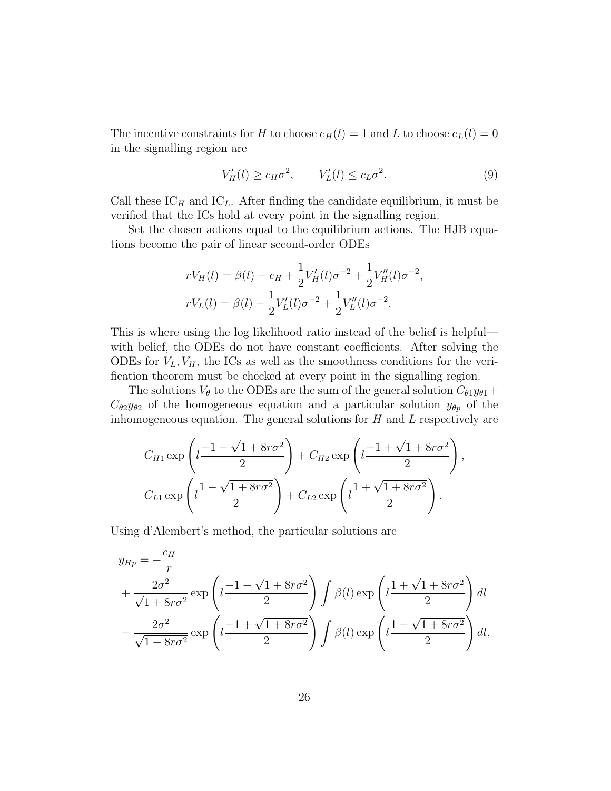The incentive constraints for H to choose  $e_H(l) = 1$  and L to choose  $e_L(l) = 0$ in the signalling region are

<span id="page-25-0"></span>
$$
V_H'(l) \ge c_H \sigma^2, \qquad V_L'(l) \le c_L \sigma^2. \tag{9}
$$

Call these  $IC_H$  and  $IC_L$ . After finding the candidate equilibrium, it must be verified that the ICs hold at every point in the signalling region.

Set the chosen actions equal to the equilibrium actions. The HJB equations become the pair of linear second-order ODEs

$$
rV_H(l) = \beta(l) - c_H + \frac{1}{2}V'_H(l)\sigma^{-2} + \frac{1}{2}V''_H(l)\sigma^{-2},
$$
  

$$
rV_L(l) = \beta(l) - \frac{1}{2}V'_L(l)\sigma^{-2} + \frac{1}{2}V''_L(l)\sigma^{-2}.
$$

This is where using the log likelihood ratio instead of the belief is helpful with belief, the ODEs do not have constant coefficients. After solving the ODEs for  $V_L$ ,  $V_H$ , the ICs as well as the smoothness conditions for the verification theorem must be checked at every point in the signalling region.

The solutions  $V_{\theta}$  to the ODEs are the sum of the general solution  $C_{\theta_1}y_{\theta_1}+$  $C_{\theta 2}y_{\theta 2}$  of the homogeneous equation and a particular solution  $y_{\theta p}$  of the inhomogeneous equation. The general solutions for  $H$  and  $L$  respectively are

$$
C_{H1} \exp\left(l\frac{-1-\sqrt{1+8r\sigma^2}}{2}\right) + C_{H2} \exp\left(l\frac{-1+\sqrt{1+8r\sigma^2}}{2}\right),
$$
  

$$
C_{L1} \exp\left(l\frac{1-\sqrt{1+8r\sigma^2}}{2}\right) + C_{L2} \exp\left(l\frac{1+\sqrt{1+8r\sigma^2}}{2}\right).
$$

Using d'Alembert's method, the particular solutions are

$$
y_{Hp} = -\frac{c_H}{r}
$$
  
+ 
$$
\frac{2\sigma^2}{\sqrt{1+8r\sigma^2}} \exp\left(l\frac{-1-\sqrt{1+8r\sigma^2}}{2}\right) \int \beta(l) \exp\left(l\frac{1+\sqrt{1+8r\sigma^2}}{2}\right) dl
$$
  
- 
$$
\frac{2\sigma^2}{\sqrt{1+8r\sigma^2}} \exp\left(l\frac{-1+\sqrt{1+8r\sigma^2}}{2}\right) \int \beta(l) \exp\left(l\frac{1-\sqrt{1+8r\sigma^2}}{2}\right) dl,
$$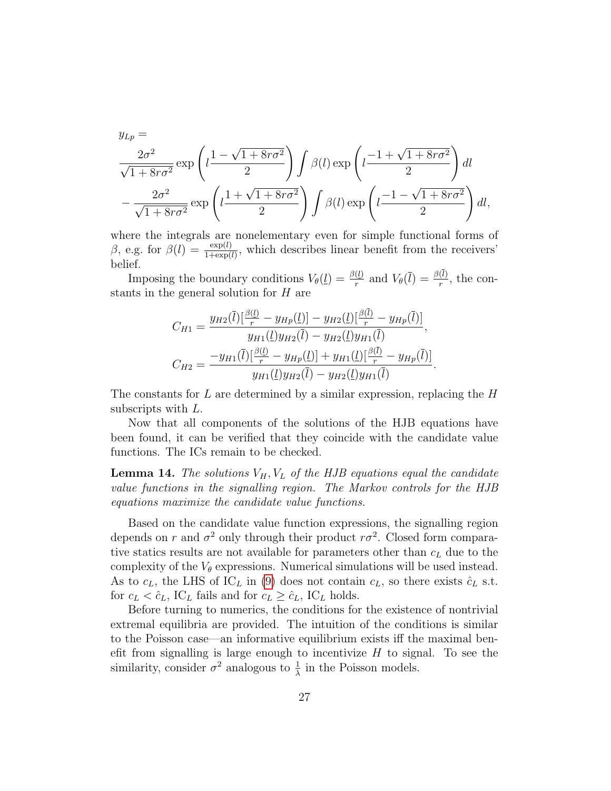$$
y_{Lp} = \frac{2\sigma^2}{\sqrt{1+8r\sigma^2}} \exp\left(l\frac{1-\sqrt{1+8r\sigma^2}}{2}\right) \int \beta(l) \exp\left(l\frac{-1+\sqrt{1+8r\sigma^2}}{2}\right) dl
$$

$$
-\frac{2\sigma^2}{\sqrt{1+8r\sigma^2}} \exp\left(l\frac{1+\sqrt{1+8r\sigma^2}}{2}\right) \int \beta(l) \exp\left(l\frac{-1-\sqrt{1+8r\sigma^2}}{2}\right) dl,
$$

where the integrals are nonelementary even for simple functional forms of β, e.g. for  $β(l) = \frac{\exp(l)}{1+\exp(l)}$ , which describes linear benefit from the receivers' belief.

Imposing the boundary conditions  $V_{\theta}(\underline{l}) = \frac{\beta(\underline{l})}{r}$  and  $V_{\theta}(\overline{l}) = \frac{\beta(\underline{l})}{r}$ , the constants in the general solution for H are

$$
C_{H1} = \frac{y_{H2}(\bar{l})\left[\frac{\beta(\bar{l})}{r} - y_{Hp}(\underline{l})\right] - y_{H2}(\underline{l})\left[\frac{\beta(\bar{l})}{r} - y_{Hp}(\bar{l})\right]}{y_{H1}(\underline{l})y_{H2}(\bar{l}) - y_{H2}(\underline{l})y_{H1}(\bar{l})},
$$
  

$$
C_{H2} = \frac{-y_{H1}(\bar{l})\left[\frac{\beta(\underline{l})}{r} - y_{Hp}(\underline{l})\right] + y_{H1}(\underline{l})\left[\frac{\beta(\bar{l})}{r} - y_{Hp}(\bar{l})\right]}{y_{H1}(\underline{l})y_{H2}(\bar{l}) - y_{H2}(\underline{l})y_{H1}(\bar{l})}.
$$

The constants for  $L$  are determined by a similar expression, replacing the  $H$ subscripts with L.

Now that all components of the solutions of the HJB equations have been found, it can be verified that they coincide with the candidate value functions. The ICs remain to be checked.

<span id="page-26-0"></span>**Lemma 14.** The solutions  $V_H$ ,  $V_L$  of the HJB equations equal the candidate value functions in the signalling region. The Markov controls for the HJB equations maximize the candidate value functions.

Based on the candidate value function expressions, the signalling region depends on r and  $\sigma^2$  only through their product  $r\sigma^2$ . Closed form comparative statics results are not available for parameters other than  $c_L$  due to the complexity of the  $V_{\theta}$  expressions. Numerical simulations will be used instead. As to  $c<sub>L</sub>$ , the LHS of IC<sub>L</sub> in [\(9\)](#page-25-0) does not contain  $c<sub>L</sub>$ , so there exists  $\hat{c}<sub>L</sub>$  s.t. for  $c_L < \hat{c}_L$ , IC<sub>L</sub> fails and for  $c_L \geq \hat{c}_L$ , IC<sub>L</sub> holds.

Before turning to numerics, the conditions for the existence of nontrivial extremal equilibria are provided. The intuition of the conditions is similar to the Poisson case—an informative equilibrium exists iff the maximal benefit from signalling is large enough to incentivize  $H$  to signal. To see the similarity, consider  $\sigma^2$  analogous to  $\frac{1}{\lambda}$  in the Poisson models.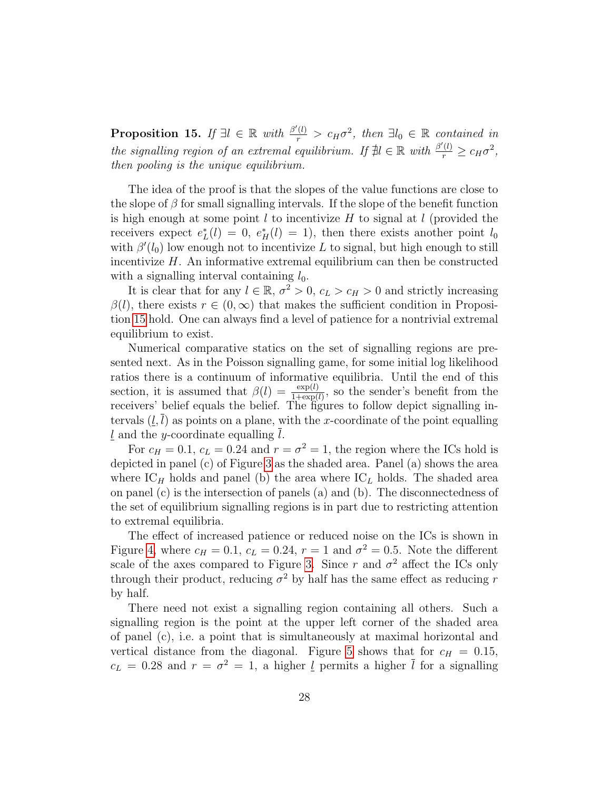<span id="page-27-0"></span>**Proposition 15.** If  $\exists l \in \mathbb{R}$  with  $\frac{\beta'(l)}{r} > c_H \sigma^2$ , then  $\exists l_0 \in \mathbb{R}$  contained in the signalling region of an extremal equilibrium. If  $\nexists l \in \mathbb{R}$  with  $\frac{\beta'(l)}{r} \geq c_H \sigma^2$ , then pooling is the unique equilibrium.

The idea of the proof is that the slopes of the value functions are close to the slope of  $\beta$  for small signalling intervals. If the slope of the benefit function is high enough at some point  $l$  to incentivize  $H$  to signal at  $l$  (provided the receivers expect  $e^*_{\mathcal{L}}(l) = 0$ ,  $e^*_{\mathcal{H}}(l) = 1$ , then there exists another point  $l_0$ with  $\beta'(l_0)$  low enough not to incentivize L to signal, but high enough to still incentivize  $H$ . An informative extremal equilibrium can then be constructed with a signalling interval containing  $l_0$ .

It is clear that for any  $l \in \mathbb{R}$ ,  $\sigma^2 > 0$ ,  $c_L > c_H > 0$  and strictly increasing  $\beta(l)$ , there exists  $r \in (0,\infty)$  that makes the sufficient condition in Proposition [15](#page-27-0) hold. One can always find a level of patience for a nontrivial extremal equilibrium to exist.

Numerical comparative statics on the set of signalling regions are presented next. As in the Poisson signalling game, for some initial log likelihood ratios there is a continuum of informative equilibria. Until the end of this section, it is assumed that  $\beta(l) = \frac{\exp(l)}{1+\exp(l)}$ , so the sender's benefit from the receivers' belief equals the belief. The figures to follow depict signalling intervals  $(l, l)$  as points on a plane, with the x-coordinate of the point equalling  $\underline{l}$  and the y-coordinate equalling l.

For  $c_H = 0.1$ ,  $c_L = 0.24$  and  $r = \sigma^2 = 1$ , the region where the ICs hold is depicted in panel (c) of Figure [3](#page-28-0) as the shaded area. Panel (a) shows the area where  $IC_H$  holds and panel (b) the area where  $IC_L$  holds. The shaded area on panel (c) is the intersection of panels (a) and (b). The disconnectedness of the set of equilibrium signalling regions is in part due to restricting attention to extremal equilibria.

The effect of increased patience or reduced noise on the ICs is shown in Figure [4,](#page-29-0) where  $c_H = 0.1$ ,  $c_L = 0.24$ ,  $r = 1$  and  $\sigma^2 = 0.5$ . Note the different scale of the axes compared to Figure [3.](#page-28-0) Since r and  $\sigma^2$  affect the ICs only through their product, reducing  $\sigma^2$  by half has the same effect as reducing r by half.

There need not exist a signalling region containing all others. Such a signalling region is the point at the upper left corner of the shaded area of panel (c), i.e. a point that is simultaneously at maximal horizontal and vertical distance from the diagonal. Figure [5](#page-30-0) shows that for  $c_H = 0.15$ ,  $c_L = 0.28$  and  $r = \sigma^2 = 1$ , a higher  $\overline{l}$  permits a higher  $\overline{l}$  for a signalling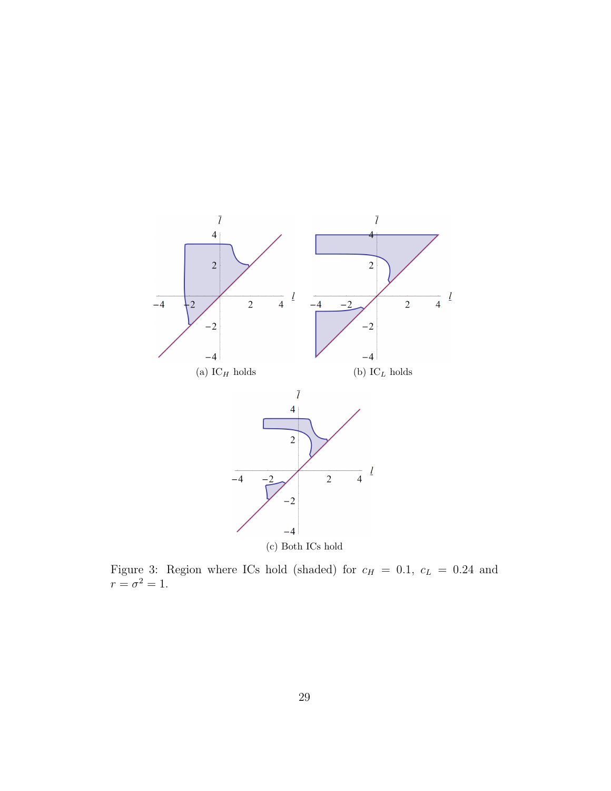<span id="page-28-0"></span>

Figure 3: Region where ICs hold (shaded) for  $c_H = 0.1$ ,  $c_L = 0.24$  and  $r=\sigma^2=1.$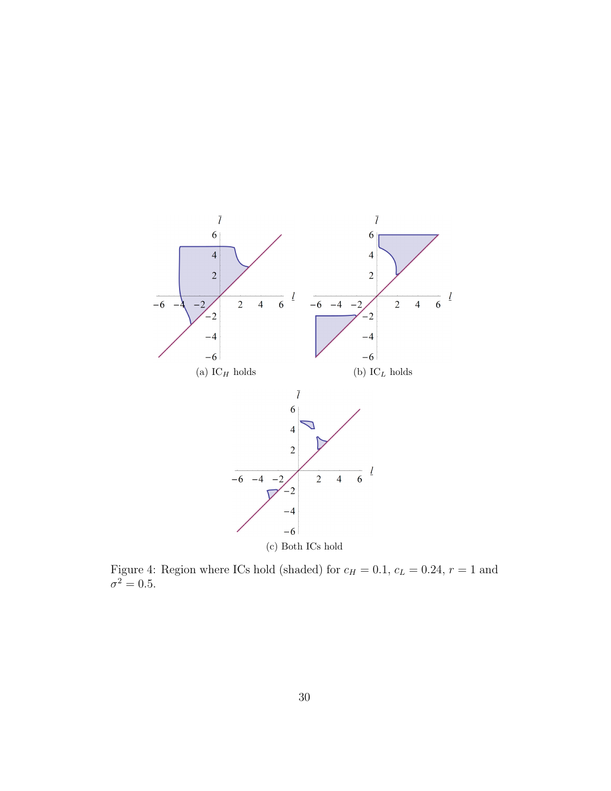<span id="page-29-0"></span>

Figure 4: Region where ICs hold (shaded) for  $c_H = 0.1$ ,  $c_L = 0.24$ ,  $r = 1$  and  $\sigma^2 = 0.5$ .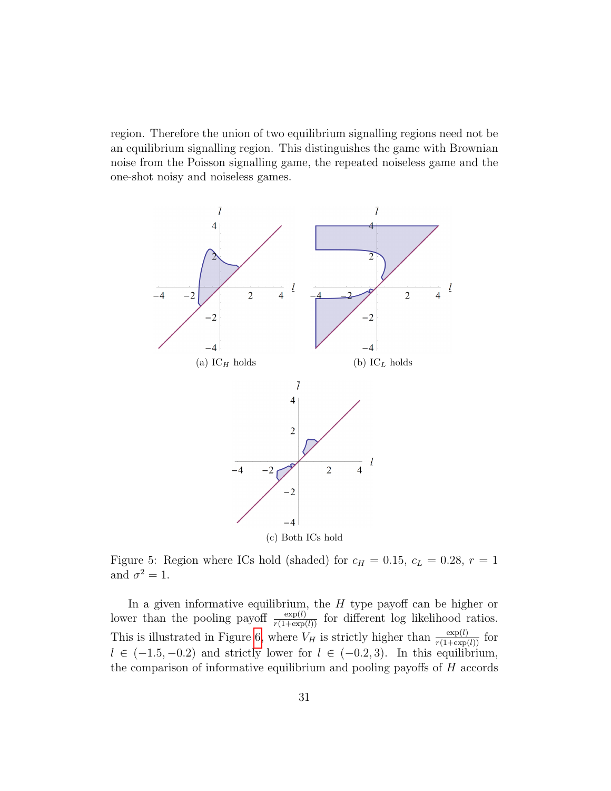region. Therefore the union of two equilibrium signalling regions need not be an equilibrium signalling region. This distinguishes the game with Brownian noise from the Poisson signalling game, the repeated noiseless game and the one-shot noisy and noiseless games.

<span id="page-30-0"></span>

Figure 5: Region where ICs hold (shaded) for  $c_H = 0.15$ ,  $c_L = 0.28$ ,  $r = 1$ and  $\sigma^2 = 1$ .

In a given informative equilibrium, the  $H$  type payoff can be higher or lower than the pooling payoff  $\frac{\exp(l)}{r(1+\exp(l))}$  for different log likelihood ratios. This is illustrated in Figure [6,](#page-31-0) where  $V_H$  is strictly higher than  $\frac{\exp(l)}{r(1+\exp(l))}$  for  $l \in (-1.5, -0.2)$  and strictly lower for  $l \in (-0.2, 3)$ . In this equilibrium, the comparison of informative equilibrium and pooling payoffs of  $H$  accords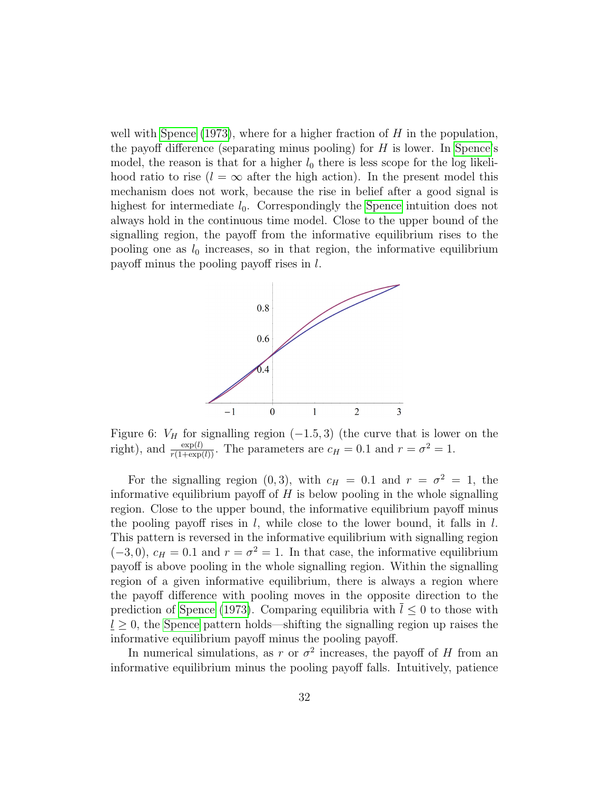well with [Spence](#page-49-0) [\(1973\)](#page-49-0), where for a higher fraction of  $H$  in the population, the payoff difference (separating minus pooling) for  $H$  is lower. In [Spence'](#page-49-0)s model, the reason is that for a higher  $l_0$  there is less scope for the log likelihood ratio to rise  $(l = \infty$  after the high action). In the present model this mechanism does not work, because the rise in belief after a good signal is highest for intermediate  $l_0$ . Correspondingly the [Spence](#page-49-0) intuition does not always hold in the continuous time model. Close to the upper bound of the signalling region, the payoff from the informative equilibrium rises to the pooling one as  $l_0$  increases, so in that region, the informative equilibrium payoff minus the pooling payoff rises in l.

<span id="page-31-0"></span>

Figure 6:  $V_H$  for signalling region  $(-1.5, 3)$  (the curve that is lower on the right), and  $\frac{\exp(l)}{r(1+\exp(l))}$ . The parameters are  $c_H = 0.1$  and  $r = \sigma^2 = 1$ .

For the signalling region (0,3), with  $c_H = 0.1$  and  $r = \sigma^2 = 1$ , the informative equilibrium payoff of  $H$  is below pooling in the whole signalling region. Close to the upper bound, the informative equilibrium payoff minus the pooling payoff rises in  $l$ , while close to the lower bound, it falls in  $l$ . This pattern is reversed in the informative equilibrium with signalling region  $(-3,0), c_H = 0.1$  and  $r = \sigma^2 = 1$ . In that case, the informative equilibrium payoff is above pooling in the whole signalling region. Within the signalling region of a given informative equilibrium, there is always a region where the payoff difference with pooling moves in the opposite direction to the prediction of [Spence](#page-49-0) [\(1973\)](#page-49-0). Comparing equilibria with  $l \leq 0$  to those with  $l \geq 0$ , the [Spence](#page-49-0) pattern holds—shifting the signalling region up raises the informative equilibrium payoff minus the pooling payoff.

In numerical simulations, as r or  $\sigma^2$  increases, the payoff of H from an informative equilibrium minus the pooling payoff falls. Intuitively, patience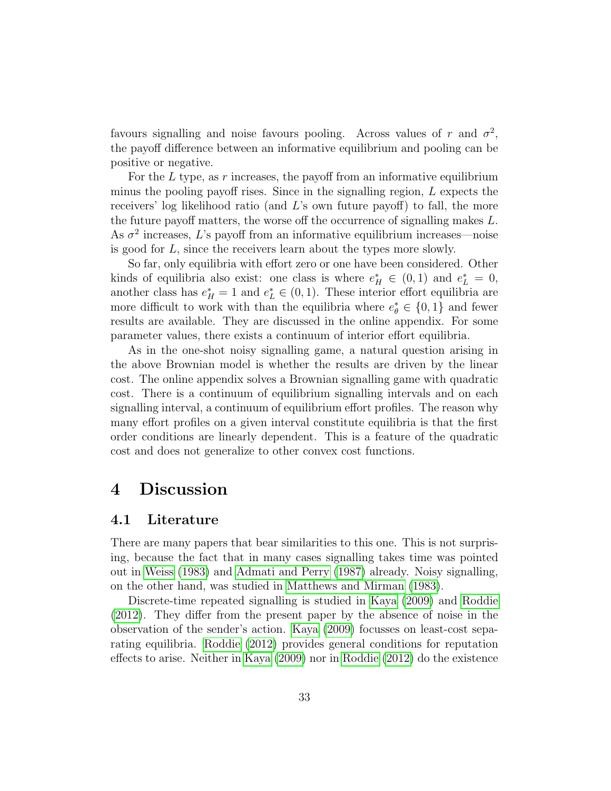favours signalling and noise favours pooling. Across values of r and  $\sigma^2$ , the payoff difference between an informative equilibrium and pooling can be positive or negative.

For the  $L$  type, as  $r$  increases, the payoff from an informative equilibrium minus the pooling payoff rises. Since in the signalling region, L expects the receivers' log likelihood ratio (and L's own future payoff) to fall, the more the future payoff matters, the worse off the occurrence of signalling makes L. As  $\sigma^2$  increases, L's payoff from an informative equilibrium increases—noise is good for L, since the receivers learn about the types more slowly.

So far, only equilibria with effort zero or one have been considered. Other kinds of equilibria also exist: one class is where  $e_H^* \in (0,1)$  and  $e_L^* = 0$ , another class has  $e_H^* = 1$  and  $e_L^* \in (0, 1)$ . These interior effort equilibria are more difficult to work with than the equilibria where  $e_{\theta}^* \in \{0,1\}$  and fewer results are available. They are discussed in the online appendix. For some parameter values, there exists a continuum of interior effort equilibria.

As in the one-shot noisy signalling game, a natural question arising in the above Brownian model is whether the results are driven by the linear cost. The online appendix solves a Brownian signalling game with quadratic cost. There is a continuum of equilibrium signalling intervals and on each signalling interval, a continuum of equilibrium effort profiles. The reason why many effort profiles on a given interval constitute equilibria is that the first order conditions are linearly dependent. This is a feature of the quadratic cost and does not generalize to other convex cost functions.

## 4 Discussion

#### <span id="page-32-0"></span>4.1 Literature

There are many papers that bear similarities to this one. This is not surprising, because the fact that in many cases signalling takes time was pointed out in [Weiss](#page-49-1) [\(1983\)](#page-49-1) and [Admati and Perry](#page-47-0) [\(1987\)](#page-47-0) already. Noisy signalling, on the other hand, was studied in [Matthews and Mirman](#page-48-0) [\(1983\)](#page-48-0).

Discrete-time repeated signalling is studied in [Kaya](#page-48-2) [\(2009\)](#page-48-2) and [Roddie](#page-49-2) [\(2012\)](#page-49-2). They differ from the present paper by the absence of noise in the observation of the sender's action. [Kaya](#page-48-2) [\(2009\)](#page-48-2) focusses on least-cost separating equilibria. [Roddie](#page-49-2) [\(2012\)](#page-49-2) provides general conditions for reputation effects to arise. Neither in [Kaya](#page-48-2) [\(2009\)](#page-48-2) nor in [Roddie](#page-49-2) [\(2012\)](#page-49-2) do the existence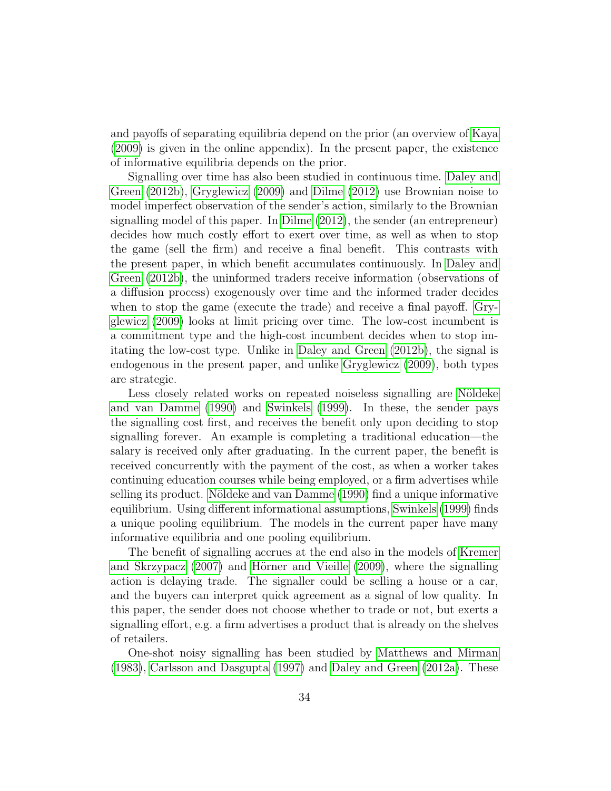and payoffs of separating equilibria depend on the prior (an overview of [Kaya](#page-48-2) [\(2009\)](#page-48-2) is given in the online appendix). In the present paper, the existence of informative equilibria depends on the prior.

Signalling over time has also been studied in continuous time. [Daley and](#page-47-1) [Green](#page-47-1) [\(2012b\)](#page-47-1), [Gryglewicz](#page-48-1) [\(2009\)](#page-48-1) and [Dilme](#page-47-2) [\(2012\)](#page-47-2) use Brownian noise to model imperfect observation of the sender's action, similarly to the Brownian signalling model of this paper. In [Dilme](#page-47-2) [\(2012\)](#page-47-2), the sender (an entrepreneur) decides how much costly effort to exert over time, as well as when to stop the game (sell the firm) and receive a final benefit. This contrasts with the present paper, in which benefit accumulates continuously. In [Daley and](#page-47-1) [Green](#page-47-1) [\(2012b\)](#page-47-1), the uninformed traders receive information (observations of a diffusion process) exogenously over time and the informed trader decides when to stop the game (execute the trade) and receive a final payoff. [Gry](#page-48-1)[glewicz](#page-48-1) [\(2009\)](#page-48-1) looks at limit pricing over time. The low-cost incumbent is a commitment type and the high-cost incumbent decides when to stop imitating the low-cost type. Unlike in [Daley and Green](#page-47-1) [\(2012b\)](#page-47-1), the signal is endogenous in the present paper, and unlike [Gryglewicz](#page-48-1) [\(2009\)](#page-48-1), both types are strategic.

Less closely related works on repeated noiseless signalling are Nöldeke [and van Damme](#page-48-3) [\(1990\)](#page-48-3) and [Swinkels](#page-49-3) [\(1999\)](#page-49-3). In these, the sender pays the signalling cost first, and receives the benefit only upon deciding to stop signalling forever. An example is completing a traditional education—the salary is received only after graduating. In the current paper, the benefit is received concurrently with the payment of the cost, as when a worker takes continuing education courses while being employed, or a firm advertises while selling its product. Nöldeke and van Damme [\(1990\)](#page-48-3) find a unique informative equilibrium. Using different informational assumptions, [Swinkels](#page-49-3) [\(1999\)](#page-49-3) finds a unique pooling equilibrium. The models in the current paper have many informative equilibria and one pooling equilibrium.

The benefit of signalling accrues at the end also in the models of [Kremer](#page-48-6) [and Skrzypacz](#page-48-6)  $(2007)$  and Hörner and Vieille  $(2009)$ , where the signalling action is delaying trade. The signaller could be selling a house or a car, and the buyers can interpret quick agreement as a signal of low quality. In this paper, the sender does not choose whether to trade or not, but exerts a signalling effort, e.g. a firm advertises a product that is already on the shelves of retailers.

One-shot noisy signalling has been studied by [Matthews and Mirman](#page-48-0) [\(1983\)](#page-48-0), [Carlsson and Dasgupta](#page-47-3) [\(1997\)](#page-47-3) and [Daley and Green](#page-47-4) [\(2012a\)](#page-47-4). These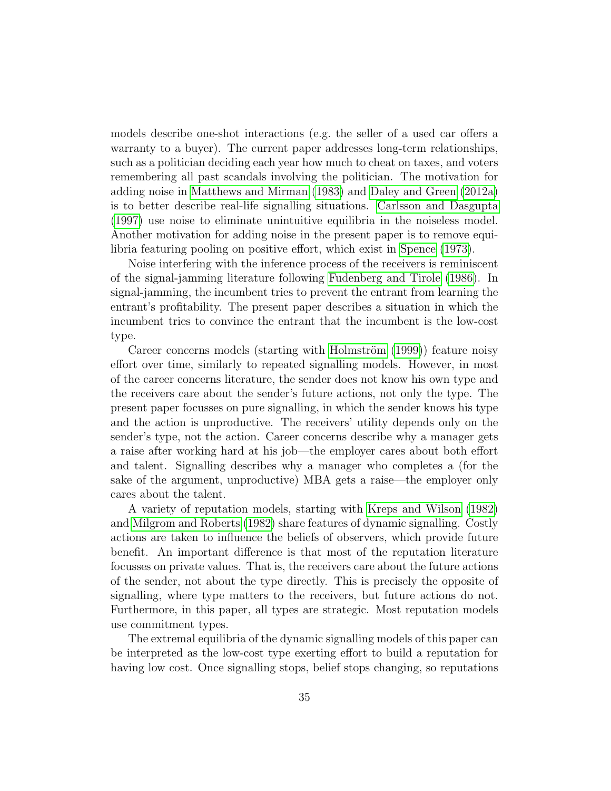models describe one-shot interactions (e.g. the seller of a used car offers a warranty to a buyer). The current paper addresses long-term relationships, such as a politician deciding each year how much to cheat on taxes, and voters remembering all past scandals involving the politician. The motivation for adding noise in [Matthews and Mirman](#page-48-0) [\(1983\)](#page-48-0) and [Daley and Green](#page-47-4) [\(2012a\)](#page-47-4) is to better describe real-life signalling situations. [Carlsson and Dasgupta](#page-47-3) [\(1997\)](#page-47-3) use noise to eliminate unintuitive equilibria in the noiseless model. Another motivation for adding noise in the present paper is to remove equilibria featuring pooling on positive effort, which exist in [Spence](#page-49-0) [\(1973\)](#page-49-0).

Noise interfering with the inference process of the receivers is reminiscent of the signal-jamming literature following [Fudenberg and Tirole](#page-48-8) [\(1986\)](#page-48-8). In signal-jamming, the incumbent tries to prevent the entrant from learning the entrant's profitability. The present paper describes a situation in which the incumbent tries to convince the entrant that the incumbent is the low-cost type.

Career concerns models (starting with Holmström [\(1999\)](#page-48-9)) feature noisy effort over time, similarly to repeated signalling models. However, in most of the career concerns literature, the sender does not know his own type and the receivers care about the sender's future actions, not only the type. The present paper focusses on pure signalling, in which the sender knows his type and the action is unproductive. The receivers' utility depends only on the sender's type, not the action. Career concerns describe why a manager gets a raise after working hard at his job—the employer cares about both effort and talent. Signalling describes why a manager who completes a (for the sake of the argument, unproductive) MBA gets a raise—the employer only cares about the talent.

A variety of reputation models, starting with [Kreps and Wilson](#page-48-10) [\(1982\)](#page-48-10) and [Milgrom and Roberts](#page-48-11) [\(1982\)](#page-48-11) share features of dynamic signalling. Costly actions are taken to influence the beliefs of observers, which provide future benefit. An important difference is that most of the reputation literature focusses on private values. That is, the receivers care about the future actions of the sender, not about the type directly. This is precisely the opposite of signalling, where type matters to the receivers, but future actions do not. Furthermore, in this paper, all types are strategic. Most reputation models use commitment types.

The extremal equilibria of the dynamic signalling models of this paper can be interpreted as the low-cost type exerting effort to build a reputation for having low cost. Once signalling stops, belief stops changing, so reputations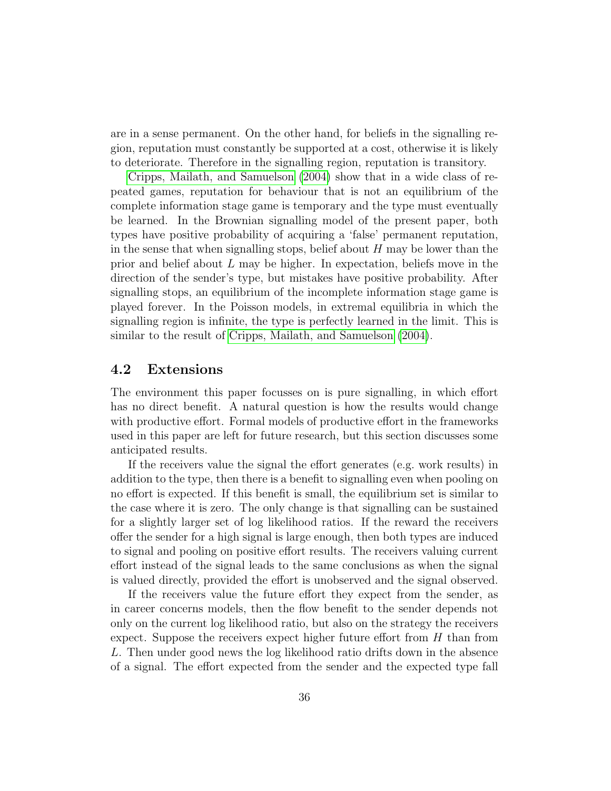are in a sense permanent. On the other hand, for beliefs in the signalling region, reputation must constantly be supported at a cost, otherwise it is likely to deteriorate. Therefore in the signalling region, reputation is transitory.

[Cripps, Mailath, and Samuelson](#page-47-5) [\(2004\)](#page-47-5) show that in a wide class of repeated games, reputation for behaviour that is not an equilibrium of the complete information stage game is temporary and the type must eventually be learned. In the Brownian signalling model of the present paper, both types have positive probability of acquiring a 'false' permanent reputation, in the sense that when signalling stops, belief about  $H$  may be lower than the prior and belief about  $L$  may be higher. In expectation, beliefs move in the direction of the sender's type, but mistakes have positive probability. After signalling stops, an equilibrium of the incomplete information stage game is played forever. In the Poisson models, in extremal equilibria in which the signalling region is infinite, the type is perfectly learned in the limit. This is similar to the result of [Cripps, Mailath, and Samuelson](#page-47-5) [\(2004\)](#page-47-5).

### 4.2 Extensions

The environment this paper focusses on is pure signalling, in which effort has no direct benefit. A natural question is how the results would change with productive effort. Formal models of productive effort in the frameworks used in this paper are left for future research, but this section discusses some anticipated results.

If the receivers value the signal the effort generates (e.g. work results) in addition to the type, then there is a benefit to signalling even when pooling on no effort is expected. If this benefit is small, the equilibrium set is similar to the case where it is zero. The only change is that signalling can be sustained for a slightly larger set of log likelihood ratios. If the reward the receivers offer the sender for a high signal is large enough, then both types are induced to signal and pooling on positive effort results. The receivers valuing current effort instead of the signal leads to the same conclusions as when the signal is valued directly, provided the effort is unobserved and the signal observed.

If the receivers value the future effort they expect from the sender, as in career concerns models, then the flow benefit to the sender depends not only on the current log likelihood ratio, but also on the strategy the receivers expect. Suppose the receivers expect higher future effort from  $H$  than from L. Then under good news the log likelihood ratio drifts down in the absence of a signal. The effort expected from the sender and the expected type fall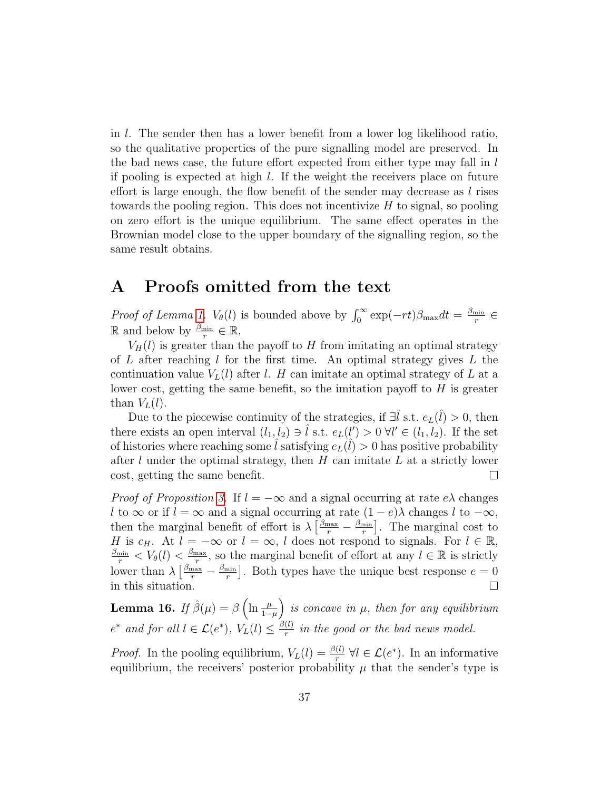in l. The sender then has a lower benefit from a lower log likelihood ratio, so the qualitative properties of the pure signalling model are preserved. In the bad news case, the future effort expected from either type may fall in l if pooling is expected at high  $l$ . If the weight the receivers place on future effort is large enough, the flow benefit of the sender may decrease as  $l$  rises towards the pooling region. This does not incentivize  $H$  to signal, so pooling on zero effort is the unique equilibrium. The same effect operates in the Brownian model close to the upper boundary of the signalling region, so the same result obtains.

## <span id="page-36-0"></span>A Proofs omitted from the text

*Proof of Lemma [1.](#page-8-2)*  $V_{\theta}(l)$  is bounded above by  $\int_0^{\infty} \exp(-rt)\beta_{\text{max}}dt = \frac{\beta_{\text{min}}}{r}$  $rac{\min}{r} \in$ ℝ and below by  $\frac{\beta_{\min}}{r}$  ∈ ℝ.

 $V_H(l)$  is greater than the payoff to H from imitating an optimal strategy of L after reaching l for the first time. An optimal strategy gives L the continuation value  $V_L(l)$  after l. H can imitate an optimal strategy of L at a lower cost, getting the same benefit, so the imitation payoff to  $H$  is greater than  $V_L(l)$ .

Due to the piecewise continuity of the strategies, if  $\exists \hat{l}$  s.t.  $e_L(\hat{l}) > 0$ , then there exists an open interval  $(l_1, l_2) \ni \hat{l}$  s.t.  $e_L(l') > 0$   $\forall l' \in (l_1, l_2)$ . If the set of histories where reaching some  $\hat{l}$  satisfying  $e_L(\hat{l}) > 0$  has positive probability after  $l$  under the optimal strategy, then  $H$  can imitate  $L$  at a strictly lower cost, getting the same benefit.  $\Box$ 

*Proof of Proposition [3.](#page-9-0)* If  $l = -\infty$  and a signal occurring at rate  $e\lambda$  changes l to  $\infty$  or if  $l = \infty$  and a signal occurring at rate  $(1 - e)\lambda$  changes l to  $-\infty$ , then the marginal benefit of effort is  $\lambda \left[\frac{\beta_{\text{max}}}{r} - \frac{\beta_{\text{min}}}{r}\right]$  $\frac{\text{min}}{r}$ . The marginal cost to H is  $c_H$ . At  $l = -\infty$  or  $l = \infty$ , l does not respond to signals. For  $l \in \mathbb{R}$ ,  $\frac{\text{max}}{r}$ , so the marginal benefit of effort at any  $l \in \mathbb{R}$  is strictly  $\frac{\beta_{\min}}{r} < V_{\theta}(l) < \frac{\beta_{\max}}{r}$ lower than  $\lambda \left[ \frac{\beta_{\text{max}}}{r} - \frac{\beta_{\text{min}}}{r} \right]$  $\frac{\text{min}}{r}$ . Both types have the unique best response  $e = 0$ in this situation.  $\Box$ 

<span id="page-36-1"></span>**Lemma 16.** If  $\hat{\beta}(\mu) = \beta \left( \ln \frac{\mu}{1-\mu} \right)$  is concave in  $\mu$ , then for any equilibrium  $e^*$  and for all  $l \in \mathcal{L}(e^*)$ ,  $V_L(l) \leq \frac{\beta(l)}{r}$  $\frac{(t)}{r}$  in the good or the bad news model.

*Proof.* In the pooling equilibrium,  $V_L(l) = \frac{\beta(l)}{r} \ \forall l \in \mathcal{L}(e^*)$ . In an informative equilibrium, the receivers' posterior probability  $\mu$  that the sender's type is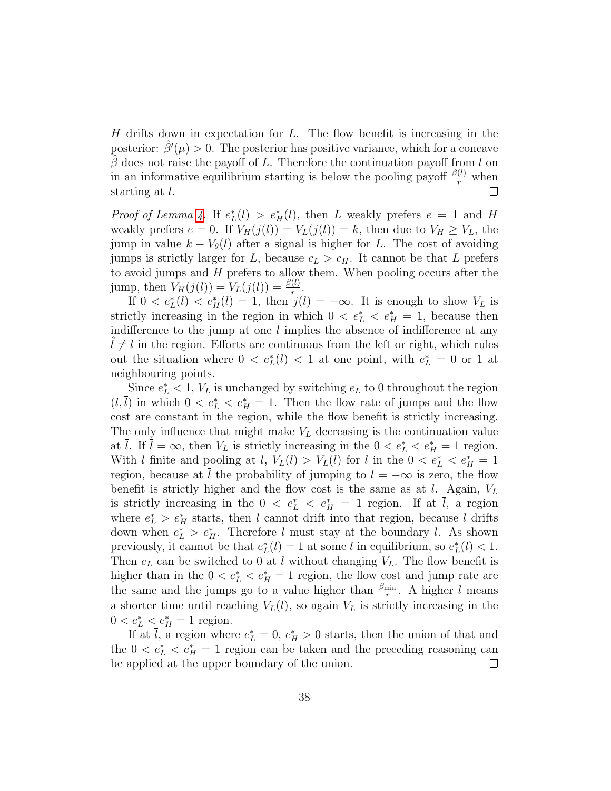$H$  drifts down in expectation for  $L$ . The flow benefit is increasing in the posterior:  $\hat{\beta}'(\mu) > 0$ . The posterior has positive variance, which for a concave  $\beta$  does not raise the payoff of L. Therefore the continuation payoff from l on in an informative equilibrium starting is below the pooling payoff  $\frac{\beta(l)}{r}$  when starting at l.

*Proof of Lemma [4.](#page-10-1)* If  $e^*_{L}(l) > e^*_{H}(l)$ , then L weakly prefers  $e = 1$  and H weakly prefers  $e = 0$ . If  $V_H(j(l)) = V_L(j(l)) = k$ , then due to  $V_H \geq V_L$ , the jump in value  $k - V_{\theta}(l)$  after a signal is higher for L. The cost of avoiding jumps is strictly larger for L, because  $c<sub>L</sub> > c<sub>H</sub>$ . It cannot be that L prefers to avoid jumps and H prefers to allow them. When pooling occurs after the jump, then  $V_H(j(l)) = V_L(j(l)) = \frac{\beta(l)}{r}$ .

If  $0 < e^*_{L}(l) < e^*_{H}(l) = 1$ , then  $j(l) = -\infty$ . It is enough to show  $V_L$  is strictly increasing in the region in which  $0 < e^*_{\mathcal{L}} < e^*_{\mathcal{H}} = 1$ , because then indifference to the jump at one  $l$  implies the absence of indifference at any  $l \neq l$  in the region. Efforts are continuous from the left or right, which rules out the situation where  $0 < e^*_{L}(l) < 1$  at one point, with  $e^*_{L} = 0$  or 1 at neighbouring points.

Since  $e_L^* < 1$ ,  $V_L$  is unchanged by switching  $e_L$  to 0 throughout the region  $(l, \bar{l})$  in which  $0 < e^*_{L} < e^*_{H} = 1$ . Then the flow rate of jumps and the flow cost are constant in the region, while the flow benefit is strictly increasing. The only influence that might make  $V<sub>L</sub>$  decreasing is the continuation value at  $\overline{l}$ . If  $\overline{l} = \infty$ , then  $V_L$  is strictly increasing in the  $0 < e^*_{\overline{l}} < e^*_{\overline{l}} = 1$  region. With  $\overline{l}$  finite and pooling at  $\overline{l}$ ,  $V_L(\overline{l}) > V_L(l)$  for l in the  $0 < e^*_{\overline{l}} < e^*_{\overline{l}} = 1$ region, because at l the probability of jumping to  $l = -\infty$  is zero, the flow benefit is strictly higher and the flow cost is the same as at l. Again,  $V_L$ is strictly increasing in the  $0 \le e^*_{L} \le e^*_{H} = 1$  region. If at  $\overline{l}$ , a region where  $e_L^* > e_H^*$  starts, then l cannot drift into that region, because l drifts down when  $e_L^* > e_H^*$ . Therefore l must stay at the boundary  $\overline{l}$ . As shown previously, it cannot be that  $e^*_{L}(l) = 1$  at some l in equilibrium, so  $e^*_{L}(\bar{l}) < 1$ . Then  $e_L$  can be switched to 0 at  $\overline{l}$  without changing  $V_L$ . The flow benefit is higher than in the  $0 < e^*_{\mathcal{L}} < e^*_{\mathcal{H}} = 1$  region, the flow cost and jump rate are the same and the jumps go to a value higher than  $\frac{\beta_{\min}}{r}$ . A higher l means a shorter time until reaching  $V_L(\overline{l})$ , so again  $V_L$  is strictly increasing in the  $0 < e^*_{L} < e^*_{H} = 1$  region.

If at  $\overline{l}$ , a region where  $e_L^* = 0$ ,  $e_H^* > 0$  starts, then the union of that and the  $0 < e^*$ <sub>L</sub>  $\lt e^*$ <sub>H</sub> = 1 region can be taken and the preceding reasoning can be applied at the upper boundary of the union.  $\Box$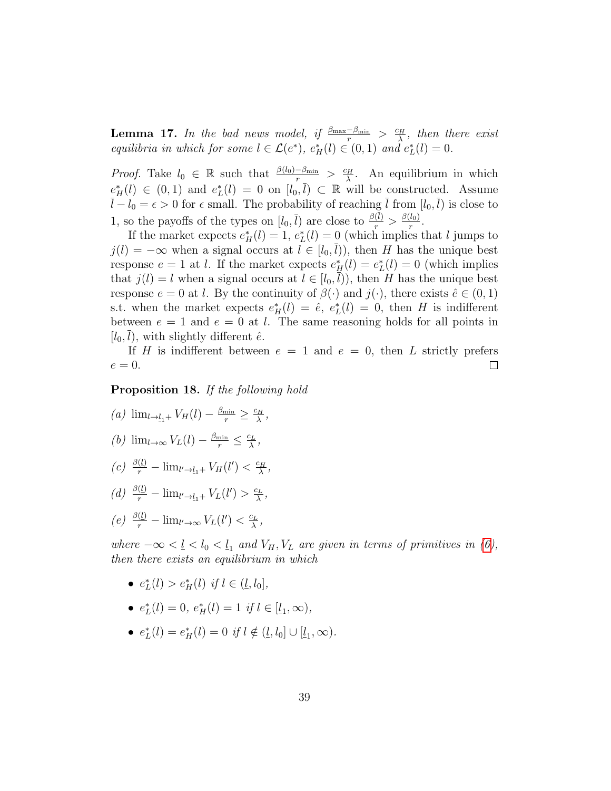<span id="page-38-0"></span>**Lemma 17.** In the bad news model, if  $\frac{\beta_{\max}-\beta_{\min}}{r} > \frac{c_H}{\lambda}$  $\frac{\partial H}{\partial \lambda}$ , then there exist equilibria in which for some  $l \in \mathcal{L}(e^*), e^*_{H}(l) \in (0,1)$  and  $e^*_{L}(l) = 0$ .

*Proof.* Take  $l_0 \in \mathbb{R}$  such that  $\frac{\beta(l_0) - \beta_{\min}}{r} > \frac{c_H}{\lambda}$  $\frac{\partial^2 H}{\partial x^2}$ . An equilibrium in which  $e^*_{-H}(l) \in (0,1)$  and  $e^*_{L}(l) = 0$  on  $[l_0, \bar{l}) \subset \mathbb{R}$  will be constructed. Assume  $\bar{l} - l_0 = \epsilon > 0$  for  $\epsilon$  small. The probability of reaching  $\bar{l}$  from  $[l_0, \bar{l})$  is close to 1, so the payoffs of the types on  $[l_0, \overline{l})$  are close to  $\frac{\beta(l)}{r} > \frac{\beta(l_0)}{r}$ r .

If the market expects  $e_H^*(l) = 1$ ,  $e_L^*(l) = 0$  (which implies that l jumps to  $j(l) = -\infty$  when a signal occurs at  $l \in [l_0, l)$ , then H has the unique best response  $e = 1$  at l. If the market expects  $e_H^*(l) = e_L^*(l) = 0$  (which implies that  $j(l) = l$  when a signal occurs at  $l \in [l_0, \bar{l})$ , then H has the unique best response  $e = 0$  at l. By the continuity of  $\beta(\cdot)$  and  $j(\cdot)$ , there exists  $\hat{e} \in (0, 1)$ s.t. when the market expects  $e_H^*(l) = \hat{e}$ ,  $e_L^*(l) = 0$ , then H is indifferent between  $e = 1$  and  $e = 0$  at l. The same reasoning holds for all points in  $[l_0, l)$ , with slightly different  $\hat{e}$ .

If H is indifferent between  $e = 1$  and  $e = 0$ , then L strictly prefers  $e=0.$ ⊔

<span id="page-38-1"></span>Proposition 18. If the following hold

- (a)  $\lim_{l \to \underline{l}_1+} V_H(l) \frac{\beta_{\min}}{r} \geq \frac{c_H}{\lambda}$  $\frac{dH}{\lambda}$  , (b)  $\lim_{l\to\infty} V_L(l) - \frac{\beta_{\min}}{r} \leq \frac{c_L}{\lambda}$  $\frac{c_L}{\lambda}$  ,
- $\left(c\right) \frac{\beta(l)}{r} \lim_{l' \to l_1+} V_H(l') < \frac{c_H}{\lambda}$  $\frac{H}{\lambda}$  ,
- (d)  $\frac{\beta(l)}{r} \lim_{l' \to l_1+} V_L(l') > \frac{c_L}{\lambda}$  $\frac{c_L}{\lambda}$  ,
- (e)  $\frac{\beta(l)}{r} \lim_{l' \to \infty} V_L(l') < \frac{c_L}{\lambda}$  $\frac{c_L}{\lambda}$  ,

where  $-\infty < l < l_0 < l_1$  and  $V_H, V_L$  are given in terms of primitives in [\(6\)](#page-14-1), then there exists an equilibrium in which

- $e^*_{L}(l) > e^*_{H}(l)$  if  $l \in (\underline{l}, l_0]$ ,
- $e_L^*(l) = 0, e_H^*(l) = 1$  if  $l \in [\underline{l}_1, \infty)$ ,
- $e_L^*(l) = e_H^*(l) = 0$  if  $l \notin (\underline{l}, l_0] \cup [\underline{l}_1, \infty)$ .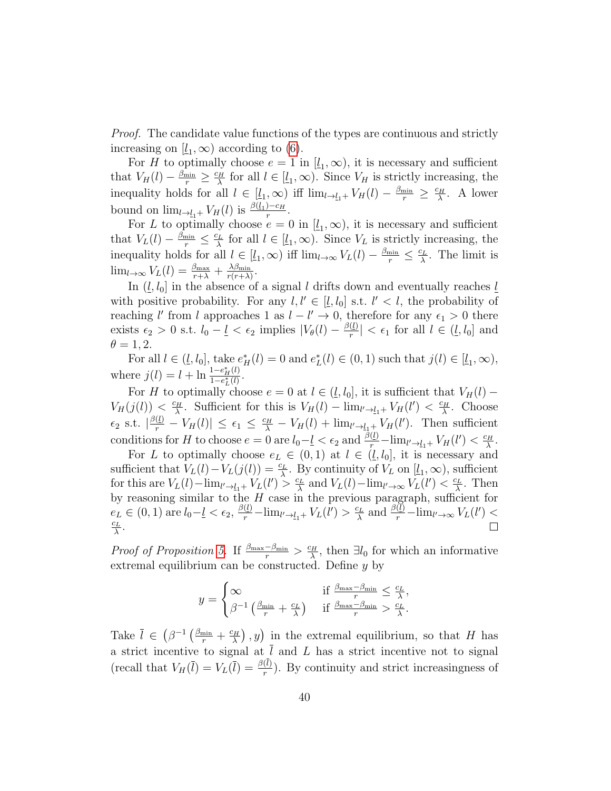*Proof.* The candidate value functions of the types are continuous and strictly increasing on  $[\underline{l}_1,\infty)$  according to [\(6\)](#page-14-1).

For H to optimally choose  $e = 1$  in  $[l_1, \infty)$ , it is necessary and sufficient that  $V_H(l) - \frac{\beta_{\min}}{r} \geq \frac{c_H}{\lambda}$  $\frac{d^2H}{d\lambda}$  for all  $l \in [l_1, \infty)$ . Since  $V_H$  is strictly increasing, the inequality holds for all  $l \in [\underline{l}_1,\infty)$  iff  $\lim_{l\to \underline{l}_1+} V_H(l) - \frac{\beta_{\min}}{r} \geq \frac{c_H}{\lambda}$  $\frac{\sum H}{\lambda}$ . A lower bound on  $\lim_{l \to \underline{l}_1+} V_H(l)$  is  $\frac{\beta(\underline{l}_1) - c_H}{r}$  $\frac{1-C_{H}}{r}$ .

For L to optimally choose  $e = 0$  in  $[\underline{l}_1, \infty)$ , it is necessary and sufficient that  $V_L(l) - \frac{\beta_{\min}}{r} \leq \frac{c_L}{\lambda}$  $\frac{\partial L}{\partial \lambda}$  for all  $l \in [\underline{l}_1, \infty)$ . Since  $V_L$  is strictly increasing, the inequality holds for all  $l \in [l_1, \infty)$  iff  $\lim_{l \to \infty} V_L(l) - \frac{\beta_{\min}}{r} \leq \frac{c_L}{\lambda}$  $\frac{d^2L}{d}$ . The limit is  $\lim_{l\to\infty}V_L(l)=\frac{\beta_{\max}}{r+\lambda}+\frac{\lambda\beta_{\min}}{r(r+\lambda)}$  $\frac{\lambda\beta_{\min}}{r(r+\lambda)}$ .

In  $(\underline{l}, l_0]$  in the absence of a signal l drifts down and eventually reaches  $\underline{l}$ with positive probability. For any  $l, l' \in [l, l_0]$  s.t.  $l' < l$ , the probability of reaching l' from l approaches 1 as  $l - l' \rightarrow 0$ , therefore for any  $\epsilon_1 > 0$  there exists  $\epsilon_2 > 0$  s.t.  $l_0 - \underline{l} < \epsilon_2$  implies  $|V_{\theta}(l) - \frac{\beta(l)}{r}|$  $\left|\frac{\langle l\,\rangle}{r}\right| < \epsilon_1$  for all  $l \in (\underline{l}, l_0]$  and  $\theta = 1, 2.$ 

For all  $l \in (\underline{l}, l_0]$ , take  $e^*_{H}(l) = 0$  and  $e^*_{L}(l) \in (0, 1)$  such that  $j(l) \in [\underline{l}_1, \infty)$ , where  $j(l) = l + \ln \frac{1 - e_H^*(l)}{1 - e^*(l)}$  $1-e_{L}^{*}(l)$ .

For H to optimally choose  $e = 0$  at  $l \in (l, l_0]$ , it is sufficient that  $V_H(l)$  –  $V_H(j(l)) < \frac{c_H}{\lambda}$  $\frac{\sum_{i=1}^{L} V_{H}(l') - \lim_{l' \to l_{1}+} V_{H}(l') < \frac{C_{H}}{\lambda}}{1}$  $\frac{\Sigma H}{\lambda}$ . Choose  $\epsilon_2$  s.t.  $\left|\frac{\beta(l)}{r} - V_H(l)\right| \leq \epsilon_1 \leq \frac{c_H}{\lambda} - V_H(l) + \lim_{l' \to l_1+} V_H(l').$  Then sufficient conditions for H to choose  $e = 0$  are  $l_0 - \frac{l}{2} < \epsilon_2$  and  $\frac{\beta(l)}{r} - \lim_{l' \to l_1+} V_H(l') < \frac{c_H}{\lambda}$  $\frac{H}{\lambda}$  .

For L to optimally choose  $e_L \in (0,1)$  at  $l \in (l, l_0]$ , it is necessary and sufficient that  $V_L(l) - V_L(j(l)) = \frac{c_L}{\lambda}$ . By continuity of  $V_L$  on  $[\underline{l}_1, \infty)$ , sufficient for this are  $V_L(l) - \lim_{l'\to l_1+} V_L(l') > \frac{c_L}{\lambda}$  $\frac{\sum_{L}^{L}}{\lambda}$  and  $V_{L}(l) - \lim_{l' \to \infty} V_{L}(l') < \frac{c_{L}}{\lambda}$  $\frac{\partial L}{\partial \lambda}$ . Then by reasoning similar to the  $H$  case in the previous paragraph, sufficient for  $e_L \in (0, 1)$  are  $l_0 - \underline{l} < \epsilon_2$ ,  $\frac{\beta(\underline{l})}{r} - \lim_{l' \to \underline{l}_1 +} V_L(l') > \frac{c_L}{\lambda}$  $\frac{\partial^2 L}{\partial \lambda}$  and  $\frac{\beta(\underline{l})}{r} - \lim_{l' \to \infty} V_L(l') <$  $c_L$  $\frac{c_L}{\lambda}$  .  $\Box$ 

Proof of Proposition [5.](#page-14-0) If  $\frac{\beta_{\max}-\beta_{\min}}{r} > \frac{c_H}{\lambda}$  $\frac{dH}{d\lambda}$ , then  $\exists l_0$  for which an informative extremal equilibrium can be constructed. Define y by

$$
y = \begin{cases} \infty & \text{if } \frac{\beta_{\max} - \beta_{\min}}{r} \leq \frac{c_L}{\lambda}, \\ \beta^{-1} \left( \frac{\beta_{\min}}{r} + \frac{c_L}{\lambda} \right) & \text{if } \frac{\beta_{\max} - \beta_{\min}}{r} > \frac{c_L}{\lambda}. \end{cases}
$$

Take  $\overline{l} \in (\beta^{-1} \left( \frac{\beta_{\min}}{r} + \frac{c_H}{\lambda} \right))$  $(\frac{2H}{\lambda})$ , y) in the extremal equilibrium, so that H has a strict incentive to signal at  $\overline{l}$  and  $L$  has a strict incentive not to signal (recall that  $V_H(\overline{l}) = V_L(\overline{l}) = \frac{\beta(l)}{r}$ ). By continuity and strict increasingness of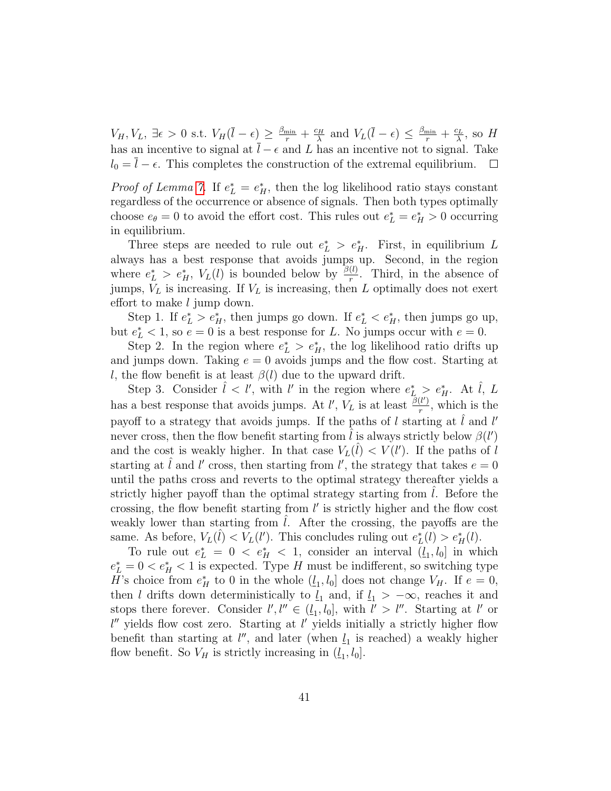$V_H, V_L, \exists \epsilon > 0 \text{ s.t. } V_H(\overline{l} - \epsilon) \geq \frac{\beta_{\min}}{r} + \frac{c_H}{\lambda}$  $\frac{c_H}{\lambda}$  and  $V_L(\overline{l}-\epsilon) \leq \frac{\beta_{\min}}{r} + \frac{c_L}{\lambda}$  $\frac{c_L}{\lambda}$ , so H has an incentive to signal at  $\overline{l} - \epsilon$  and L has an incentive not to signal. Take  $l_0 = l - \epsilon$ . This completes the construction of the extremal equilibrium.  $\Box$ 

*Proof of Lemma [7.](#page-16-1)* If  $e_L^* = e_H^*$ , then the log likelihood ratio stays constant regardless of the occurrence or absence of signals. Then both types optimally choose  $e_{\theta} = 0$  to avoid the effort cost. This rules out  $e_L^* = e_H^* > 0$  occurring in equilibrium.

Three steps are needed to rule out  $e^*_{L} > e^*_{H}$ . First, in equilibrium L always has a best response that avoids jumps up. Second, in the region where  $e_L^* > e_H^*$ ,  $V_L(l)$  is bounded below by  $\frac{\beta(l)}{r}$ . Third, in the absence of jumps,  $V_L$  is increasing. If  $V_L$  is increasing, then L optimally does not exert effort to make l jump down.

Step 1. If  $e_L^* > e_H^*$ , then jumps go down. If  $e_L^* < e_H^*$ , then jumps go up, but  $e_L^* < 1$ , so  $e = 0$  is a best response for L. No jumps occur with  $e = 0$ .

Step 2. In the region where  $e^*_{\mathcal{L}} > e^*_{\mathcal{H}}$ , the log likelihood ratio drifts up and jumps down. Taking  $e = 0$  avoids jumps and the flow cost. Starting at l, the flow benefit is at least  $\beta(l)$  due to the upward drift.

Step 3. Consider  $\hat{l} < l'$ , with l' in the region where  $e_L^* > e_H^*$ . At  $\hat{l}$ , L has a best response that avoids jumps. At l',  $V_L$  is at least  $\frac{\beta(l')}{r}$  $\frac{r}{r}$ , which is the payoff to a strategy that avoids jumps. If the paths of l starting at  $\hat{l}$  and l' never cross, then the flow benefit starting from  $\hat{l}$  is always strictly below  $\beta(l')$ and the cost is weakly higher. In that case  $V_L(\hat{l}) < V(l')$ . If the paths of  $\hat{l}$ starting at  $\hat{l}$  and  $l'$  cross, then starting from  $l'$ , the strategy that takes  $e = 0$ until the paths cross and reverts to the optimal strategy thereafter yields a strictly higher payoff than the optimal strategy starting from  $l$ . Before the crossing, the flow benefit starting from  $l'$  is strictly higher and the flow cost weakly lower than starting from  $l$ . After the crossing, the payoffs are the same. As before,  $V_L(\hat{l}) < V_L(l')$ . This concludes ruling out  $e^*_{L}(l) > e^*_{H}(l)$ .

To rule out  $e^*_{L} = 0 \lt e^*_{H} \lt 1$ , consider an interval  $(l_1, l_0]$  in which  $e_L^* = 0 < e_H^* < 1$  is expected. Type H must be indifferent, so switching type H's choice from  $e_H^*$  to 0 in the whole  $(l_1, l_0]$  does not change  $V_H$ . If  $e = 0$ , then l drifts down deterministically to  $\underline{l}_1$  and, if  $\underline{l}_1 > -\infty$ , reaches it and stops there forever. Consider  $l', l'' \in (l_1, l_0]$ , with  $l' > l''$ . Starting at l' or  $l''$  yields flow cost zero. Starting at  $l'$  yields initially a strictly higher flow benefit than starting at  $l''$ , and later (when  $l_1$  is reached) a weakly higher flow benefit. So  $V_H$  is strictly increasing in  $(\underline{l}_1, l_0]$ .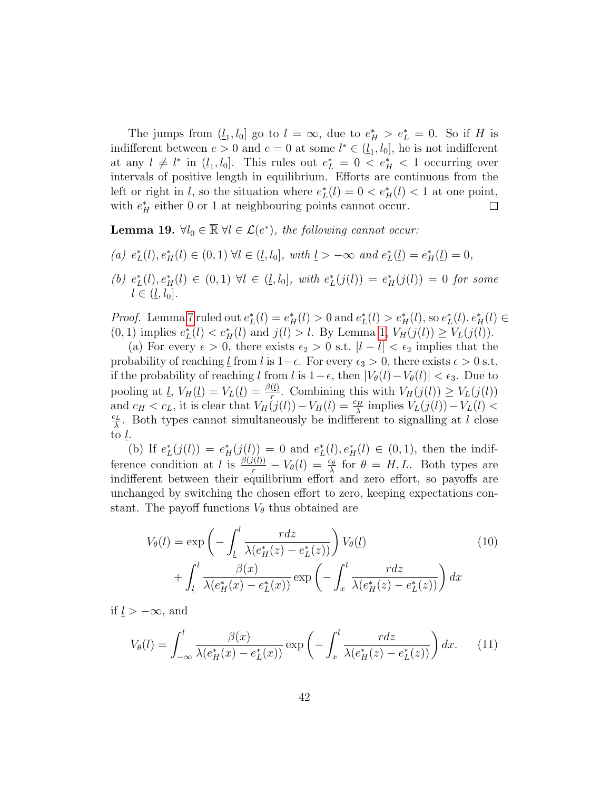The jumps from  $(l_1, l_0]$  go to  $l = \infty$ , due to  $e_H^* > e_L^* = 0$ . So if H is indifferent between  $e > 0$  and  $e = 0$  at some  $l^* \in (l_1, l_0]$ , he is not indifferent at any  $l \neq l^*$  in  $(\underline{l}_1, l_0]$ . This rules out  $e_L^* = 0 < e_H^* < 1$  occurring over intervals of positive length in equilibrium. Efforts are continuous from the left or right in l, so the situation where  $e^*_{\mathcal{L}}(l) = 0 < e^*_{\mathcal{H}}(l) < 1$  at one point, with  $e_H^*$  either 0 or 1 at neighbouring points cannot occur.  $\Box$ 

<span id="page-41-0"></span>**Lemma 19.**  $\forall l_0 \in \mathbb{R} \ \forall l \in \mathcal{L}(e^*)$ , the following cannot occur:

- (a)  $e^*_{L}(l), e^*_{H}(l) \in (0,1) \ \forall l \in (l, l_0], \ with \ l > -\infty \ and \ e^*_{L}(l) = e^*_{H}(l) = 0,$
- (b)  $e^*_{L}(l), e^*_{H}(l) \in (0,1) \ \forall l \in (\underline{l}, l_0], \ with \ e^*_{L}(j(l)) = e^*_{H}(j(l)) = 0 \ for \ some$  $l \in (l, l_0].$

*Proof.* Lemma [7](#page-16-1) ruled out  $e_L^*(l) = e_H^*(l) > 0$  and  $e_L^*(l) > e_H^*(l)$ , so  $e_L^*(l)$ ,  $e_H^*(l) \in$  $(0, 1)$  implies  $e^*_{L}(l) < e^*_{H}(l)$  and  $j(l) > l$ . By Lemma [1,](#page-8-2)  $V_{H}(j(l)) \geq V_{L}(j(l))$ .

(a) For every  $\epsilon > 0$ , there exists  $\epsilon_2 > 0$  s.t.  $|l - \underline{l}| < \epsilon_2$  implies that the probability of reaching  $\underline{l}$  from l is 1– $\epsilon$ . For every  $\epsilon_3 > 0$ , there exists  $\epsilon > 0$  s.t. if the probability of reaching <u>l</u> from l is  $1-\epsilon$ , then  $|V_{\theta}(l)-V_{\theta}(l)| < \epsilon_3$ . Due to pooling at  $\underline{l}$ ,  $V_H(\underline{l}) = V_L(\underline{l}) = \frac{\beta(\underline{l})}{r}$ . Combining this with  $V_H(j(l)) \geq V_L(j(l))$ and  $c_H < c_L$ , it is clear that  $V_H(j(l)) - V_H(l) = \frac{c_H}{\lambda}$  implies  $V_L(j(l)) - V_L(l) <$  $c_L$  $\frac{\partial^2 L}{\partial \lambda}$ . Both types cannot simultaneously be indifferent to signalling at l close to l.

(b) If  $e_L^*(j(l)) = e_H^*(j(l)) = 0$  and  $e_L^*(l), e_H^*(l) \in (0,1)$ , then the indifference condition at l is  $\frac{\beta(j(l))}{r} - V_{\theta}(l) = \frac{c_{\theta}}{\lambda}$  for  $\theta = H, L$ . Both types are indifferent between their equilibrium effort and zero effort, so payoffs are unchanged by switching the chosen effort to zero, keeping expectations constant. The payoff functions  $V_{\theta}$  thus obtained are

<span id="page-41-2"></span><span id="page-41-1"></span>
$$
V_{\theta}(l) = \exp\left(-\int_{\underline{l}}^{l} \frac{r dz}{\lambda(e_H^*(z) - e_L^*(z))}\right) V_{\theta}(\underline{l})
$$
  
+ 
$$
\int_{\underline{l}}^{l} \frac{\beta(x)}{\lambda(e_H^*(x) - e_L^*(x))} \exp\left(-\int_{x}^{l} \frac{r dz}{\lambda(e_H^*(z) - e_L^*(z))}\right) dx
$$
 (10)

if  $l > -\infty$ , and

$$
V_{\theta}(l) = \int_{-\infty}^{l} \frac{\beta(x)}{\lambda(e_H^*(x) - e_L^*(x))} \exp\left(-\int_{x}^{l} \frac{r dz}{\lambda(e_H^*(z) - e_L^*(z))}\right) dx.
$$
 (11)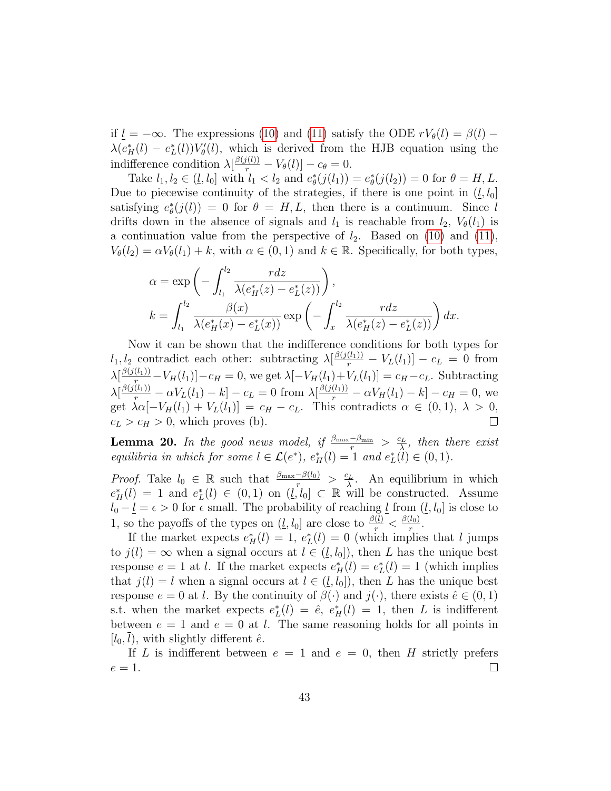if  $l = -\infty$ . The expressions [\(10\)](#page-41-1) and [\(11\)](#page-41-2) satisfy the ODE  $rV_{\theta}(l) = \beta(l)$  –  $\lambda(e_H^*(l) - e_L^*(l))V'_\theta(l)$ , which is derived from the HJB equation using the indifference condition  $\lambda \left[\frac{\beta(j(l))}{r} - V_{\theta}(l)\right] - c_{\theta} = 0.$ 

Take  $l_1, l_2 \in (\underline{l}, l_0]$  with  $l_1 < l_2$  and  $e^*_{\theta}(j(l_1)) = e^*_{\theta}(j(l_2)) = 0$  for  $\theta = H, L$ . Due to piecewise continuity of the strategies, if there is one point in  $(l, l_0]$ satisfying  $e_{\theta}^*(j(l)) = 0$  for  $\theta = H, L$ , then there is a continuum. Since l drifts down in the absence of signals and  $l_1$  is reachable from  $l_2$ ,  $V_{\theta}(l_1)$  is a continuation value from the perspective of  $l_2$ . Based on [\(10\)](#page-41-1) and [\(11\)](#page-41-2),  $V_{\theta}(l_2) = \alpha V_{\theta}(l_1) + k$ , with  $\alpha \in (0,1)$  and  $k \in \mathbb{R}$ . Specifically, for both types,

$$
\alpha = \exp\left(-\int_{l_1}^{l_2} \frac{r dz}{\lambda(e_H^*(z) - e_L^*(z))}\right),
$$
  

$$
k = \int_{l_1}^{l_2} \frac{\beta(x)}{\lambda(e_H^*(x) - e_L^*(x))} \exp\left(-\int_x^{l_2} \frac{r dz}{\lambda(e_H^*(z) - e_L^*(z))}\right) dx.
$$

Now it can be shown that the indifference conditions for both types for  $l_1, l_2$  contradict each other: subtracting  $\lambda \left[\frac{\beta(j(l_1))}{r} - V_L(l_1)\right] - c_L = 0$  from  $\lambda\left[\frac{\beta(j(l_1))}{r} - V_H(l_1)\right] - c_H = 0$ , we get  $\lambda\left[-V_H(l_1) + V_L(l_1)\right] = c_H - c_L$ . Subtracting  $\lambda[\frac{\beta(j(l_1))}{r} - \alpha V_L(l_1) - k] - c_L = 0$  from  $\lambda[\frac{\beta(j(l_1))}{r} - \alpha V_H(l_1) - k] - c_H = 0$ , we get  $\lambda \alpha [-V_H(l_1) + V_L(l_1)] = c_H - c_L$ . This contradicts  $\alpha \in (0,1), \lambda > 0$ ,  $c_L > c_H > 0$ , which proves (b).  $\Box$ 

<span id="page-42-0"></span>**Lemma 20.** In the good news model, if  $\frac{\beta_{\max}-\beta_{\min}}{r} > \frac{c_L}{\lambda}$  $\frac{\partial L}{\partial \lambda}$ , then there exist equilibria in which for some  $l \in \mathcal{L}(e^*), e^*_{H}(l) = 1$  and  $e^*_{L}(l) \in (0, 1)$ .

*Proof.* Take  $l_0 \in \mathbb{R}$  such that  $\frac{\beta_{\max}-\beta(l_0)}{r} > \frac{c_L}{\lambda}$  $\frac{\partial^2 L}{\partial \lambda}$ . An equilibrium in which  $e^*_H(l) = 1$  and  $e^*_L(l) \in (0,1)$  on  $(l, l_0] \subset \mathbb{R}$  will be constructed. Assume  $l_0 - \underline{l} = \epsilon > 0$  for  $\epsilon$  small. The probability of reaching  $\underline{l}$  from  $(\underline{l}, l_0]$  is close to 1, so the payoffs of the types on  $(\underline{l}, l_0]$  are close to  $\frac{\beta(\underline{l})}{r} < \frac{\beta(l_0)}{r}$  $\frac{l(0)}{r}$ .

If the market expects  $e_H^*(l) = 1$ ,  $e_L^*(l) = 0$  (which implies that l jumps to  $j(l) = \infty$  when a signal occurs at  $l \in (l, l_0]$ , then L has the unique best response  $e = 1$  at l. If the market expects  $e_H^*(l) = e_L^*(l) = 1$  (which implies that  $j(l) = l$  when a signal occurs at  $l \in (l, l_0]$ , then L has the unique best response  $e = 0$  at l. By the continuity of  $\beta(\cdot)$  and  $j(\cdot)$ , there exists  $\hat{e} \in (0, 1)$ s.t. when the market expects  $e^*_{L}(l) = \hat{e}$ ,  $e^*_{H}(l) = 1$ , then L is indifferent between  $e = 1$  and  $e = 0$  at l. The same reasoning holds for all points in  $[l_0, l)$ , with slightly different  $\hat{e}$ .

If L is indifferent between  $e = 1$  and  $e = 0$ , then H strictly prefers  $e=1$ .  $\Box$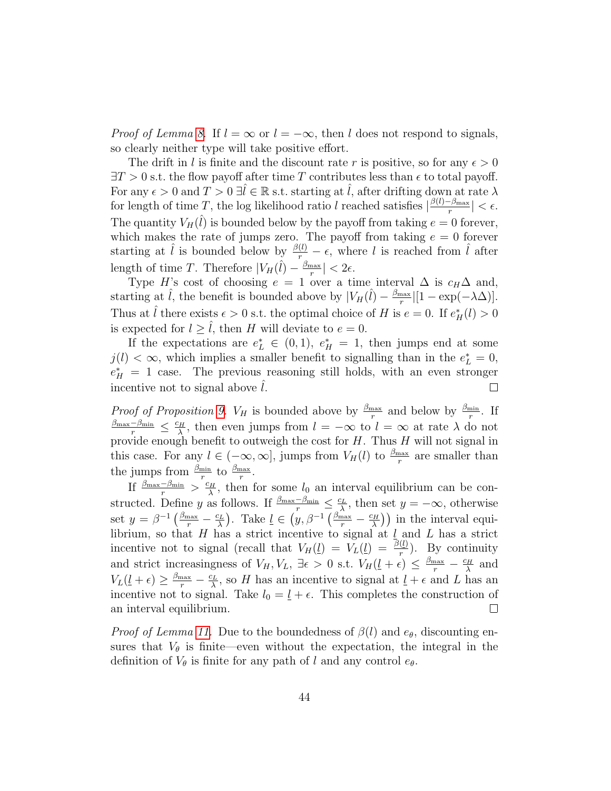*Proof of Lemma [8.](#page-16-3)* If  $l = \infty$  or  $l = -\infty$ , then l does not respond to signals, so clearly neither type will take positive effort.

The drift in l is finite and the discount rate r is positive, so for any  $\epsilon > 0$  $\exists T > 0$  s.t. the flow payoff after time T contributes less than  $\epsilon$  to total payoff. For any  $\epsilon > 0$  and  $T > 0 \exists l \in \mathbb{R}$  s.t. starting at l, after drifting down at rate  $\lambda$ for length of time T, the log likelihood ratio l reached satisfies  $\frac{\beta(l)-\beta_{\max}}{r}$  $\frac{-\beta_{\max}}{r}| < \epsilon.$ The quantity  $V_H(\hat{l})$  is bounded below by the payoff from taking  $e = 0$  forever, which makes the rate of jumps zero. The payoff from taking  $e = 0$  forever starting at  $\hat{l}$  is bounded below by  $\frac{\beta(l)}{r} - \epsilon$ , where l is reached from  $\hat{l}$  after length of time T. Therefore  $|V_H(\hat{l}) - \frac{\beta_{\text{max}}}{r}$  $\frac{\max}{r}$  |  $< 2\epsilon$ .

Type H's cost of choosing  $e = 1$  over a time interval  $\Delta$  is  $c_H\Delta$  and, starting at  $\hat{l}$ , the benefit is bounded above by  $|V_H(\hat{l}) - \frac{\beta_{\text{max}}}{r}$  $\frac{\max}{r} \left| \left[ 1 - \exp(-\lambda \Delta) \right] \right|.$ Thus at  $\hat{l}$  there exists  $\epsilon > 0$  s.t. the optimal choice of H is  $e = 0$ . If  $e_H^*(l) > 0$ is expected for  $l \geq \tilde{l}$ , then H will deviate to  $e = 0$ .

If the expectations are  $e^*_{L} \in (0,1)$ ,  $e^*_{H} = 1$ , then jumps end at some  $j(l) < \infty$ , which implies a smaller benefit to signalling than in the  $e^*_{L} = 0$ ,  $e_H^* = 1$  case. The previous reasoning still holds, with an even stronger incentive not to signal above  $l$ .  $\Box$ 

*Proof of Proposition [9.](#page-19-0)*  $V_H$  is bounded above by  $\frac{\beta_{\text{max}}}{r}$  and below by  $\frac{\beta_{\text{min}}}{r}$ . If  $\frac{\beta_{\max}-\beta_{\min}}{r} \leq \frac{c_H}{\lambda}$  $\frac{\partial H}{\partial \lambda}$ , then even jumps from  $l = -\infty$  to  $l = \infty$  at rate  $\lambda$  do not provide enough benefit to outweigh the cost for  $H$ . Thus  $H$  will not signal in this case. For any  $l \in (-\infty, \infty]$ , jumps from  $V_H(l)$  to  $\frac{\beta_{\max}}{r}$  are smaller than the jumps from  $\frac{\beta_{\min}}{r}$  to  $\frac{\beta_{\max}}{r}$ .

If  $\frac{\beta_{\max}-\beta_{\min}}{r} > \frac{c_H}{\lambda}$  $\frac{\partial H}{\partial \lambda}$ , then for some  $l_0$  an interval equilibrium can be constructed. Define y as follows. If  $\frac{\beta_{\max}-\beta_{\min}}{r} \leq \frac{c_L}{\lambda}$  $\frac{\partial^2 L}{\partial \lambda}$ , then set  $y = -\infty$ , otherwise set  $y = \beta^{-1} \left( \frac{\beta_{\text{max}}}{r} - \frac{c_L}{\lambda} \right)$  $\frac{d^2L}{d\lambda}$ ). Take  $\underline{l} \in (y, \beta^{-1} \left( \frac{\beta_{\text{max}}}{r} - \frac{c_H}{\lambda} \right)$  $\left(\frac{\partial H}{\partial \lambda}\right)$  in the interval equilibrium, so that H has a strict incentive to signal at  $\underline{l}$  and L has a strict incentive not to signal (recall that  $V_H(\underline{l}) = V_L(\underline{l}) = \frac{\beta(\underline{l})}{r}$ ). By continuity and strict increasingness of  $V_H$ ,  $V_L$ ,  $\exists \epsilon > 0$  s.t.  $V_H(\underline{l} + \epsilon) \leq \frac{\beta_{\text{max}}}{r} - \frac{c_H}{\lambda}$  $\frac{d^{2}H}{\lambda}$  and  $V_L(\underline{l} + \epsilon) \geq \frac{\beta_{\max}}{r} - \frac{c_L}{\lambda}$  $\frac{\partial L}{\partial \lambda}$ , so H has an incentive to signal at  $\underline{l} + \epsilon$  and L has an incentive not to signal. Take  $l_0 = \underline{l} + \epsilon$ . This completes the construction of an interval equilibrium.  $\Box$ 

*Proof of Lemma [11.](#page-23-0)* Due to the boundedness of  $\beta(l)$  and  $e_{\theta}$ , discounting ensures that  $V_{\theta}$  is finite—even without the expectation, the integral in the definition of  $V_{\theta}$  is finite for any path of l and any control  $e_{\theta}$ .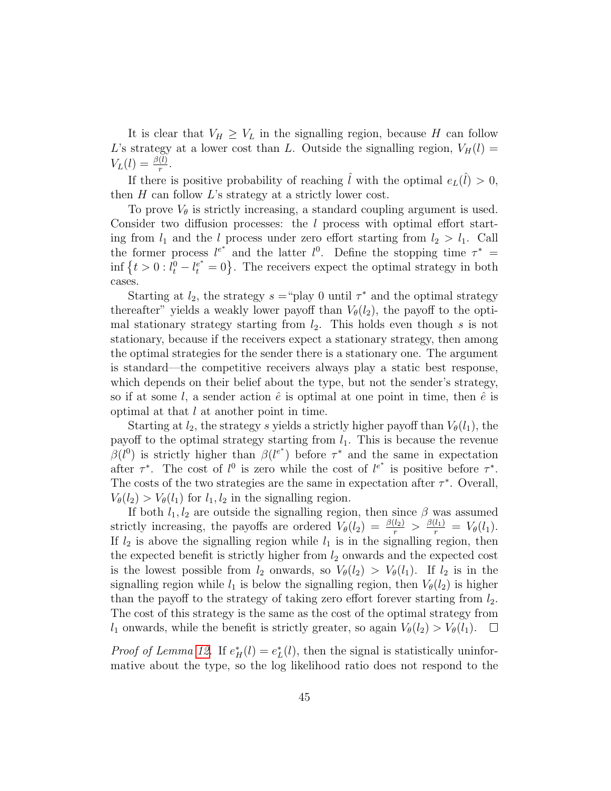It is clear that  $V_H \geq V_L$  in the signalling region, because H can follow L's strategy at a lower cost than L. Outside the signalling region,  $V_H(l)$  =  $V_L(l) = \frac{\beta(l)}{r}$ .

If there is positive probability of reaching  $\hat{l}$  with the optimal  $e_L(\hat{l}) > 0$ , then  $H$  can follow  $L$ 's strategy at a strictly lower cost.

To prove  $V_{\theta}$  is strictly increasing, a standard coupling argument is used. Consider two diffusion processes: the l process with optimal effort starting from  $l_1$  and the l process under zero effort starting from  $l_2 > l_1$ . Call the former process  $l^{e^*}$  and the latter  $l^0$ . Define the stopping time  $\tau^*$  = inf  $\{t>0: l_t^0-l_t^{e^*}=0\}$ . The receivers expect the optimal strategy in both cases.

Starting at  $l_2$ , the strategy  $s = \text{``play 0 until } \tau^*$  and the optimal strategy thereafter" yields a weakly lower payoff than  $V_{\theta}(l_2)$ , the payoff to the optimal stationary strategy starting from  $l_2$ . This holds even though s is not stationary, because if the receivers expect a stationary strategy, then among the optimal strategies for the sender there is a stationary one. The argument is standard—the competitive receivers always play a static best response, which depends on their belief about the type, but not the sender's strategy, so if at some l, a sender action  $\hat{e}$  is optimal at one point in time, then  $\hat{e}$  is optimal at that l at another point in time.

Starting at  $l_2$ , the strategy s yields a strictly higher payoff than  $V_{\theta}(l_1)$ , the payoff to the optimal strategy starting from  $l_1$ . This is because the revenue  $\beta(l^0)$  is strictly higher than  $\beta(l^{e^*})$  before  $\tau^*$  and the same in expectation after  $\tau^*$ . The cost of  $l^0$  is zero while the cost of  $l^{e^*}$  is positive before  $\tau^*$ . The costs of the two strategies are the same in expectation after  $\tau^*$ . Overall,  $V_{\theta}(l_2) > V_{\theta}(l_1)$  for  $l_1, l_2$  in the signalling region.

If both  $l_1, l_2$  are outside the signalling region, then since  $\beta$  was assumed strictly increasing, the payoffs are ordered  $V_{\theta}(l_2) = \frac{\beta(l_2)}{r} > \frac{\beta(l_1)}{r} = V_{\theta}(l_1)$ . If  $l_2$  is above the signalling region while  $l_1$  is in the signalling region, then the expected benefit is strictly higher from  $l_2$  onwards and the expected cost is the lowest possible from  $l_2$  onwards, so  $V_{\theta}(l_2) > V_{\theta}(l_1)$ . If  $l_2$  is in the signalling region while  $l_1$  is below the signalling region, then  $V_\theta(l_2)$  is higher than the payoff to the strategy of taking zero effort forever starting from  $l_2$ . The cost of this strategy is the same as the cost of the optimal strategy from  $l_1$  onwards, while the benefit is strictly greater, so again  $V_\theta(l_2) > V_\theta(l_1)$ .  $\Box$ 

*Proof of Lemma [12.](#page-23-1)* If  $e_H^*(l) = e_L^*(l)$ , then the signal is statistically uninformative about the type, so the log likelihood ratio does not respond to the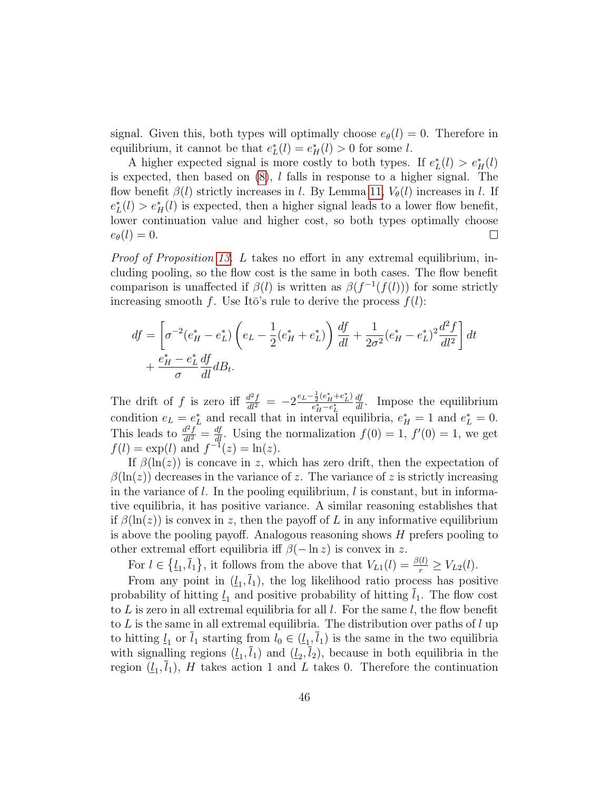signal. Given this, both types will optimally choose  $e_{\theta}(l) = 0$ . Therefore in equilibrium, it cannot be that  $e^*_{L}(l) = e^*_{H}(l) > 0$  for some l.

A higher expected signal is more costly to both types. If  $e^*_{L}(l) > e^*_{H}(l)$ is expected, then based on  $(8)$ , *l* falls in response to a higher signal. The flow benefit  $\beta(l)$  strictly increases in l. By Lemma [11,](#page-23-0)  $V_{\theta}(l)$  increases in l. If  $e_L^*(l) > e_H^*(l)$  is expected, then a higher signal leads to a lower flow benefit, lower continuation value and higher cost, so both types optimally choose  $e_{\theta}(l) = 0.$  $\Box$ 

Proof of Proposition [13.](#page-24-0) L takes no effort in any extremal equilibrium, including pooling, so the flow cost is the same in both cases. The flow benefit comparison is unaffected if  $\beta(l)$  is written as  $\beta(f^{-1}(f(l)))$  for some strictly increasing smooth f. Use Itō's rule to derive the process  $f(l)$ :

$$
df = \left[\sigma^{-2}(e_H^* - e_L^*)\left(e_L - \frac{1}{2}(e_H^* + e_L^*)\right)\frac{df}{dl} + \frac{1}{2\sigma^2}(e_H^* - e_L^*)^2\frac{d^2f}{dl^2}\right]dt + \frac{e_H^* - e_L^*}{\sigma}\frac{df}{dl}dB_t.
$$

The drift of f is zero iff  $\frac{d^2f}{dt^2} = -2\frac{e_L - \frac{1}{2}(e_H^* + e_L^*)}{e_H^* - e_L^*}$  $e_H^* - e_L^*$  $\frac{df}{dl}$ . Impose the equilibrium condition  $e_L = e_L^*$  and recall that in interval equilibria,  $e_H^* = 1$  and  $e_L^* = 0$ . This leads to  $\frac{d^2f}{dt^2} = \frac{df}{dt}$ . Using the normalization  $f(0) = 1$ ,  $f'(0) = 1$ , we get  $f(l) = \exp(l)$  and  $f^{-1}(z) = \ln(z)$ .

If  $\beta(\ln(z))$  is concave in z, which has zero drift, then the expectation of  $\beta(\ln(z))$  decreases in the variance of z. The variance of z is strictly increasing in the variance of l. In the pooling equilibrium, l is constant, but in informative equilibria, it has positive variance. A similar reasoning establishes that if  $\beta(\ln(z))$  is convex in z, then the payoff of L in any informative equilibrium is above the pooling payoff. Analogous reasoning shows  $H$  prefers pooling to other extremal effort equilibria iff  $\beta(-\ln z)$  is convex in z.

For  $l \in \{l_1, \overline{l}_1\}$ , it follows from the above that  $V_{L1}(l) = \frac{\beta(l)}{r} \geq V_{L2}(l)$ .

From any point in  $(l_1, l_1)$ , the log likelihood ratio process has positive probability of hitting  $l_1$  and positive probability of hitting  $l_1$ . The flow cost to  $L$  is zero in all extremal equilibria for all  $l$ . For the same  $l$ , the flow benefit to  $L$  is the same in all extremal equilibria. The distribution over paths of  $l$  up to hitting  $\underline{l}_1$  or  $l_1$  starting from  $l_0 \in (\underline{l}_1, l_1)$  is the same in the two equilibria with signalling regions  $(l_1, l_1)$  and  $(l_2, l_2)$ , because in both equilibria in the region  $(l_1, l_1)$ , H takes action 1 and L takes 0. Therefore the continuation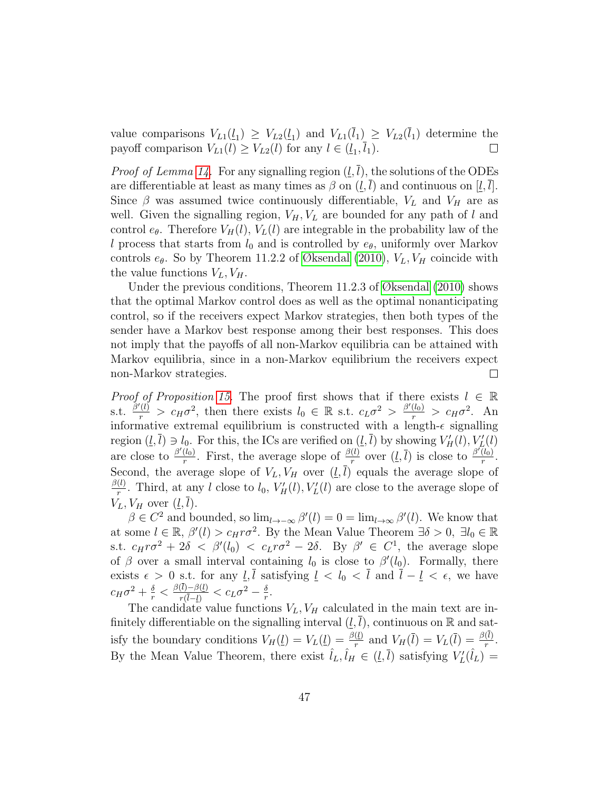value comparisons  $V_{L1}(\underline{l}_1) \geq V_{L2}(\underline{l}_1)$  and  $V_{L1}(l_1) \geq V_{L2}(l_1)$  determine the payoff comparison  $V_{L1}(l) \geq V_{L2}(l)$  for any  $l \in (l_1, l_1)$ .  $\Box$ 

*Proof of Lemma [14.](#page-26-0)* For any signalling region  $(l, \overline{l})$ , the solutions of the ODEs are differentiable at least as many times as  $\beta$  on  $(\underline{l}, \overline{l})$  and continuous on  $[\underline{l}, \overline{l}]$ . Since  $\beta$  was assumed twice continuously differentiable,  $V_L$  and  $V_H$  are as well. Given the signalling region,  $V_H$ ,  $V_L$  are bounded for any path of l and control  $e_{\theta}$ . Therefore  $V_H(l)$ ,  $V_L(l)$  are integrable in the probability law of the l process that starts from  $l_0$  and is controlled by  $e_{\theta}$ , uniformly over Markov controls  $e_{\theta}$ . So by Theorem 11.2.2 of [Øksendal](#page-48-12) [\(2010\)](#page-48-12),  $V_L$ ,  $V_H$  coincide with the value functions  $V_L$ ,  $V_H$ .

Under the previous conditions, Theorem 11.2.3 of [Øksendal](#page-48-12) [\(2010\)](#page-48-12) shows that the optimal Markov control does as well as the optimal nonanticipating control, so if the receivers expect Markov strategies, then both types of the sender have a Markov best response among their best responses. This does not imply that the payoffs of all non-Markov equilibria can be attained with Markov equilibria, since in a non-Markov equilibrium the receivers expect non-Markov strategies.  $\Box$ 

*Proof of Proposition [15.](#page-27-0)* The proof first shows that if there exists  $l \in \mathbb{R}$ s.t.  $\frac{\beta'(l)}{r} > c_H \sigma^2$ , then there exists  $l_0 \in \mathbb{R}$  s.t.  $c_L \sigma^2 > \frac{\beta'(l_0)}{r} > c_H \sigma^2$ . An informative extremal equilibrium is constructed with a length- $\epsilon$  signalling region  $(\underline{l}, \overline{l}) \ni l_0$ . For this, the ICs are verified on  $(\underline{l}, \overline{l})$  by showing  $V'_H(l), V'_L(l)$ are close to  $\frac{\beta'(l_0)}{r}$  $\frac{(l_0)}{r}$ . First, the average slope of  $\frac{\beta(l)}{r}$  over  $(l, \overline{l})$  is close to  $\frac{\beta(\overline{l_0})}{r}$  $\frac{(t_0)}{r}$ . Second, the average slope of  $V_L$ ,  $V_H$  over  $(l, l)$  equals the average slope of  $\beta(l)$  $\frac{d}{dr}$ . Third, at any l close to  $l_0$ ,  $V'_H(l)$ ,  $V'_L(l)$  are close to the average slope of  $V_L, V_H$  over  $(\underline{l}, \overline{l}).$ 

 $\beta \in C^2$  and bounded, so  $\lim_{l\to\infty} \beta'(l) = 0 = \lim_{l\to\infty} \beta'(l)$ . We know that at some  $l \in \mathbb{R}$ ,  $\beta'(l) > c_H r \sigma^2$ . By the Mean Value Theorem  $\exists \delta > 0$ ,  $\exists l_0 \in \mathbb{R}$ s.t.  $c_H r \sigma^2 + 2\delta \ < \ \beta'(l_0) \ < \ c_L r \sigma^2 - 2\delta$ . By  $\beta' \ \in \ C^1$ , the average slope of  $\beta$  over a small interval containing  $l_0$  is close to  $\beta'(l_0)$ . Formally, there exists  $\epsilon > 0$  s.t. for any  $\ell, \overline{l}$  satisfying  $\ell < l_0 < \overline{l}$  and  $\overline{l} - \ell < \epsilon$ , we have  $c_H\sigma^2+\frac{\delta}{r}<\frac{\beta(l)-\beta(l)}{r(\overline{l}-l)}$  $\frac{(\bar{l})-\beta(\underline{l})}{r(\bar{l}-\underline{l})} < c_L\sigma^2 - \frac{\delta}{r}$  $\frac{\delta}{r}$ .

The candidate value functions  $V_L$ ,  $V_H$  calculated in the main text are infinitely differentiable on the signalling interval  $(\underline{l}, \overline{l})$ , continuous on R and satisfy the boundary conditions  $V_H(\underline{l}) = V_L(\underline{l}) = \frac{\beta(\underline{l})}{r}$  and  $V_H(\overline{l}) = V_L(\overline{l}) = \frac{\beta(\underline{l})}{r}$ . By the Mean Value Theorem, there exist  $\hat{l}_L, \hat{l}_H \in (L, \bar{l})$  satisfying  $V'_L(\hat{l}_L)$  =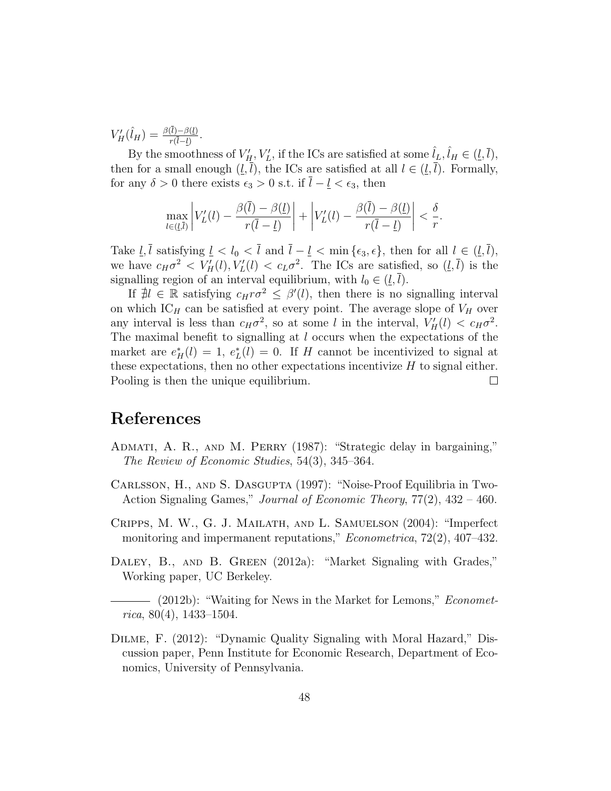$V'_H(\hat{l}_H) = \frac{\beta(\bar{l}) - \beta(\underline{l})}{r(\bar{l}-\underline{l})}.$ 

By the smoothness of  $V'_H$ ,  $V'_L$ , if the ICs are satisfied at some  $\hat{l}_L$ ,  $\hat{l}_H \in (\underline{l}, \overline{l})$ , then for a small enough  $(l, \overline{l})$ , the ICs are satisfied at all  $l \in (l, \overline{l})$ . Formally, for any  $\delta > 0$  there exists  $\epsilon_3 > 0$  s.t. if  $\overline{l} - \underline{l} < \epsilon_3$ , then

$$
\max_{l\in(\underline{l},\overline{l})}\left|V_{L}'(l)-\frac{\beta(\overline{l})-\beta(\underline{l})}{r(\overline{l}-\underline{l})}\right|+\left|V_{L}'(l)-\frac{\beta(\overline{l})-\beta(\underline{l})}{r(\overline{l}-\underline{l})}\right|<\frac{\delta}{r}.
$$

Take  $\underline{l}, \overline{l}$  satisfying  $\underline{l} < l_0 < \overline{l}$  and  $\overline{l} - \underline{l} < \min{\{\epsilon_3, \epsilon\}}$ , then for all  $l \in (\underline{l}, \overline{l})$ , we have  $c_H \sigma^2 \langle V_H'(l), V_L'(l) \rangle \langle c_L \sigma^2$ . The ICs are satisfied, so  $(\underline{l}, \overline{l})$  is the signalling region of an interval equilibrium, with  $l_0 \in (l, \overline{l}).$ 

If  $\sharp l \in \mathbb{R}$  satisfying  $c_H r \sigma^2 \leq \beta'(l)$ , then there is no signalling interval on which  $IC_H$  can be satisfied at every point. The average slope of  $V_H$  over any interval is less than  $c_H \sigma^2$ , so at some l in the interval,  $V'_H(l) < c_H \sigma^2$ . The maximal benefit to signalling at l occurs when the expectations of the market are  $e^*_{H}(l) = 1$ ,  $e^*_{L}(l) = 0$ . If H cannot be incentivized to signal at these expectations, then no other expectations incentivize  $H$  to signal either. Pooling is then the unique equilibrium.  $\Box$ 

## References

- <span id="page-47-0"></span>ADMATI, A. R., AND M. PERRY (1987): "Strategic delay in bargaining," The Review of Economic Studies, 54(3), 345–364.
- <span id="page-47-3"></span>Carlsson, H., and S. Dasgupta (1997): "Noise-Proof Equilibria in Two-Action Signaling Games," Journal of Economic Theory, 77(2), 432 – 460.
- <span id="page-47-5"></span>Cripps, M. W., G. J. Mailath, and L. Samuelson (2004): "Imperfect monitoring and impermanent reputations," *Econometrica*, 72(2), 407–432.
- <span id="page-47-4"></span>DALEY, B., AND B. GREEN (2012a): "Market Signaling with Grades," Working paper, UC Berkeley.

<span id="page-47-1"></span>- (2012b): "Waiting for News in the Market for Lemons," Economet $rica, 80(4), 1433-1504.$ 

<span id="page-47-2"></span>Dilme, F. (2012): "Dynamic Quality Signaling with Moral Hazard," Discussion paper, Penn Institute for Economic Research, Department of Economics, University of Pennsylvania.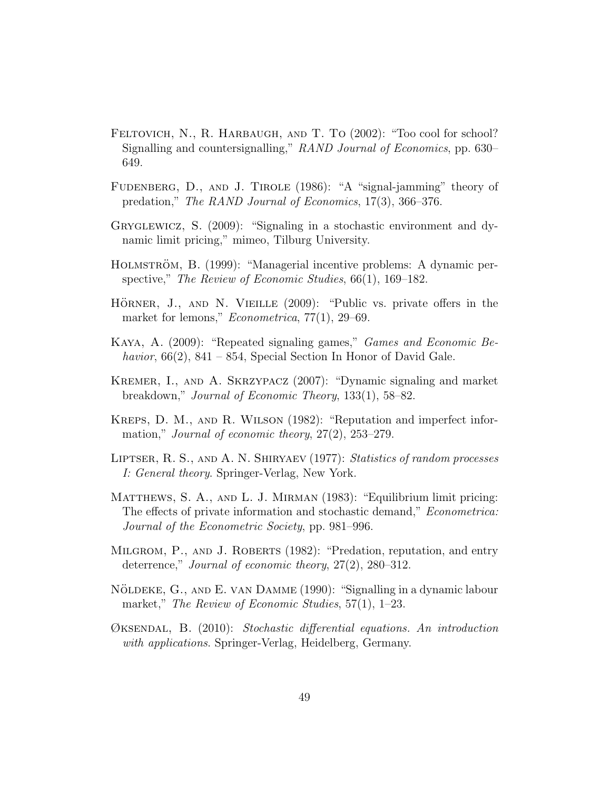- <span id="page-48-4"></span>FELTOVICH, N., R. HARBAUGH, AND T. TO (2002): "Too cool for school? Signalling and countersignalling," RAND Journal of Economics, pp. 630– 649.
- <span id="page-48-8"></span>FUDENBERG, D., AND J. TIROLE (1986): "A "signal-jamming" theory of predation," The RAND Journal of Economics, 17(3), 366–376.
- <span id="page-48-1"></span>Gryglewicz, S. (2009): "Signaling in a stochastic environment and dynamic limit pricing," mimeo, Tilburg University.
- <span id="page-48-9"></span>HOLMSTRÖM, B. (1999): "Managerial incentive problems: A dynamic perspective," The Review of Economic Studies, 66(1), 169–182.
- <span id="page-48-7"></span>HÖRNER, J., AND N. VIEILLE (2009): "Public vs. private offers in the market for lemons," *Econometrica*, 77(1), 29–69.
- <span id="page-48-2"></span>Kaya, A. (2009): "Repeated signaling games," Games and Economic Behavior,  $66(2)$ ,  $841 - 854$ , Special Section In Honor of David Gale.
- <span id="page-48-6"></span>Kremer, I., and A. Skrzypacz (2007): "Dynamic signaling and market breakdown," Journal of Economic Theory, 133(1), 58–82.
- <span id="page-48-10"></span>Kreps, D. M., and R. Wilson (1982): "Reputation and imperfect information," *Journal of economic theory*, 27(2), 253–279.
- <span id="page-48-5"></span>Liptser, R. S., and A. N. Shiryaev (1977): Statistics of random processes I: General theory. Springer-Verlag, New York.
- <span id="page-48-0"></span>MATTHEWS, S. A., AND L. J. MIRMAN (1983): "Equilibrium limit pricing: The effects of private information and stochastic demand," Econometrica: Journal of the Econometric Society, pp. 981–996.
- <span id="page-48-11"></span>MILGROM, P., AND J. ROBERTS (1982): "Predation, reputation, and entry deterrence," Journal of economic theory, 27(2), 280–312.
- <span id="page-48-3"></span>NÖLDEKE, G., AND E. VAN DAMME (1990): "Signalling in a dynamic labour market," The Review of Economic Studies, 57(1), 1–23.
- <span id="page-48-12"></span>Øksendal, B. (2010): Stochastic differential equations. An introduction with applications. Springer-Verlag, Heidelberg, Germany.